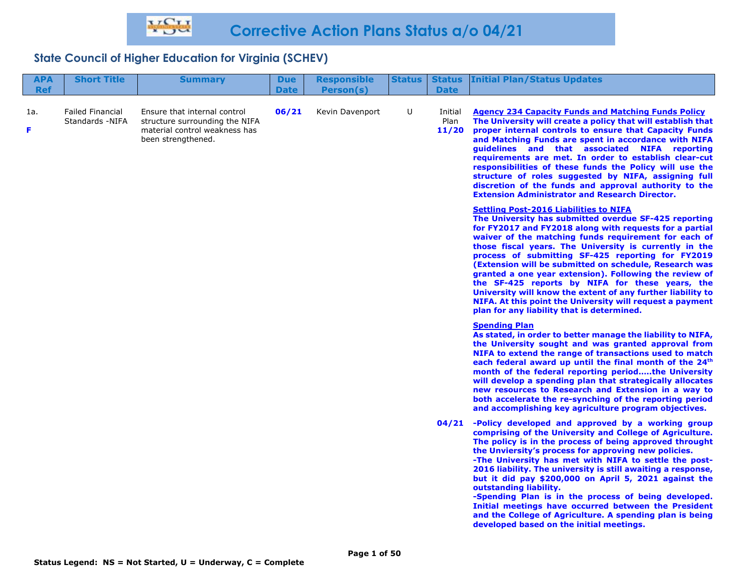# **State Council of Higher Education for Virginia (SCHEV)**

| <b>APA</b><br><b>Ref</b> | <b>Short Title</b>                          | <b>Summary</b>                                                                                                        | <b>Due</b><br><b>Date</b> | <b>Responsible</b><br>Person(s) | <b>Status</b> | <b>Status</b><br><b>Date</b> | <b>Initial Plan/Status Updates</b>                                                                                                                                                                                                                                                                                                                                                                                                                                                                                                                                                                                                                                                        |
|--------------------------|---------------------------------------------|-----------------------------------------------------------------------------------------------------------------------|---------------------------|---------------------------------|---------------|------------------------------|-------------------------------------------------------------------------------------------------------------------------------------------------------------------------------------------------------------------------------------------------------------------------------------------------------------------------------------------------------------------------------------------------------------------------------------------------------------------------------------------------------------------------------------------------------------------------------------------------------------------------------------------------------------------------------------------|
| 1a.<br>F                 | <b>Failed Financial</b><br>Standards - NIFA | Ensure that internal control<br>structure surrounding the NIFA<br>material control weakness has<br>been strengthened. | 06/21                     | Kevin Davenport                 | U             | Initial<br>Plan<br>11/20     | <b>Agency 234 Capacity Funds and Matching Funds Policy</b><br>The University will create a policy that will establish that<br>proper internal controls to ensure that Capacity Funds<br>and Matching Funds are spent in accordance with NIFA<br>guidelines and that associated NIFA reporting<br>requirements are met. In order to establish clear-cut<br>responsibilities of these funds the Policy will use the<br>structure of roles suggested by NIFA, assigning full<br>discretion of the funds and approval authority to the<br><b>Extension Administrator and Research Director.</b>                                                                                               |
|                          |                                             |                                                                                                                       |                           |                                 |               |                              | <b>Settling Post-2016 Liabilities to NIFA</b><br>The University has submitted overdue SF-425 reporting<br>for FY2017 and FY2018 along with requests for a partial<br>waiver of the matching funds requirement for each of<br>those fiscal years. The University is currently in the<br>process of submitting SF-425 reporting for FY2019<br>(Extension will be submitted on schedule, Research was<br>granted a one year extension). Following the review of<br>the SF-425 reports by NIFA for these years, the<br>University will know the extent of any further liability to<br>NIFA. At this point the University will request a payment<br>plan for any liability that is determined. |
|                          |                                             |                                                                                                                       |                           |                                 |               |                              | <b>Spending Plan</b><br>As stated, in order to better manage the liability to NIFA,<br>the University sought and was granted approval from<br>NIFA to extend the range of transactions used to match<br>each federal award up until the final month of the 24 <sup>th</sup><br>month of the federal reporting periodthe University<br>will develop a spending plan that strategically allocates<br>new resources to Research and Extension in a way to<br>both accelerate the re-synching of the reporting period<br>and accomplishing key agriculture program objectives.                                                                                                                |
|                          |                                             |                                                                                                                       |                           |                                 |               | 04/21                        | -Policy developed and approved by a working group<br>comprising of the University and College of Agriculture.<br>The policy is in the process of being approved throught<br>the Unviersity's process for approving new policies.<br>-The University has met with NIFA to settle the post-<br>2016 liability. The university is still awaiting a response,<br>but it did pay \$200,000 on April 5, 2021 against the<br>outstanding liability.<br>-Spending Plan is in the process of being developed.<br>Initial meetings have occurred between the President<br>and the College of Agriculture. A spending plan is being<br>developed based on the initial meetings.                      |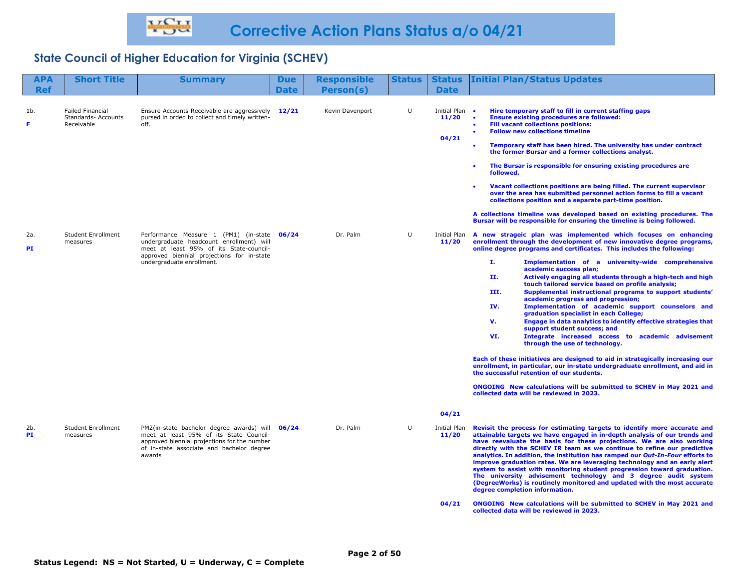# **State Council of Higher Education for Virginia (SCHEV)**

| <b>APA</b> | <b>Short Title</b>                                           | <b>Summary</b>                                                                                                                                                                                                | <b>Due</b>  | <b>Responsible</b> | <b>Status</b> | <b>Status</b>                           | <b>Initial Plan/Status Updates</b>                                                                                                                                                                                                                                                                                                                                                                                                                                                                                                                                                                                                                                                                                                                                                                                                                                                                                                                                                                                                                                                                                                                                                      |
|------------|--------------------------------------------------------------|---------------------------------------------------------------------------------------------------------------------------------------------------------------------------------------------------------------|-------------|--------------------|---------------|-----------------------------------------|-----------------------------------------------------------------------------------------------------------------------------------------------------------------------------------------------------------------------------------------------------------------------------------------------------------------------------------------------------------------------------------------------------------------------------------------------------------------------------------------------------------------------------------------------------------------------------------------------------------------------------------------------------------------------------------------------------------------------------------------------------------------------------------------------------------------------------------------------------------------------------------------------------------------------------------------------------------------------------------------------------------------------------------------------------------------------------------------------------------------------------------------------------------------------------------------|
| <b>Ref</b> |                                                              |                                                                                                                                                                                                               | <b>Date</b> | Person(s)          |               | <b>Date</b>                             |                                                                                                                                                                                                                                                                                                                                                                                                                                                                                                                                                                                                                                                                                                                                                                                                                                                                                                                                                                                                                                                                                                                                                                                         |
| 1b.<br>F   | <b>Failed Financial</b><br>Standards- Accounts<br>Receivable | Ensure Accounts Receivable are aggressively 12/21<br>pursed in orded to collect and timely written-<br>off.                                                                                                   |             | Kevin Davenport    | $\cup$        | Initial Plan •<br>11/20<br>04/21        | Hire temporary staff to fill in current staffing gaps<br><b>Ensure existing procedures are followed:</b><br>$\bullet$<br><b>Fill vacant collections positions:</b><br><b>Follow new collections timeline</b><br>Temporary staff has been hired. The university has under contract<br>the former Bursar and a former collections analyst.                                                                                                                                                                                                                                                                                                                                                                                                                                                                                                                                                                                                                                                                                                                                                                                                                                                |
|            |                                                              |                                                                                                                                                                                                               |             |                    |               |                                         | The Bursar is responsible for ensuring existing procedures are<br>٠<br>followed.<br>Vacant collections positions are being filled. The current supervisor<br>over the area has submitted personnel action forms to fill a vacant<br>collections position and a separate part-time position.<br>A collections timeline was developed based on existing procedures. The<br>Bursar will be responsible for ensuring the timeline is being followed.                                                                                                                                                                                                                                                                                                                                                                                                                                                                                                                                                                                                                                                                                                                                        |
| 2a.<br>PI  | <b>Student Enrollment</b><br>measures                        | Performance Measure 1 (PM1) (in-state 06/24<br>undergraduate headcount enrollment) will<br>meet at least 95% of its State-council-<br>approved biennial projections for in-state<br>undergraduate enrollment. |             | Dr. Palm           | U             | Initial Plan<br>11/20                   | A new strageic plan was implemented which focuses on enhancing<br>enrollment through the development of new innovative degree programs,<br>online degree programs and certificates. This includes the following:<br>Ι.<br>Implementation of a university-wide comprehensive<br>academic success plan;<br>Actively engaging all students through a high-tech and high<br>11.<br>touch tailored service based on profile analysis;<br>III.<br>Supplemental instructional programs to support students'<br>academic progress and progression;<br>Implementation of academic support counselors and<br>IV.<br>graduation specialist in each College;<br>Engage in data analytics to identify effective strategies that<br>v.<br>support student success; and<br>Integrate increased access to academic advisement<br>VI.<br>through the use of technology.<br>Each of these initiatives are designed to aid in strategically increasing our<br>enrollment, in particular, our in-state undergraduate enrollment, and aid in<br>the successful retention of our students.<br>ONGOING New calculations will be submitted to SCHEV in May 2021 and<br>collected data will be reviewed in 2023. |
| 2b.<br>PI  | <b>Student Enrollment</b><br>measures                        | PM2(in-state bachelor degree awards) will<br>meet at least 95% of its State Council-<br>approved biennial projections for the number<br>of in-state associate and bachelor degree<br>awards                   | 06/24       | Dr. Palm           | U             | 04/21<br>Initial Plan<br>11/20<br>04/21 | Revisit the process for estimating targets to identify more accurate and<br>attainable targets we have engaged in in-depth analysis of our trends and<br>have reevaluate the basis for these projections. We are also working<br>directly with the SCHEV IR team as we continue to refine our predictive<br>analytics. In addition, the institution has ramped our Out-In-Four efforts to<br>improve graduation rates. We are leveraging technology and an early alert<br>system to assist with monitoring student progression toward graduation.<br>The university advisement technology and 3 degree audit system<br>(DegreeWorks) is routinely monitored and updated with the most accurate<br>degree completion information.<br>ONGOING New calculations will be submitted to SCHEV in May 2021 and<br>collected data will be reviewed in 2023.                                                                                                                                                                                                                                                                                                                                     |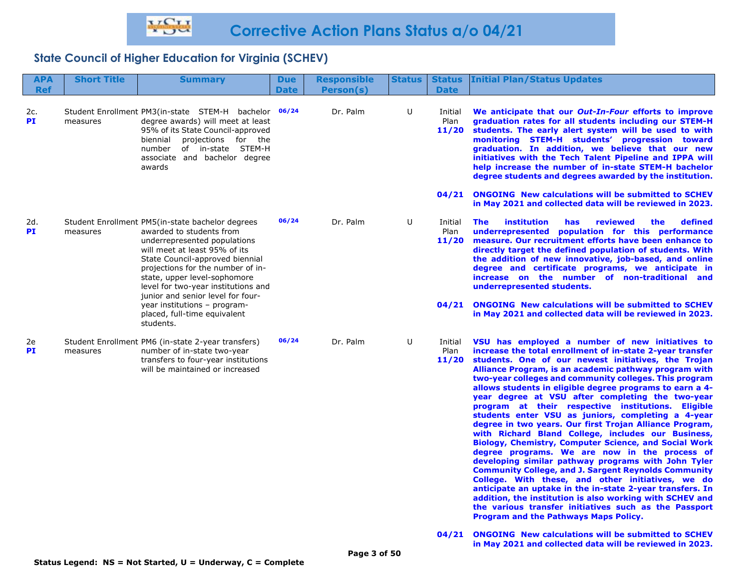## **State Council of Higher Education for Virginia (SCHEV)**

| <b>APA</b><br><b>Ref</b> | <b>Short Title</b> | <b>Summary</b>                                                                                                                                                                                                                                                                                                                     | <b>Due</b><br><b>Date</b> | <b>Responsible</b><br>Person(s) | <b>Status</b> | <b>Status</b><br><b>Date</b>      | <b>Initial Plan/Status Updates</b>                                                                                                                                                                                                                                                                                                                                                                                                                                                                                                                                                                                                                                                                                                                                                                                                                                                                                                                                                                                                                                                                                                                         |
|--------------------------|--------------------|------------------------------------------------------------------------------------------------------------------------------------------------------------------------------------------------------------------------------------------------------------------------------------------------------------------------------------|---------------------------|---------------------------------|---------------|-----------------------------------|------------------------------------------------------------------------------------------------------------------------------------------------------------------------------------------------------------------------------------------------------------------------------------------------------------------------------------------------------------------------------------------------------------------------------------------------------------------------------------------------------------------------------------------------------------------------------------------------------------------------------------------------------------------------------------------------------------------------------------------------------------------------------------------------------------------------------------------------------------------------------------------------------------------------------------------------------------------------------------------------------------------------------------------------------------------------------------------------------------------------------------------------------------|
| 2c.<br><b>PI</b>         | measures           | Student Enrollment PM3(in-state STEM-H bachelor<br>degree awards) will meet at least<br>95% of its State Council-approved<br>biennial projections for the<br>number of in-state STEM-H<br>associate and bachelor degree<br>awards                                                                                                  | 06/24                     | Dr. Palm                        | U             | Initial<br>Plan<br>11/20<br>04/21 | We anticipate that our Out-In-Four efforts to improve<br>graduation rates for all students including our STEM-H<br>students. The early alert system will be used to with<br>monitoring STEM-H students' progression toward<br>graduation. In addition, we believe that our new<br>initiatives with the Tech Talent Pipeline and IPPA will<br>help increase the number of in-state STEM-H bachelor<br>degree students and degrees awarded by the institution.<br><b>ONGOING New calculations will be submitted to SCHEV</b>                                                                                                                                                                                                                                                                                                                                                                                                                                                                                                                                                                                                                                 |
| 2d.<br><b>PI</b>         | measures           | Student Enrollment PM5 (in-state bachelor degrees<br>awarded to students from<br>underrepresented populations<br>will meet at least 95% of its<br>State Council-approved biennial<br>projections for the number of in-<br>state, upper level-sophomore<br>level for two-year institutions and<br>junior and senior level for four- | 06/24                     | Dr. Palm                        | U             | Initial<br>Plan<br>11/20          | in May 2021 and collected data will be reviewed in 2023.<br><i>institution</i><br>defined<br><b>The</b><br><b>has</b><br>reviewed<br>the<br>underrepresented population for this performance<br>measure. Our recruitment efforts have been enhance to<br>directly target the defined population of students. With<br>the addition of new innovative, job-based, and online<br>degree and certificate programs, we anticipate in<br>increase on the number of non-traditional and<br>underrepresented students.                                                                                                                                                                                                                                                                                                                                                                                                                                                                                                                                                                                                                                             |
|                          |                    | year institutions - program-<br>placed, full-time equivalent<br>students.                                                                                                                                                                                                                                                          |                           |                                 |               | 04/21                             | <b>ONGOING</b> New calculations will be submitted to SCHEV<br>in May 2021 and collected data will be reviewed in 2023.                                                                                                                                                                                                                                                                                                                                                                                                                                                                                                                                                                                                                                                                                                                                                                                                                                                                                                                                                                                                                                     |
| 2e<br><b>PI</b>          | measures           | Student Enrollment PM6 (in-state 2-year transfers)<br>number of in-state two-year<br>transfers to four-year institutions<br>will be maintained or increased                                                                                                                                                                        | 06/24                     | Dr. Palm                        | U             | Initial<br>Plan<br>11/20          | VSU has employed a number of new initiatives to<br>increase the total enrollment of in-state 2-year transfer<br>students. One of our newest initiatives, the Trojan<br>Alliance Program, is an academic pathway program with<br>two-year colleges and community colleges. This program<br>allows students in eligible degree programs to earn a 4-<br>year degree at VSU after completing the two-year<br>program at their respective institutions. Eligible<br>students enter VSU as juniors, completing a 4-year<br>degree in two years. Our first Trojan Alliance Program,<br>with Richard Bland College, includes our Business,<br><b>Biology, Chemistry, Computer Science, and Social Work</b><br>degree programs. We are now in the process of<br>developing similar pathway programs with John Tyler<br><b>Community College, and J. Sargent Reynolds Community</b><br>College. With these, and other initiatives, we do<br>anticipate an uptake in the in-state 2-year transfers. In<br>addition, the institution is also working with SCHEV and<br>the various transfer initiatives such as the Passport<br>Program and the Pathways Maps Policy. |
|                          |                    |                                                                                                                                                                                                                                                                                                                                    |                           |                                 |               | 04/21                             | <b>ONGOTNG</b> New calculations will be submitted to SCHEV                                                                                                                                                                                                                                                                                                                                                                                                                                                                                                                                                                                                                                                                                                                                                                                                                                                                                                                                                                                                                                                                                                 |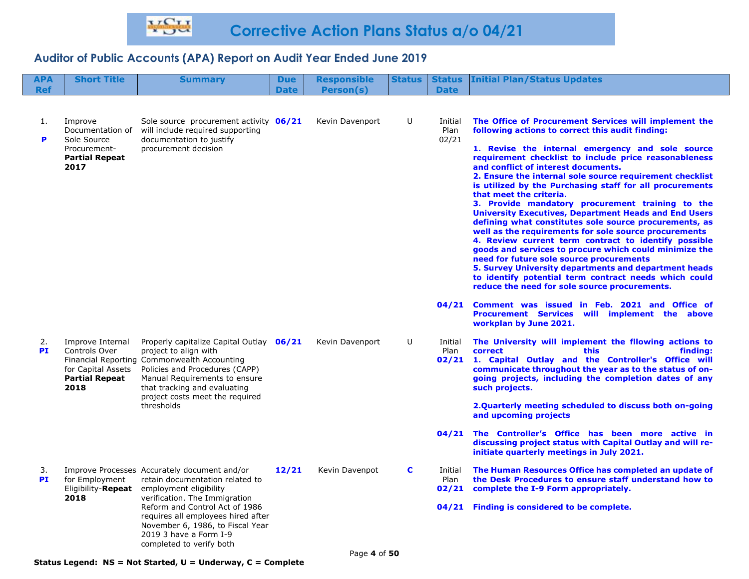| <b>APA</b>      | <b>Short Title</b>                                                                          | <b>Summary</b>                                                                                                                                                                                                                                                                                               | <b>Due</b>  | <b>Responsible</b> | <b>Status</b> | <b>Status</b>            | <b>Initial Plan/Status Updates</b>                                                                                                                                                                                                                                                                                                                                                                                                                                                                                                                                                                                                                                                                                                                                                                                                                                                                                                                                                       |
|-----------------|---------------------------------------------------------------------------------------------|--------------------------------------------------------------------------------------------------------------------------------------------------------------------------------------------------------------------------------------------------------------------------------------------------------------|-------------|--------------------|---------------|--------------------------|------------------------------------------------------------------------------------------------------------------------------------------------------------------------------------------------------------------------------------------------------------------------------------------------------------------------------------------------------------------------------------------------------------------------------------------------------------------------------------------------------------------------------------------------------------------------------------------------------------------------------------------------------------------------------------------------------------------------------------------------------------------------------------------------------------------------------------------------------------------------------------------------------------------------------------------------------------------------------------------|
| <b>Ref</b>      |                                                                                             |                                                                                                                                                                                                                                                                                                              | <b>Date</b> | Person(s)          |               | <b>Date</b>              |                                                                                                                                                                                                                                                                                                                                                                                                                                                                                                                                                                                                                                                                                                                                                                                                                                                                                                                                                                                          |
| 1.<br>P         | Improve<br>Documentation of<br>Sole Source<br>Procurement-<br><b>Partial Repeat</b><br>2017 | Sole source procurement activity 06/21<br>will include required supporting<br>documentation to justify<br>procurement decision                                                                                                                                                                               |             | Kevin Davenport    | U             | Initial<br>Plan<br>02/21 | The Office of Procurement Services will implement the<br>following actions to correct this audit finding:<br>1. Revise the internal emergency and sole source<br>requirement checklist to include price reasonableness<br>and conflict of interest documents.<br>2. Ensure the internal sole source requirement checklist<br>is utilized by the Purchasing staff for all procurements<br>that meet the criteria.<br>3. Provide mandatory procurement training to the<br><b>University Executives, Department Heads and End Users</b><br>defining what constitutes sole source procurements, as<br>well as the requirements for sole source procurements<br>4. Review current term contract to identify possible<br>goods and services to procure which could minimize the<br>need for future sole source procurements<br>5. Survey University departments and department heads<br>to identify potential term contract needs which could<br>reduce the need for sole source procurements. |
|                 |                                                                                             |                                                                                                                                                                                                                                                                                                              |             |                    |               | 04/21                    | Comment was issued in Feb. 2021 and Office of<br>Procurement Services will implement the above<br>workplan by June 2021.                                                                                                                                                                                                                                                                                                                                                                                                                                                                                                                                                                                                                                                                                                                                                                                                                                                                 |
| 2.<br><b>PI</b> | Improve Internal<br>Controls Over<br>for Capital Assets<br><b>Partial Repeat</b><br>2018    | Properly capitalize Capital Outlay 06/21<br>project to align with<br>Financial Reporting Commonwealth Accounting<br>Policies and Procedures (CAPP)<br>Manual Requirements to ensure<br>that tracking and evaluating<br>project costs meet the required<br>thresholds                                         |             | Kevin Davenport    | U             | Initial<br>Plan<br>02/21 | The University will implement the fllowing actions to<br>correct<br><b>this</b><br>findina:<br>1. Capital Outlay and the Controller's Office will<br>communicate throughout the year as to the status of on-<br>going projects, including the completion dates of any<br>such projects.<br>2.Quarterly meeting scheduled to discuss both on-going<br>and upcoming projects                                                                                                                                                                                                                                                                                                                                                                                                                                                                                                                                                                                                               |
|                 |                                                                                             |                                                                                                                                                                                                                                                                                                              |             |                    |               | 04/21                    | The Controller's Office has been more active in<br>discussing project status with Capital Outlay and will re-<br>initiate quarterly meetings in July 2021.                                                                                                                                                                                                                                                                                                                                                                                                                                                                                                                                                                                                                                                                                                                                                                                                                               |
| 3.<br><b>PI</b> | for Employment<br>Eligibility- <b>Repeat</b><br>2018                                        | Improve Processes Accurately document and/or<br>retain documentation related to<br>employment eligibility<br>verification. The Immigration<br>Reform and Control Act of 1986<br>requires all employees hired after<br>November 6, 1986, to Fiscal Year<br>2019 3 have a Form I-9<br>completed to verify both | 12/21       | Kevin Davenpot     | C             | Initial<br>Plan<br>02/21 | The Human Resources Office has completed an update of<br>the Desk Procedures to ensure staff understand how to<br>complete the I-9 Form appropriately.<br>04/21 Finding is considered to be complete.                                                                                                                                                                                                                                                                                                                                                                                                                                                                                                                                                                                                                                                                                                                                                                                    |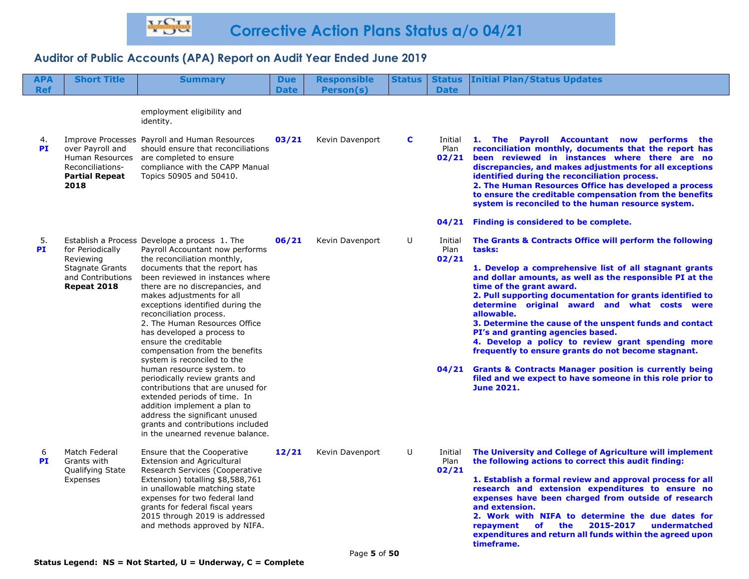| <b>APA</b><br><b>Ref</b> | <b>Short Title</b>                                                                       | <b>Summary</b>                                                                                                                                                                                                                                                                                                                                            | <b>Due</b><br><b>Date</b> | <b>Responsible</b><br>Person(s) | <b>Status</b> | <b>Status</b><br><b>Date</b> | <b>Initial Plan/Status Updates</b>                                                                                                                                                                                                                                                                                                                                                                                                                                                    |
|--------------------------|------------------------------------------------------------------------------------------|-----------------------------------------------------------------------------------------------------------------------------------------------------------------------------------------------------------------------------------------------------------------------------------------------------------------------------------------------------------|---------------------------|---------------------------------|---------------|------------------------------|---------------------------------------------------------------------------------------------------------------------------------------------------------------------------------------------------------------------------------------------------------------------------------------------------------------------------------------------------------------------------------------------------------------------------------------------------------------------------------------|
| 4.                       |                                                                                          | employment eligibility and<br>identity.<br>Improve Processes Payroll and Human Resources                                                                                                                                                                                                                                                                  | 03/21                     | Kevin Davenport                 | C             | Initial                      | 1. The Payroll Accountant now performs the                                                                                                                                                                                                                                                                                                                                                                                                                                            |
| PI                       | over Payroll and<br>Human Resources<br>Reconciliations-<br><b>Partial Repeat</b><br>2018 | should ensure that reconciliations<br>are completed to ensure<br>compliance with the CAPP Manual<br>Topics 50905 and 50410.                                                                                                                                                                                                                               |                           |                                 |               | Plan                         | reconciliation monthly, documents that the report has<br>02/21 been reviewed in instances where there are no<br>discrepancies, and makes adjustments for all exceptions<br>identified during the reconciliation process.<br>2. The Human Resources Office has developed a process<br>to ensure the creditable compensation from the benefits<br>system is reconciled to the human resource system.                                                                                    |
|                          |                                                                                          |                                                                                                                                                                                                                                                                                                                                                           |                           |                                 |               |                              | 04/21 Finding is considered to be complete.                                                                                                                                                                                                                                                                                                                                                                                                                                           |
| 5.<br><b>PI</b>          | for Periodically<br>Reviewing                                                            | Establish a Process Develope a process 1. The<br>Payroll Accountant now performs<br>the reconciliation monthly,                                                                                                                                                                                                                                           | 06/21                     | Kevin Davenport                 | U             | Initial<br>Plan<br>02/21     | The Grants & Contracts Office will perform the following<br>tasks:                                                                                                                                                                                                                                                                                                                                                                                                                    |
|                          | <b>Stagnate Grants</b><br>and Contributions<br>Repeat 2018                               | documents that the report has<br>been reviewed in instances where<br>there are no discrepancies, and<br>makes adjustments for all<br>exceptions identified during the<br>reconciliation process.<br>2. The Human Resources Office<br>has developed a process to<br>ensure the creditable<br>compensation from the benefits<br>system is reconciled to the |                           |                                 |               |                              | 1. Develop a comprehensive list of all stagnant grants<br>and dollar amounts, as well as the responsible PI at the<br>time of the grant award.<br>2. Pull supporting documentation for grants identified to<br>determine original award and what costs were<br>allowable.<br>3. Determine the cause of the unspent funds and contact<br>PI's and granting agencies based.<br>4. Develop a policy to review grant spending more<br>frequently to ensure grants do not become stagnant. |
|                          |                                                                                          | human resource system. to<br>periodically review grants and<br>contributions that are unused for<br>extended periods of time. In<br>addition implement a plan to<br>address the significant unused<br>grants and contributions included<br>in the unearned revenue balance.                                                                               |                           |                                 |               |                              | 04/21 Grants & Contracts Manager position is currently being<br>filed and we expect to have someone in this role prior to<br><b>June 2021.</b>                                                                                                                                                                                                                                                                                                                                        |
| 6<br>PI                  | Match Federal<br>Grants with<br>Qualifying State                                         | Ensure that the Cooperative<br><b>Extension and Agricultural</b><br>Research Services (Cooperative                                                                                                                                                                                                                                                        | 12/21                     | Kevin Davenport                 | U             | Initial<br>Plan<br>02/21     | The University and College of Agriculture will implement<br>the following actions to correct this audit finding:                                                                                                                                                                                                                                                                                                                                                                      |
|                          | Expenses                                                                                 | Extension) totalling \$8,588,761<br>in unallowable matching state<br>expenses for two federal land<br>grants for federal fiscal years<br>2015 through 2019 is addressed<br>and methods approved by NIFA.                                                                                                                                                  |                           |                                 |               |                              | 1. Establish a formal review and approval process for all<br>research and extension expenditures to ensure no<br>expenses have been charged from outside of research<br>and extension.<br>2. Work with NIFA to determine the due dates for<br>of the<br>2015-2017<br>undermatched<br>repayment<br>expenditures and return all funds within the agreed upon<br>timeframe.                                                                                                              |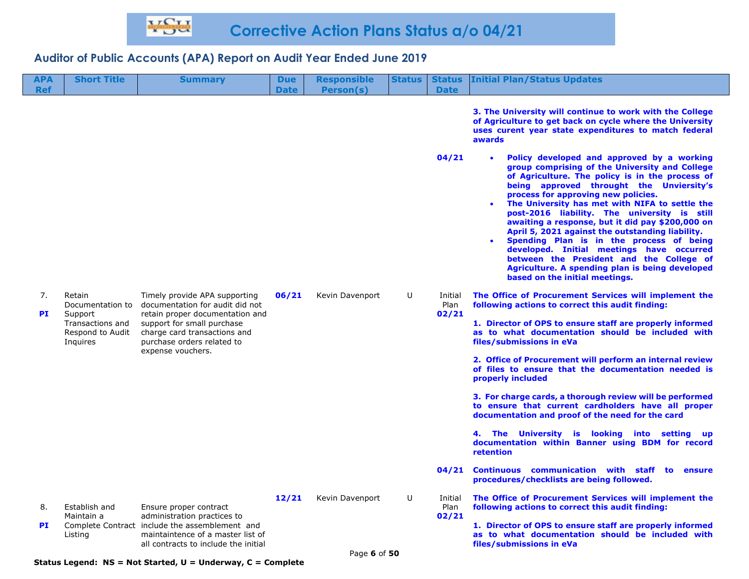| APA<br><b>Ref</b> | <b>Short Title</b>                                          | <b>Summary</b>                                                                                                                                             | <b>Due</b><br><b>Date</b> | <b>Responsible</b><br>Person(s) | <b>Status</b> | <b>Status</b><br><b>Date</b> | <b>Initial Plan/Status Updates</b>                                                                                                                                                                                                                                                                                                                                                                                                                                                                                                                                                                                                                                                  |
|-------------------|-------------------------------------------------------------|------------------------------------------------------------------------------------------------------------------------------------------------------------|---------------------------|---------------------------------|---------------|------------------------------|-------------------------------------------------------------------------------------------------------------------------------------------------------------------------------------------------------------------------------------------------------------------------------------------------------------------------------------------------------------------------------------------------------------------------------------------------------------------------------------------------------------------------------------------------------------------------------------------------------------------------------------------------------------------------------------|
|                   |                                                             |                                                                                                                                                            |                           |                                 |               |                              | 3. The University will continue to work with the College<br>of Agriculture to get back on cycle where the University<br>uses curent year state expenditures to match federal<br>awards                                                                                                                                                                                                                                                                                                                                                                                                                                                                                              |
|                   |                                                             |                                                                                                                                                            |                           |                                 |               | 04/21                        | Policy developed and approved by a working<br>group comprising of the University and College<br>of Agriculture. The policy is in the process of<br>being approved throught the Unviersity's<br>process for approving new policies.<br>The University has met with NIFA to settle the<br>post-2016 liability. The university is still<br>awaiting a response, but it did pay \$200,000 on<br>April 5, 2021 against the outstanding liability.<br>Spending Plan is in the process of being<br>$\bullet$<br>developed. Initial meetings have occurred<br>between the President and the College of<br>Agriculture. A spending plan is being developed<br>based on the initial meetings. |
| 7.                | Retain<br>Documentation to                                  | Timely provide APA supporting<br>documentation for audit did not                                                                                           | 06/21                     | Kevin Davenport                 | U             | Initial<br>Plan<br>02/21     | The Office of Procurement Services will implement the<br>following actions to correct this audit finding:                                                                                                                                                                                                                                                                                                                                                                                                                                                                                                                                                                           |
| <b>PI</b>         | Support<br>Transactions and<br>Respond to Audit<br>Inquires | retain proper documentation and<br>support for small purchase<br>charge card transactions and<br>purchase orders related to<br>expense vouchers.           |                           |                                 |               |                              | 1. Director of OPS to ensure staff are properly informed<br>as to what documentation should be included with<br>files/submissions in eVa                                                                                                                                                                                                                                                                                                                                                                                                                                                                                                                                            |
|                   |                                                             |                                                                                                                                                            |                           |                                 |               |                              | 2. Office of Procurement will perform an internal review<br>of files to ensure that the documentation needed is<br>properly included                                                                                                                                                                                                                                                                                                                                                                                                                                                                                                                                                |
|                   |                                                             |                                                                                                                                                            |                           |                                 |               |                              | 3. For charge cards, a thorough review will be performed<br>to ensure that current cardholders have all proper<br>documentation and proof of the need for the card                                                                                                                                                                                                                                                                                                                                                                                                                                                                                                                  |
|                   |                                                             |                                                                                                                                                            |                           |                                 |               |                              | 4. The University is looking<br>into<br>setting<br><b>up</b><br>documentation within Banner using BDM for record<br>retention                                                                                                                                                                                                                                                                                                                                                                                                                                                                                                                                                       |
|                   |                                                             |                                                                                                                                                            |                           |                                 |               | 04/21                        | <b>Continuous communication with staff</b><br>to<br>ensure<br>procedures/checklists are being followed.                                                                                                                                                                                                                                                                                                                                                                                                                                                                                                                                                                             |
| 8.                | Establish and                                               | Ensure proper contract                                                                                                                                     | 12/21                     | Kevin Davenport                 | U             | Initial<br>Plan              | The Office of Procurement Services will implement the<br>following actions to correct this audit finding:                                                                                                                                                                                                                                                                                                                                                                                                                                                                                                                                                                           |
| <b>PI</b>         | Maintain a<br>Listing                                       | administration practices to<br>Complete Contract include the assemblement and<br>maintaintence of a master list of<br>all contracts to include the initial |                           |                                 |               | 02/21                        | 1. Director of OPS to ensure staff are properly informed<br>as to what documentation should be included with<br>files/submissions in eVa                                                                                                                                                                                                                                                                                                                                                                                                                                                                                                                                            |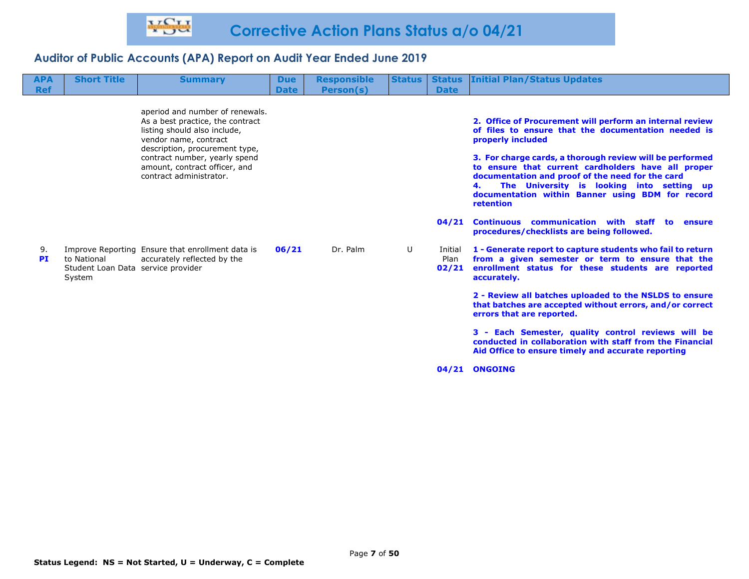| <b>APA</b><br><b>Ref</b> | <b>Short Title</b>                                          | <b>Summary</b>                                                                                                                                                                                                                                              | <b>Due</b><br><b>Date</b> | <b>Responsible</b><br>Person(s) | <b>Status</b> | <b>Status</b><br><b>Date</b>      | <b>Initial Plan/Status Updates</b>                                                                                                                                                                                                                                                                                                                                                                                                                                                                                                     |
|--------------------------|-------------------------------------------------------------|-------------------------------------------------------------------------------------------------------------------------------------------------------------------------------------------------------------------------------------------------------------|---------------------------|---------------------------------|---------------|-----------------------------------|----------------------------------------------------------------------------------------------------------------------------------------------------------------------------------------------------------------------------------------------------------------------------------------------------------------------------------------------------------------------------------------------------------------------------------------------------------------------------------------------------------------------------------------|
|                          |                                                             | aperiod and number of renewals.<br>As a best practice, the contract<br>listing should also include,<br>vendor name, contract<br>description, procurement type,<br>contract number, yearly spend<br>amount, contract officer, and<br>contract administrator. |                           |                                 |               | 04/21                             | 2. Office of Procurement will perform an internal review<br>of files to ensure that the documentation needed is<br>properly included<br>3. For charge cards, a thorough review will be performed<br>to ensure that current cardholders have all proper<br>documentation and proof of the need for the card<br>The University is looking into setting up<br>documentation within Banner using BDM for record<br>retention<br>communication with staff<br><b>Continuous</b><br>to<br>ensure<br>procedures/checklists are being followed. |
| 9.<br><b>PI</b>          | to National<br>Student Loan Data service provider<br>System | Improve Reporting Ensure that enrollment data is<br>accurately reflected by the                                                                                                                                                                             | 06/21                     | Dr. Palm                        | U             | Initial<br>Plan<br>02/21<br>04/21 | 1 - Generate report to capture students who fail to return<br>from a given semester or term to ensure that the<br>enrollment status for these students are reported<br>accurately.<br>2 - Review all batches uploaded to the NSLDS to ensure<br>that batches are accepted without errors, and/or correct<br>errors that are reported.<br>3 - Each Semester, quality control reviews will be<br>conducted in collaboration with staff from the Financial<br>Aid Office to ensure timely and accurate reporting<br><b>ONGOING</b>        |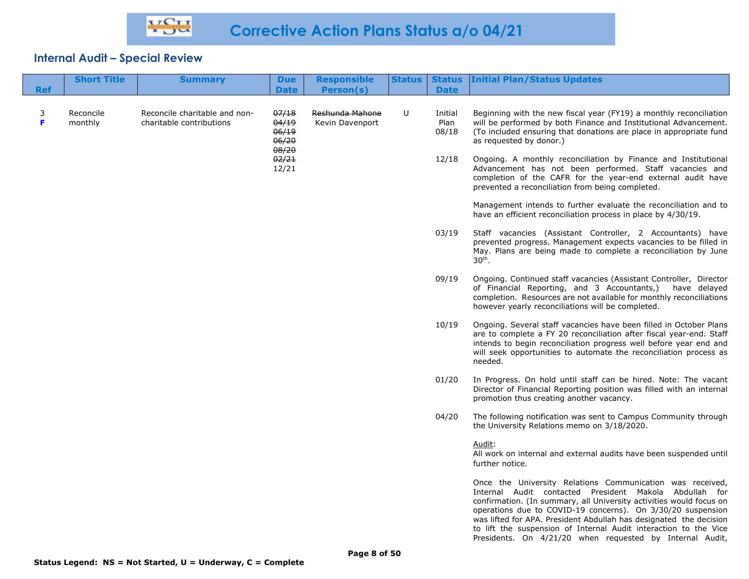| <b>Ref</b> | <b>Short Title</b>   | <b>Summary</b>                                            | <b>Due</b><br><b>Date</b>                 | <b>Responsible</b><br><b>Person(s)</b> | <b>Status</b> | <b>Date</b>              | <b>Status Initial Plan/Status Updates</b>                                                                                                                                                                                                                                                                                                                                                                                                                       |
|------------|----------------------|-----------------------------------------------------------|-------------------------------------------|----------------------------------------|---------------|--------------------------|-----------------------------------------------------------------------------------------------------------------------------------------------------------------------------------------------------------------------------------------------------------------------------------------------------------------------------------------------------------------------------------------------------------------------------------------------------------------|
| 3<br>F     | Reconcile<br>monthly | Reconcile charitable and non-<br>charitable contributions | 07/18<br>04/19<br>06/19<br>06/20<br>08/20 | Reshunda Mahone<br>Kevin Davenport     | U             | Initial<br>Plan<br>08/18 | Beginning with the new fiscal year (FY19) a monthly reconciliation<br>will be performed by both Finance and Institutional Advancement.<br>(To included ensuring that donations are place in appropriate fund<br>as requested by donor.)                                                                                                                                                                                                                         |
|            |                      |                                                           | 02/21<br>12/21                            |                                        |               | 12/18                    | Ongoing. A monthly reconciliation by Finance and Institutional<br>Advancement has not been performed. Staff vacancies and<br>completion of the CAFR for the year-end external audit have<br>prevented a reconciliation from being completed.                                                                                                                                                                                                                    |
|            |                      |                                                           |                                           |                                        |               |                          | Management intends to further evaluate the reconciliation and to<br>have an efficient reconciliation process in place by 4/30/19.                                                                                                                                                                                                                                                                                                                               |
|            |                      |                                                           |                                           |                                        |               | 03/19                    | Staff vacancies (Assistant Controller, 2 Accountants) have<br>prevented progress. Management expects vacancies to be filled in<br>May. Plans are being made to complete a reconciliation by June<br>$30th$ .                                                                                                                                                                                                                                                    |
|            |                      |                                                           |                                           |                                        |               | 09/19                    | Ongoing. Continued staff vacancies (Assistant Controller, Director<br>of Financial Reporting, and 3 Accountants,) have delayed<br>completion. Resources are not available for monthly reconciliations<br>however yearly reconciliations will be completed.                                                                                                                                                                                                      |
|            |                      |                                                           |                                           |                                        |               | 10/19                    | Ongoing. Several staff vacancies have been filled in October Plans<br>are to complete a FY 20 reconciliation after fiscal year-end. Staff<br>intends to begin reconciliation progress well before year end and<br>will seek opportunities to automate the reconciliation process as<br>needed.                                                                                                                                                                  |
|            |                      |                                                           |                                           |                                        |               | 01/20                    | In Progress. On hold until staff can be hired. Note: The vacant<br>Director of Financial Reporting position was filled with an internal<br>promotion thus creating another vacancy.                                                                                                                                                                                                                                                                             |
|            |                      |                                                           |                                           |                                        |               | 04/20                    | The following notification was sent to Campus Community through<br>the University Relations memo on 3/18/2020.                                                                                                                                                                                                                                                                                                                                                  |
|            |                      |                                                           |                                           |                                        |               |                          | Audit:<br>All work on internal and external audits have been suspended until<br>further notice.                                                                                                                                                                                                                                                                                                                                                                 |
|            |                      |                                                           |                                           |                                        |               |                          | Once the University Relations Communication was received,<br>Internal Audit contacted President Makola Abdullah for<br>confirmation. (In summary, all University activities would focus on<br>operations due to COVID-19 concerns). On 3/30/20 suspension<br>was lifted for APA. President Abdullah has designated the decision<br>to lift the suspension of Internal Audit interaction to the Vice<br>Presidents. On 4/21/20 when requested by Internal Audit, |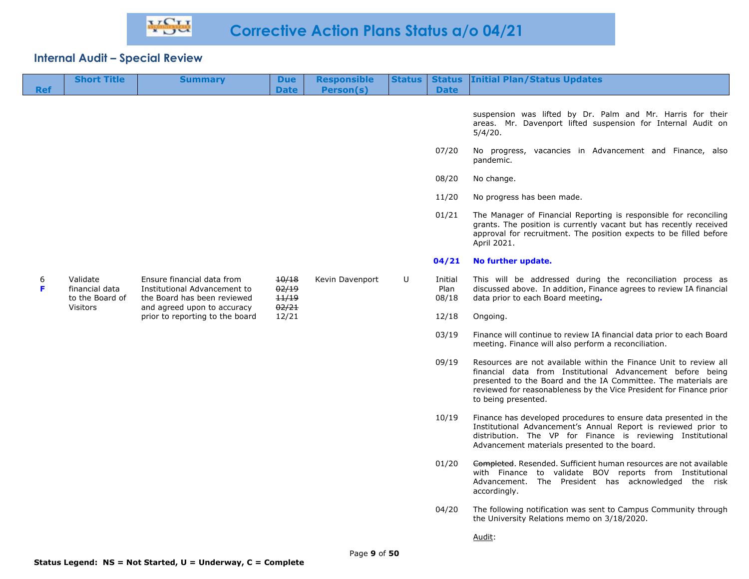|            | <b>Short Title</b>                                               | <b>Summary</b>                                                                                                           | <b>Due</b>                       | <b>Responsible</b> | <b>Status</b> | <b>Status</b>            | <b>Initial Plan/Status Updates</b>                                                                                                                                                                                                                                                              |
|------------|------------------------------------------------------------------|--------------------------------------------------------------------------------------------------------------------------|----------------------------------|--------------------|---------------|--------------------------|-------------------------------------------------------------------------------------------------------------------------------------------------------------------------------------------------------------------------------------------------------------------------------------------------|
| <b>Ref</b> |                                                                  |                                                                                                                          | <b>Date</b>                      | <b>Person(s)</b>   |               | <b>Date</b>              |                                                                                                                                                                                                                                                                                                 |
|            |                                                                  |                                                                                                                          |                                  |                    |               |                          | suspension was lifted by Dr. Palm and Mr. Harris for their<br>areas. Mr. Davenport lifted suspension for Internal Audit on<br>5/4/20.                                                                                                                                                           |
|            |                                                                  |                                                                                                                          |                                  |                    |               | 07/20                    | No progress, vacancies in Advancement and Finance, also<br>pandemic.                                                                                                                                                                                                                            |
|            |                                                                  |                                                                                                                          |                                  |                    |               | 08/20                    | No change.                                                                                                                                                                                                                                                                                      |
|            |                                                                  |                                                                                                                          |                                  |                    |               | 11/20                    | No progress has been made.                                                                                                                                                                                                                                                                      |
|            |                                                                  |                                                                                                                          |                                  |                    |               | 01/21                    | The Manager of Financial Reporting is responsible for reconciling<br>grants. The position is currently vacant but has recently received<br>approval for recruitment. The position expects to be filled before<br>April 2021.                                                                    |
|            |                                                                  |                                                                                                                          |                                  |                    |               | 04/21                    | No further update.                                                                                                                                                                                                                                                                              |
| 6<br>F     | Validate<br>financial data<br>to the Board of<br><b>Visitors</b> | Ensure financial data from<br>Institutional Advancement to<br>the Board has been reviewed<br>and agreed upon to accuracy | 10/18<br>02/19<br>11/19<br>02/21 | Kevin Davenport    | U             | Initial<br>Plan<br>08/18 | This will be addressed during the reconciliation process as<br>discussed above. In addition, Finance agrees to review IA financial<br>data prior to each Board meeting.                                                                                                                         |
|            |                                                                  | prior to reporting to the board                                                                                          | 12/21                            |                    |               | 12/18                    | Ongoing.                                                                                                                                                                                                                                                                                        |
|            |                                                                  |                                                                                                                          |                                  |                    |               | 03/19                    | Finance will continue to review IA financial data prior to each Board<br>meeting. Finance will also perform a reconciliation.                                                                                                                                                                   |
|            |                                                                  |                                                                                                                          |                                  |                    |               | 09/19                    | Resources are not available within the Finance Unit to review all<br>financial data from Institutional Advancement before being<br>presented to the Board and the IA Committee. The materials are<br>reviewed for reasonableness by the Vice President for Finance prior<br>to being presented. |
|            |                                                                  |                                                                                                                          |                                  |                    |               | 10/19                    | Finance has developed procedures to ensure data presented in the<br>Institutional Advancement's Annual Report is reviewed prior to<br>distribution. The VP for Finance is reviewing Institutional<br>Advancement materials presented to the board.                                              |
|            |                                                                  |                                                                                                                          |                                  |                    |               | 01/20                    | Completed. Resended. Sufficient human resources are not available<br>with Finance to validate BOV reports from Institutional<br>Advancement. The President has acknowledged the risk<br>accordingly.                                                                                            |
|            |                                                                  |                                                                                                                          |                                  |                    |               | 04/20                    | The following notification was sent to Campus Community through<br>the University Relations memo on 3/18/2020.                                                                                                                                                                                  |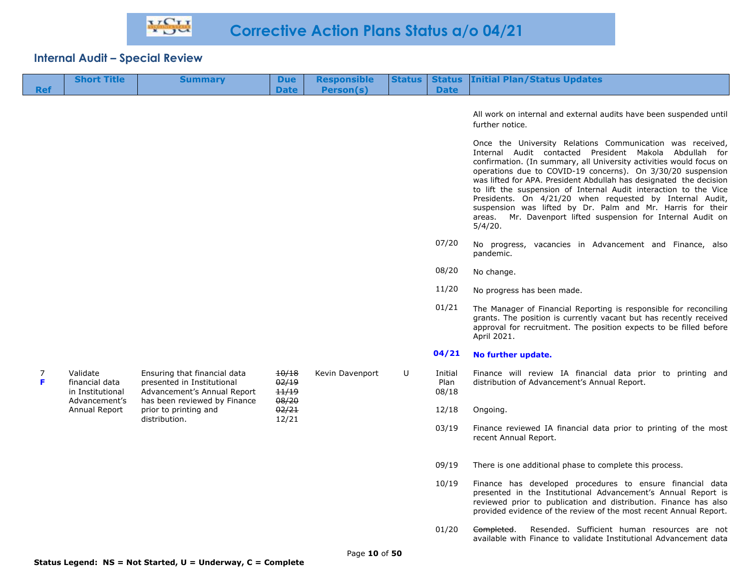| <b>Ref</b> | <b>Short Title</b>                                              | <b>Summary</b>                                                                                                            | <b>Due</b><br><b>Date</b>        | <b>Responsible</b><br>Person(s) | <b>Status</b> | <b>Status</b><br><b>Date</b> | <b>Initial Plan/Status Updates</b>                                                                                                                                                                                                                                                                                                                                                                                                                                                                                                                                                                          |
|------------|-----------------------------------------------------------------|---------------------------------------------------------------------------------------------------------------------------|----------------------------------|---------------------------------|---------------|------------------------------|-------------------------------------------------------------------------------------------------------------------------------------------------------------------------------------------------------------------------------------------------------------------------------------------------------------------------------------------------------------------------------------------------------------------------------------------------------------------------------------------------------------------------------------------------------------------------------------------------------------|
|            |                                                                 |                                                                                                                           |                                  |                                 |               |                              | All work on internal and external audits have been suspended until<br>further notice.                                                                                                                                                                                                                                                                                                                                                                                                                                                                                                                       |
|            |                                                                 |                                                                                                                           |                                  |                                 |               |                              | Once the University Relations Communication was received,<br>Internal Audit contacted President Makola Abdullah for<br>confirmation. (In summary, all University activities would focus on<br>operations due to COVID-19 concerns). On 3/30/20 suspension<br>was lifted for APA. President Abdullah has designated the decision<br>to lift the suspension of Internal Audit interaction to the Vice<br>Presidents. On 4/21/20 when requested by Internal Audit,<br>suspension was lifted by Dr. Palm and Mr. Harris for their<br>Mr. Davenport lifted suspension for Internal Audit on<br>areas.<br>5/4/20. |
|            |                                                                 |                                                                                                                           |                                  |                                 |               | 07/20                        | No progress, vacancies in Advancement and Finance, also<br>pandemic.                                                                                                                                                                                                                                                                                                                                                                                                                                                                                                                                        |
|            |                                                                 |                                                                                                                           |                                  |                                 |               | 08/20                        | No change.                                                                                                                                                                                                                                                                                                                                                                                                                                                                                                                                                                                                  |
|            |                                                                 |                                                                                                                           |                                  |                                 |               | 11/20                        | No progress has been made.                                                                                                                                                                                                                                                                                                                                                                                                                                                                                                                                                                                  |
|            |                                                                 |                                                                                                                           |                                  |                                 |               | 01/21                        | The Manager of Financial Reporting is responsible for reconciling<br>grants. The position is currently vacant but has recently received<br>approval for recruitment. The position expects to be filled before<br>April 2021.                                                                                                                                                                                                                                                                                                                                                                                |
|            |                                                                 |                                                                                                                           |                                  |                                 |               | 04/21                        | No further update.                                                                                                                                                                                                                                                                                                                                                                                                                                                                                                                                                                                          |
| 7<br>F     | Validate<br>financial data<br>in Institutional<br>Advancement's | Ensuring that financial data<br>presented in Institutional<br>Advancement's Annual Report<br>has been reviewed by Finance | 10/18<br>02/19<br>11/19<br>08/20 | Kevin Davenport                 | U             | Initial<br>Plan<br>08/18     | Finance will review IA financial data prior to printing and<br>distribution of Advancement's Annual Report.                                                                                                                                                                                                                                                                                                                                                                                                                                                                                                 |
|            | Annual Report                                                   | prior to printing and<br>distribution.                                                                                    | 02/21<br>12/21                   |                                 |               | 12/18                        | Ongoing.                                                                                                                                                                                                                                                                                                                                                                                                                                                                                                                                                                                                    |
|            |                                                                 |                                                                                                                           |                                  |                                 |               | 03/19                        | Finance reviewed IA financial data prior to printing of the most<br>recent Annual Report.                                                                                                                                                                                                                                                                                                                                                                                                                                                                                                                   |
|            |                                                                 |                                                                                                                           |                                  |                                 |               | 09/19                        | There is one additional phase to complete this process.                                                                                                                                                                                                                                                                                                                                                                                                                                                                                                                                                     |
|            |                                                                 |                                                                                                                           |                                  |                                 |               | 10/19                        | Finance has developed procedures to ensure financial data<br>presented in the Institutional Advancement's Annual Report is<br>reviewed prior to publication and distribution. Finance has also<br>provided evidence of the review of the most recent Annual Report.                                                                                                                                                                                                                                                                                                                                         |
|            |                                                                 |                                                                                                                           |                                  |                                 |               | 01/20                        | Resended. Sufficient human resources are not<br>Completed.<br>available with Finance to validate Institutional Advancement data                                                                                                                                                                                                                                                                                                                                                                                                                                                                             |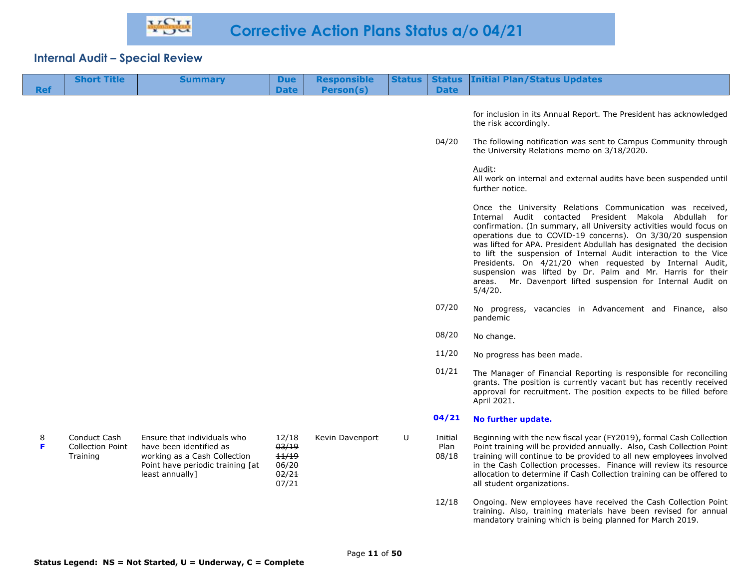|            | <b>Short Title</b>                                  | <b>Summary</b>                                                                                                                                | <b>Due</b>                                         | <b>Responsible</b> | <b>Status</b> | <b>Status</b>            | <b>Initial Plan/Status Updates</b>                                                                                                                                                                                                                                                                                                                                                                                                                                                                                                                                                                          |
|------------|-----------------------------------------------------|-----------------------------------------------------------------------------------------------------------------------------------------------|----------------------------------------------------|--------------------|---------------|--------------------------|-------------------------------------------------------------------------------------------------------------------------------------------------------------------------------------------------------------------------------------------------------------------------------------------------------------------------------------------------------------------------------------------------------------------------------------------------------------------------------------------------------------------------------------------------------------------------------------------------------------|
| <b>Ref</b> |                                                     |                                                                                                                                               | <b>Date</b>                                        | Person(s)          |               | <b>Date</b>              |                                                                                                                                                                                                                                                                                                                                                                                                                                                                                                                                                                                                             |
|            |                                                     |                                                                                                                                               |                                                    |                    |               |                          | for inclusion in its Annual Report. The President has acknowledged<br>the risk accordingly.                                                                                                                                                                                                                                                                                                                                                                                                                                                                                                                 |
|            |                                                     |                                                                                                                                               |                                                    |                    |               | 04/20                    | The following notification was sent to Campus Community through<br>the University Relations memo on 3/18/2020.                                                                                                                                                                                                                                                                                                                                                                                                                                                                                              |
|            |                                                     |                                                                                                                                               |                                                    |                    |               |                          | <u>Audit:</u><br>All work on internal and external audits have been suspended until<br>further notice.                                                                                                                                                                                                                                                                                                                                                                                                                                                                                                      |
|            |                                                     |                                                                                                                                               |                                                    |                    |               |                          | Once the University Relations Communication was received,<br>Internal Audit contacted President Makola Abdullah for<br>confirmation. (In summary, all University activities would focus on<br>operations due to COVID-19 concerns). On 3/30/20 suspension<br>was lifted for APA. President Abdullah has designated the decision<br>to lift the suspension of Internal Audit interaction to the Vice<br>Presidents. On 4/21/20 when requested by Internal Audit,<br>suspension was lifted by Dr. Palm and Mr. Harris for their<br>Mr. Davenport lifted suspension for Internal Audit on<br>areas.<br>5/4/20. |
|            |                                                     |                                                                                                                                               |                                                    |                    |               | 07/20                    | No progress, vacancies in Advancement and Finance, also<br>pandemic                                                                                                                                                                                                                                                                                                                                                                                                                                                                                                                                         |
|            |                                                     |                                                                                                                                               |                                                    |                    |               | 08/20                    | No change.                                                                                                                                                                                                                                                                                                                                                                                                                                                                                                                                                                                                  |
|            |                                                     |                                                                                                                                               |                                                    |                    |               | 11/20                    | No progress has been made.                                                                                                                                                                                                                                                                                                                                                                                                                                                                                                                                                                                  |
|            |                                                     |                                                                                                                                               |                                                    |                    |               | 01/21                    | The Manager of Financial Reporting is responsible for reconciling<br>grants. The position is currently vacant but has recently received<br>approval for recruitment. The position expects to be filled before<br>April 2021.                                                                                                                                                                                                                                                                                                                                                                                |
|            |                                                     |                                                                                                                                               |                                                    |                    |               | 04/21                    | No further update.                                                                                                                                                                                                                                                                                                                                                                                                                                                                                                                                                                                          |
| 8<br>F     | Conduct Cash<br><b>Collection Point</b><br>Training | Ensure that individuals who<br>have been identified as<br>working as a Cash Collection<br>Point have periodic training [at<br>least annually] | 12/18<br>03/19<br>11/19<br>06/20<br>02/21<br>07/21 | Kevin Davenport    | U             | Initial<br>Plan<br>08/18 | Beginning with the new fiscal year (FY2019), formal Cash Collection<br>Point training will be provided annually. Also, Cash Collection Point<br>training will continue to be provided to all new employees involved<br>in the Cash Collection processes. Finance will review its resource<br>allocation to determine if Cash Collection training can be offered to<br>all student organizations.                                                                                                                                                                                                            |
|            |                                                     |                                                                                                                                               |                                                    |                    |               | 12/18                    | Ongoing. New employees have received the Cash Collection Point<br>training. Also, training materials have been revised for annual<br>mandatory training which is being planned for March 2019.                                                                                                                                                                                                                                                                                                                                                                                                              |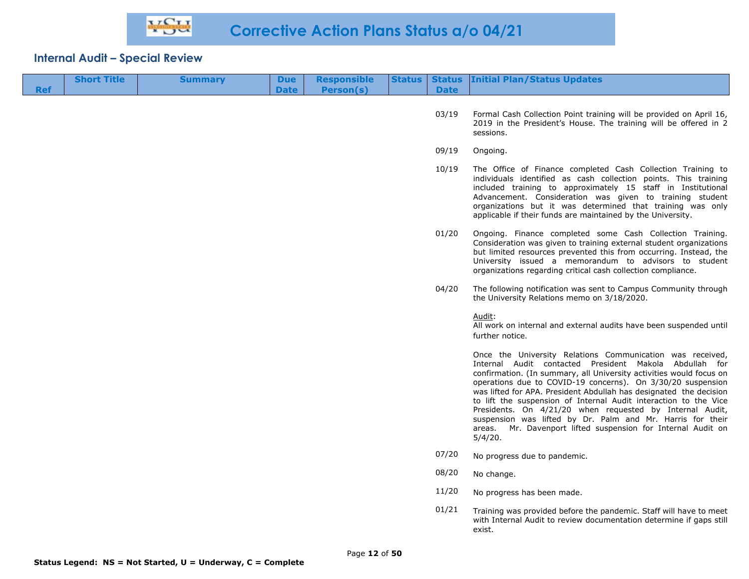| <b>Ref</b> | <b>Short Title</b> | <b>Summary</b> | <b>Due</b><br><b>Date</b> | <b>Responsible</b><br><b>Person(s)</b> | <b>Status</b> | <b>Date</b> | <b>Status Initial Plan/Status Updates</b>                                                                                                                                                                                                                                                                                                                                                                                                                                                                                                                                                                |
|------------|--------------------|----------------|---------------------------|----------------------------------------|---------------|-------------|----------------------------------------------------------------------------------------------------------------------------------------------------------------------------------------------------------------------------------------------------------------------------------------------------------------------------------------------------------------------------------------------------------------------------------------------------------------------------------------------------------------------------------------------------------------------------------------------------------|
|            |                    |                |                           |                                        |               | 03/19       | Formal Cash Collection Point training will be provided on April 16,<br>2019 in the President's House. The training will be offered in 2<br>sessions.                                                                                                                                                                                                                                                                                                                                                                                                                                                     |
|            |                    |                |                           |                                        |               | 09/19       | Ongoing.                                                                                                                                                                                                                                                                                                                                                                                                                                                                                                                                                                                                 |
|            |                    |                |                           |                                        |               | 10/19       | The Office of Finance completed Cash Collection Training to<br>individuals identified as cash collection points. This training<br>included training to approximately 15 staff in Institutional<br>Advancement. Consideration was given to training student<br>organizations but it was determined that training was only<br>applicable if their funds are maintained by the University.                                                                                                                                                                                                                  |
|            |                    |                |                           |                                        |               | 01/20       | Ongoing. Finance completed some Cash Collection Training.<br>Consideration was given to training external student organizations<br>but limited resources prevented this from occurring. Instead, the<br>University issued a memorandum to advisors to student<br>organizations regarding critical cash collection compliance.                                                                                                                                                                                                                                                                            |
|            |                    |                |                           |                                        |               | 04/20       | The following notification was sent to Campus Community through<br>the University Relations memo on 3/18/2020.                                                                                                                                                                                                                                                                                                                                                                                                                                                                                           |
|            |                    |                |                           |                                        |               |             | Audit:<br>All work on internal and external audits have been suspended until<br>further notice.                                                                                                                                                                                                                                                                                                                                                                                                                                                                                                          |
|            |                    |                |                           |                                        |               |             | Once the University Relations Communication was received,<br>Internal Audit contacted President Makola Abdullah for<br>confirmation. (In summary, all University activities would focus on<br>operations due to COVID-19 concerns). On 3/30/20 suspension<br>was lifted for APA. President Abdullah has designated the decision<br>to lift the suspension of Internal Audit interaction to the Vice<br>Presidents. On 4/21/20 when requested by Internal Audit,<br>suspension was lifted by Dr. Palm and Mr. Harris for their<br>areas. Mr. Davenport lifted suspension for Internal Audit on<br>5/4/20. |
|            |                    |                |                           |                                        |               | 07/20       | No progress due to pandemic.                                                                                                                                                                                                                                                                                                                                                                                                                                                                                                                                                                             |
|            |                    |                |                           |                                        |               | 08/20       | No change.                                                                                                                                                                                                                                                                                                                                                                                                                                                                                                                                                                                               |
|            |                    |                |                           |                                        |               | 11/20       | No progress has been made.                                                                                                                                                                                                                                                                                                                                                                                                                                                                                                                                                                               |
|            |                    |                |                           |                                        |               | 01/21       | Training was provided before the pandemic. Staff will have to meet<br>with Internal Audit to review documentation determine if gaps still<br>exist.                                                                                                                                                                                                                                                                                                                                                                                                                                                      |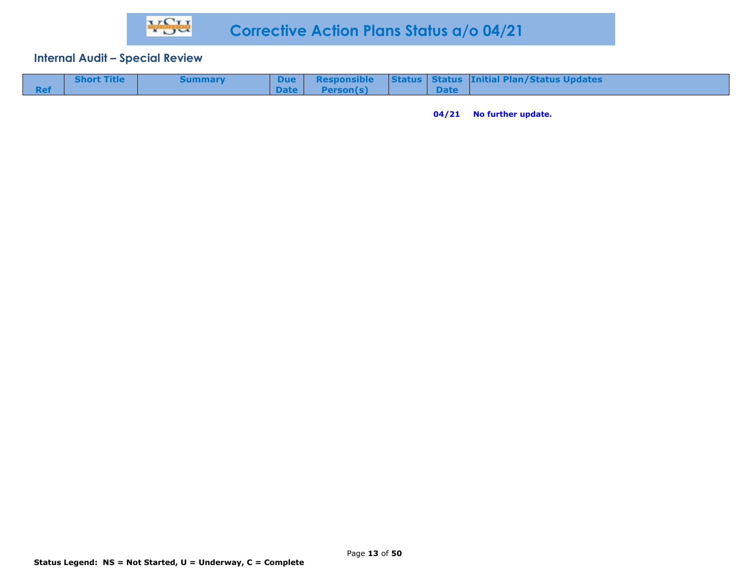| <b>Short Title</b> | Summary |        |           |             | Due Responsible Status Status Initial Plan/Status Updates |
|--------------------|---------|--------|-----------|-------------|-----------------------------------------------------------|
|                    |         | Date I | Person(s) | <b>Date</b> |                                                           |

**04/21 No further update.**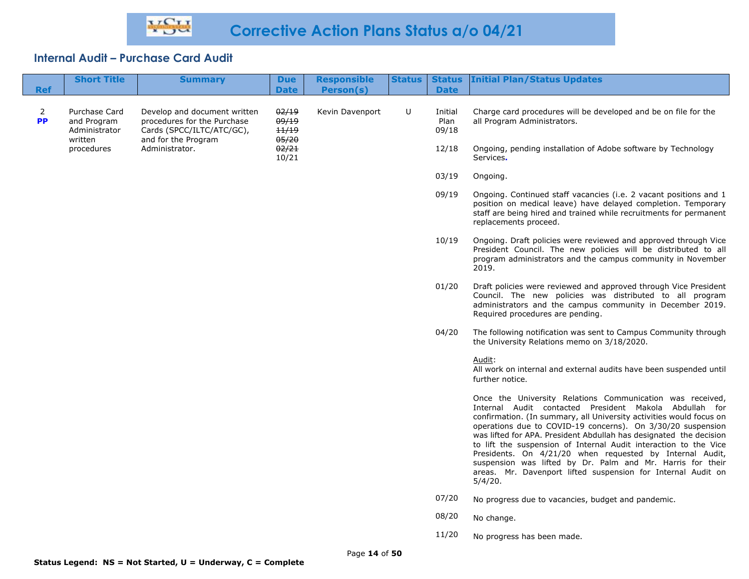| <b>Ref</b>     | <b>Short Title</b>                                       | <b>Summary</b>                                                                                                  | <b>Due</b><br><b>Date</b>        | <b>Responsible</b><br>Person(s) | Status | <b>Date</b>              | <b>Status Initial Plan/Status Updates</b>                                                                                                                                                                                                                                                                                                                                                                                                                                                                                                                                                                |
|----------------|----------------------------------------------------------|-----------------------------------------------------------------------------------------------------------------|----------------------------------|---------------------------------|--------|--------------------------|----------------------------------------------------------------------------------------------------------------------------------------------------------------------------------------------------------------------------------------------------------------------------------------------------------------------------------------------------------------------------------------------------------------------------------------------------------------------------------------------------------------------------------------------------------------------------------------------------------|
| 2<br><b>PP</b> | Purchase Card<br>and Program<br>Administrator<br>written | Develop and document written<br>procedures for the Purchase<br>Cards (SPCC/ILTC/ATC/GC),<br>and for the Program | 02/19<br>09/19<br>11/19<br>05/20 | Kevin Davenport                 | U      | Initial<br>Plan<br>09/18 | Charge card procedures will be developed and be on file for the<br>all Program Administrators.                                                                                                                                                                                                                                                                                                                                                                                                                                                                                                           |
|                | procedures                                               | Administrator.                                                                                                  | 02/21<br>10/21                   |                                 |        | 12/18                    | Ongoing, pending installation of Adobe software by Technology<br>Services.                                                                                                                                                                                                                                                                                                                                                                                                                                                                                                                               |
|                |                                                          |                                                                                                                 |                                  |                                 |        | 03/19                    | Ongoing.                                                                                                                                                                                                                                                                                                                                                                                                                                                                                                                                                                                                 |
|                |                                                          |                                                                                                                 |                                  |                                 |        | 09/19                    | Ongoing. Continued staff vacancies (i.e. 2 vacant positions and 1<br>position on medical leave) have delayed completion. Temporary<br>staff are being hired and trained while recruitments for permanent<br>replacements proceed.                                                                                                                                                                                                                                                                                                                                                                        |
|                |                                                          |                                                                                                                 |                                  |                                 |        | 10/19                    | Ongoing. Draft policies were reviewed and approved through Vice<br>President Council. The new policies will be distributed to all<br>program administrators and the campus community in November<br>2019.                                                                                                                                                                                                                                                                                                                                                                                                |
|                |                                                          |                                                                                                                 |                                  |                                 |        | 01/20                    | Draft policies were reviewed and approved through Vice President<br>Council. The new policies was distributed to all program<br>administrators and the campus community in December 2019.<br>Required procedures are pending.                                                                                                                                                                                                                                                                                                                                                                            |
|                |                                                          |                                                                                                                 |                                  |                                 |        | 04/20                    | The following notification was sent to Campus Community through<br>the University Relations memo on 3/18/2020.                                                                                                                                                                                                                                                                                                                                                                                                                                                                                           |
|                |                                                          |                                                                                                                 |                                  |                                 |        |                          | Audit:<br>All work on internal and external audits have been suspended until<br>further notice.                                                                                                                                                                                                                                                                                                                                                                                                                                                                                                          |
|                |                                                          |                                                                                                                 |                                  |                                 |        |                          | Once the University Relations Communication was received,<br>Internal Audit contacted President Makola Abdullah for<br>confirmation. (In summary, all University activities would focus on<br>operations due to COVID-19 concerns). On 3/30/20 suspension<br>was lifted for APA. President Abdullah has designated the decision<br>to lift the suspension of Internal Audit interaction to the Vice<br>Presidents. On 4/21/20 when requested by Internal Audit,<br>suspension was lifted by Dr. Palm and Mr. Harris for their<br>areas. Mr. Davenport lifted suspension for Internal Audit on<br>5/4/20. |
|                |                                                          |                                                                                                                 |                                  |                                 |        | 07/20                    | No progress due to vacancies, budget and pandemic.                                                                                                                                                                                                                                                                                                                                                                                                                                                                                                                                                       |
|                |                                                          |                                                                                                                 |                                  |                                 |        | 08/20                    | No change.                                                                                                                                                                                                                                                                                                                                                                                                                                                                                                                                                                                               |
|                |                                                          |                                                                                                                 |                                  |                                 |        | 11/20                    | No progress has been made.                                                                                                                                                                                                                                                                                                                                                                                                                                                                                                                                                                               |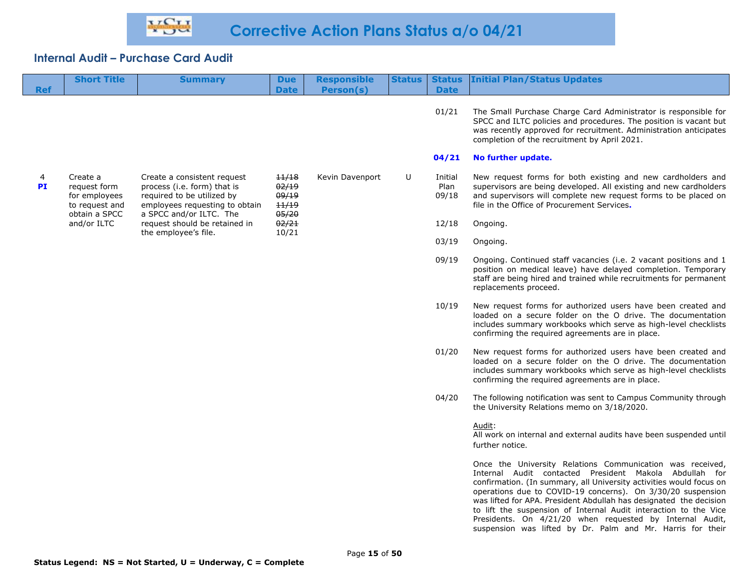| <b>Ref</b> | <b>Short Title</b>                                                           | <b>Summary</b>                                                                                                                                                                                                 | <b>Due</b><br><b>Date</b>                 | <b>Responsible</b><br>Person(s) | Status | <b>Date</b>              | <b>Status Initial Plan/Status Updates</b>                                                                                                                                                                                                                                                                                                                                                                                                                       |
|------------|------------------------------------------------------------------------------|----------------------------------------------------------------------------------------------------------------------------------------------------------------------------------------------------------------|-------------------------------------------|---------------------------------|--------|--------------------------|-----------------------------------------------------------------------------------------------------------------------------------------------------------------------------------------------------------------------------------------------------------------------------------------------------------------------------------------------------------------------------------------------------------------------------------------------------------------|
|            |                                                                              |                                                                                                                                                                                                                |                                           |                                 |        | 01/21                    | The Small Purchase Charge Card Administrator is responsible for<br>SPCC and ILTC policies and procedures. The position is vacant but<br>was recently approved for recruitment. Administration anticipates<br>completion of the recruitment by April 2021.                                                                                                                                                                                                       |
|            |                                                                              |                                                                                                                                                                                                                |                                           |                                 |        | 04/21                    | No further update.                                                                                                                                                                                                                                                                                                                                                                                                                                              |
| 4<br>PI    | Create a<br>request form<br>for employees<br>to request and<br>obtain a SPCC | Create a consistent request<br>process (i.e. form) that is<br>required to be utilized by<br>employees requesting to obtain<br>a SPCC and/or ILTC. The<br>request should be retained in<br>the employee's file. | 11/18<br>02/19<br>09/19<br>11/19<br>05/20 | Kevin Davenport                 | U      | Initial<br>Plan<br>09/18 | New request forms for both existing and new cardholders and<br>supervisors are being developed. All existing and new cardholders<br>and supervisors will complete new request forms to be placed on<br>file in the Office of Procurement Services.                                                                                                                                                                                                              |
|            | and/or ILTC                                                                  |                                                                                                                                                                                                                | 02/21                                     |                                 |        | 12/18                    | Ongoing.                                                                                                                                                                                                                                                                                                                                                                                                                                                        |
|            |                                                                              |                                                                                                                                                                                                                | 10/21                                     |                                 |        | 03/19                    | Ongoing.                                                                                                                                                                                                                                                                                                                                                                                                                                                        |
|            |                                                                              |                                                                                                                                                                                                                |                                           |                                 |        | 09/19                    | Ongoing. Continued staff vacancies (i.e. 2 vacant positions and 1<br>position on medical leave) have delayed completion. Temporary<br>staff are being hired and trained while recruitments for permanent<br>replacements proceed.                                                                                                                                                                                                                               |
|            |                                                                              |                                                                                                                                                                                                                |                                           |                                 |        | 10/19                    | New request forms for authorized users have been created and<br>loaded on a secure folder on the O drive. The documentation<br>includes summary workbooks which serve as high-level checklists<br>confirming the required agreements are in place.                                                                                                                                                                                                              |
|            |                                                                              |                                                                                                                                                                                                                |                                           |                                 |        | 01/20                    | New request forms for authorized users have been created and<br>loaded on a secure folder on the O drive. The documentation<br>includes summary workbooks which serve as high-level checklists<br>confirming the required agreements are in place.                                                                                                                                                                                                              |
|            |                                                                              |                                                                                                                                                                                                                |                                           |                                 |        | 04/20                    | The following notification was sent to Campus Community through<br>the University Relations memo on 3/18/2020.                                                                                                                                                                                                                                                                                                                                                  |
|            |                                                                              |                                                                                                                                                                                                                |                                           |                                 |        |                          | Audit:<br>All work on internal and external audits have been suspended until<br>further notice.                                                                                                                                                                                                                                                                                                                                                                 |
|            |                                                                              |                                                                                                                                                                                                                |                                           |                                 |        |                          | Once the University Relations Communication was received,<br>Internal Audit contacted President Makola Abdullah for<br>confirmation. (In summary, all University activities would focus on<br>operations due to COVID-19 concerns). On 3/30/20 suspension<br>was lifted for APA. President Abdullah has designated the decision<br>to lift the suspension of Internal Audit interaction to the Vice<br>Presidents. On 4/21/20 when requested by Internal Audit, |

suspension was lifted by Dr. Palm and Mr. Harris for their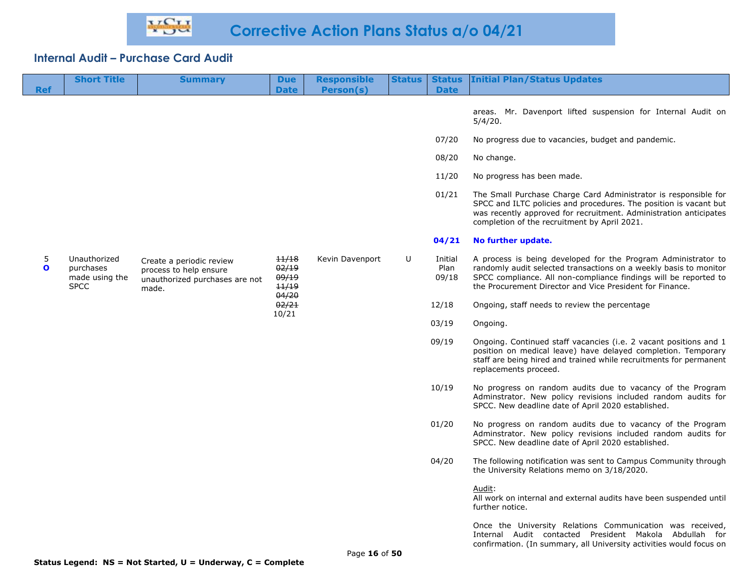| <b>Ref</b>        | <b>Short Title</b>                                         | <b>Summary</b>                                                                                | <b>Due</b><br><b>Date</b>                 | <b>Responsible</b><br>Person(s) | <b>Status</b> | <b>Status</b><br><b>Date</b> | <b>Initial Plan/Status Updates</b>                                                                                                                                                                                                                                 |
|-------------------|------------------------------------------------------------|-----------------------------------------------------------------------------------------------|-------------------------------------------|---------------------------------|---------------|------------------------------|--------------------------------------------------------------------------------------------------------------------------------------------------------------------------------------------------------------------------------------------------------------------|
|                   |                                                            |                                                                                               |                                           |                                 |               |                              |                                                                                                                                                                                                                                                                    |
|                   |                                                            |                                                                                               |                                           |                                 |               |                              | areas. Mr. Davenport lifted suspension for Internal Audit on<br>5/4/20.                                                                                                                                                                                            |
|                   |                                                            |                                                                                               |                                           |                                 |               | 07/20                        | No progress due to vacancies, budget and pandemic.                                                                                                                                                                                                                 |
|                   |                                                            |                                                                                               |                                           |                                 |               | 08/20                        | No change.                                                                                                                                                                                                                                                         |
|                   |                                                            |                                                                                               |                                           |                                 |               | 11/20                        | No progress has been made.                                                                                                                                                                                                                                         |
|                   |                                                            |                                                                                               |                                           |                                 |               | 01/21                        | The Small Purchase Charge Card Administrator is responsible for<br>SPCC and ILTC policies and procedures. The position is vacant but<br>was recently approved for recruitment. Administration anticipates<br>completion of the recruitment by April 2021.          |
|                   |                                                            |                                                                                               |                                           |                                 |               | 04/21                        | No further update.                                                                                                                                                                                                                                                 |
| 5<br>$\mathbf{o}$ | Unauthorized<br>purchases<br>made using the<br><b>SPCC</b> | Create a periodic review<br>process to help ensure<br>unauthorized purchases are not<br>made. | 11/18<br>02/19<br>09/19<br>11/19<br>04/20 | Kevin Davenport                 | U             | Initial<br>Plan<br>09/18     | A process is being developed for the Program Administrator to<br>randomly audit selected transactions on a weekly basis to monitor<br>SPCC compliance. All non-compliance findings will be reported to<br>the Procurement Director and Vice President for Finance. |
|                   |                                                            |                                                                                               | 02/21<br>10/21                            |                                 |               | 12/18                        | Ongoing, staff needs to review the percentage                                                                                                                                                                                                                      |
|                   |                                                            |                                                                                               |                                           |                                 |               | 03/19                        | Ongoing.                                                                                                                                                                                                                                                           |
|                   |                                                            |                                                                                               |                                           |                                 |               | 09/19                        | Ongoing. Continued staff vacancies (i.e. 2 vacant positions and 1<br>position on medical leave) have delayed completion. Temporary<br>staff are being hired and trained while recruitments for permanent<br>replacements proceed.                                  |
|                   |                                                            |                                                                                               |                                           |                                 |               | 10/19                        | No progress on random audits due to vacancy of the Program<br>Adminstrator. New policy revisions included random audits for<br>SPCC. New deadline date of April 2020 established.                                                                                  |
|                   |                                                            |                                                                                               |                                           |                                 |               | 01/20                        | No progress on random audits due to vacancy of the Program<br>Adminstrator. New policy revisions included random audits for<br>SPCC. New deadline date of April 2020 established.                                                                                  |
|                   |                                                            |                                                                                               |                                           |                                 |               | 04/20                        | The following notification was sent to Campus Community through<br>the University Relations memo on 3/18/2020.                                                                                                                                                     |
|                   |                                                            |                                                                                               |                                           |                                 |               |                              | Audit:<br>All work on internal and external audits have been suspended until<br>further notice.                                                                                                                                                                    |
|                   |                                                            |                                                                                               |                                           |                                 |               |                              | Once the University Relations Communication was received                                                                                                                                                                                                           |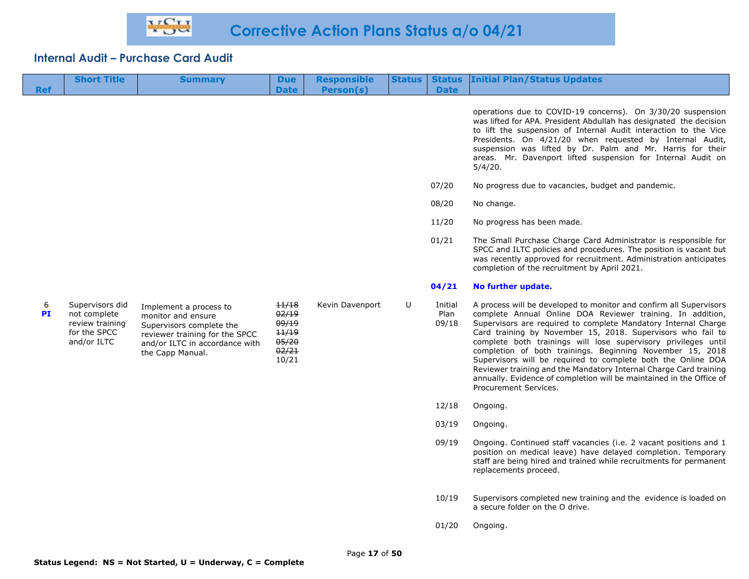| <b>Ref</b>     | <b>Short Title</b>                                                                | <b>Summary</b>                                                                                                                                                   | <b>Due</b><br><b>Date</b>                                   | <b>Responsible</b><br>Person(s) | <b>Status</b> | <b>Date</b>              | <b>Status Initial Plan/Status Updates</b>                                                                                                                                                                                                                                                                                                                                                                                                                                                                                                                                                                                              |
|----------------|-----------------------------------------------------------------------------------|------------------------------------------------------------------------------------------------------------------------------------------------------------------|-------------------------------------------------------------|---------------------------------|---------------|--------------------------|----------------------------------------------------------------------------------------------------------------------------------------------------------------------------------------------------------------------------------------------------------------------------------------------------------------------------------------------------------------------------------------------------------------------------------------------------------------------------------------------------------------------------------------------------------------------------------------------------------------------------------------|
|                |                                                                                   |                                                                                                                                                                  |                                                             |                                 |               |                          | operations due to COVID-19 concerns). On 3/30/20 suspension<br>was lifted for APA. President Abdullah has designated the decision<br>to lift the suspension of Internal Audit interaction to the Vice<br>Presidents. On 4/21/20 when requested by Internal Audit,<br>suspension was lifted by Dr. Palm and Mr. Harris for their<br>areas. Mr. Davenport lifted suspension for Internal Audit on<br>5/4/20.                                                                                                                                                                                                                             |
|                |                                                                                   |                                                                                                                                                                  |                                                             |                                 |               | 07/20                    | No progress due to vacancies, budget and pandemic.                                                                                                                                                                                                                                                                                                                                                                                                                                                                                                                                                                                     |
|                |                                                                                   |                                                                                                                                                                  |                                                             |                                 |               | 08/20                    | No change.                                                                                                                                                                                                                                                                                                                                                                                                                                                                                                                                                                                                                             |
|                |                                                                                   |                                                                                                                                                                  |                                                             |                                 |               | 11/20                    | No progress has been made.                                                                                                                                                                                                                                                                                                                                                                                                                                                                                                                                                                                                             |
|                |                                                                                   |                                                                                                                                                                  |                                                             |                                 |               | 01/21                    | The Small Purchase Charge Card Administrator is responsible for<br>SPCC and ILTC policies and procedures. The position is vacant but<br>was recently approved for recruitment. Administration anticipates<br>completion of the recruitment by April 2021.                                                                                                                                                                                                                                                                                                                                                                              |
|                |                                                                                   |                                                                                                                                                                  |                                                             |                                 |               | 04/21                    | No further update.                                                                                                                                                                                                                                                                                                                                                                                                                                                                                                                                                                                                                     |
| 6<br><b>PI</b> | Supervisors did<br>not complete<br>review training<br>for the SPCC<br>and/or ILTC | Implement a process to<br>monitor and ensure<br>Supervisors complete the<br>reviewer training for the SPCC<br>and/or ILTC in accordance with<br>the Capp Manual. | 11/18<br>02/19<br>09/19<br>11/19<br>05/20<br>02/21<br>10/21 | Kevin Davenport                 | U             | Initial<br>Plan<br>09/18 | A process will be developed to monitor and confirm all Supervisors<br>complete Annual Online DOA Reviewer training. In addition,<br>Supervisors are required to complete Mandatory Internal Charge<br>Card training by November 15, 2018. Supervisors who fail to<br>complete both trainings will lose supervisory privileges until<br>completion of both trainings. Beginning November 15, 2018<br>Supervisors will be required to complete both the Online DOA<br>Reviewer training and the Mandatory Internal Charge Card training<br>annually. Evidence of completion will be maintained in the Office of<br>Procurement Services. |
|                |                                                                                   |                                                                                                                                                                  |                                                             |                                 |               | 12/18                    | Ongoing.                                                                                                                                                                                                                                                                                                                                                                                                                                                                                                                                                                                                                               |
|                |                                                                                   |                                                                                                                                                                  |                                                             |                                 |               | 03/19                    | Ongoing.                                                                                                                                                                                                                                                                                                                                                                                                                                                                                                                                                                                                                               |
|                |                                                                                   |                                                                                                                                                                  |                                                             |                                 |               | 09/19                    | Ongoing. Continued staff vacancies (i.e. 2 vacant positions and 1<br>position on medical leave) have delayed completion. Temporary<br>staff are being hired and trained while recruitments for permanent<br>replacements proceed.                                                                                                                                                                                                                                                                                                                                                                                                      |
|                |                                                                                   |                                                                                                                                                                  |                                                             |                                 |               | 10/19                    | Supervisors completed new training and the evidence is loaded on<br>a secure folder on the O drive.                                                                                                                                                                                                                                                                                                                                                                                                                                                                                                                                    |

01/20 Ongoing.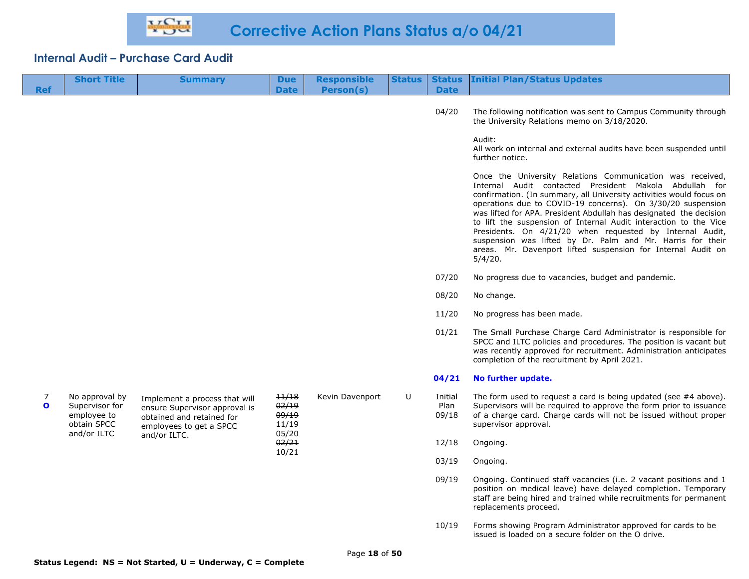| <b>Ref</b>        | <b>Short Title</b>                                             | <b>Summary</b>                                                                                                         | <b>Due</b><br><b>Date</b>        | <b>Responsible</b><br>Person(s) | Status | <b>Date</b>              | <b>Status Initial Plan/Status Updates</b>                                                                                                                                                                                                                                                                                                                                                                                                                                                                                                                                                                |
|-------------------|----------------------------------------------------------------|------------------------------------------------------------------------------------------------------------------------|----------------------------------|---------------------------------|--------|--------------------------|----------------------------------------------------------------------------------------------------------------------------------------------------------------------------------------------------------------------------------------------------------------------------------------------------------------------------------------------------------------------------------------------------------------------------------------------------------------------------------------------------------------------------------------------------------------------------------------------------------|
|                   |                                                                |                                                                                                                        |                                  |                                 |        | 04/20                    | The following notification was sent to Campus Community through<br>the University Relations memo on 3/18/2020.                                                                                                                                                                                                                                                                                                                                                                                                                                                                                           |
|                   |                                                                |                                                                                                                        |                                  |                                 |        |                          | Audit:<br>All work on internal and external audits have been suspended until<br>further notice.                                                                                                                                                                                                                                                                                                                                                                                                                                                                                                          |
|                   |                                                                |                                                                                                                        |                                  |                                 |        |                          | Once the University Relations Communication was received,<br>Internal Audit contacted President Makola Abdullah for<br>confirmation. (In summary, all University activities would focus on<br>operations due to COVID-19 concerns). On 3/30/20 suspension<br>was lifted for APA. President Abdullah has designated the decision<br>to lift the suspension of Internal Audit interaction to the Vice<br>Presidents. On 4/21/20 when requested by Internal Audit,<br>suspension was lifted by Dr. Palm and Mr. Harris for their<br>areas. Mr. Davenport lifted suspension for Internal Audit on<br>5/4/20. |
|                   |                                                                |                                                                                                                        |                                  |                                 |        | 07/20                    | No progress due to vacancies, budget and pandemic.                                                                                                                                                                                                                                                                                                                                                                                                                                                                                                                                                       |
|                   |                                                                |                                                                                                                        |                                  |                                 |        | 08/20                    | No change.                                                                                                                                                                                                                                                                                                                                                                                                                                                                                                                                                                                               |
|                   |                                                                |                                                                                                                        |                                  |                                 |        | 11/20                    | No progress has been made.                                                                                                                                                                                                                                                                                                                                                                                                                                                                                                                                                                               |
|                   |                                                                |                                                                                                                        |                                  |                                 |        | 01/21                    | The Small Purchase Charge Card Administrator is responsible for<br>SPCC and ILTC policies and procedures. The position is vacant but<br>was recently approved for recruitment. Administration anticipates<br>completion of the recruitment by April 2021.                                                                                                                                                                                                                                                                                                                                                |
|                   |                                                                |                                                                                                                        |                                  |                                 |        | 04/21                    | No further update.                                                                                                                                                                                                                                                                                                                                                                                                                                                                                                                                                                                       |
| 7<br>$\mathbf{o}$ | No approval by<br>Supervisor for<br>employee to<br>obtain SPCC | Implement a process that will<br>ensure Supervisor approval is<br>obtained and retained for<br>employees to get a SPCC | 11/18<br>02/19<br>09/19<br>11/19 | Kevin Davenport                 | U      | Initial<br>Plan<br>09/18 | The form used to request a card is being updated (see #4 above).<br>Supervisors will be required to approve the form prior to issuance<br>of a charge card. Charge cards will not be issued without proper<br>supervisor approval.                                                                                                                                                                                                                                                                                                                                                                       |
|                   | and/or ILTC                                                    | and/or ILTC.                                                                                                           | 05/20<br>02/21                   |                                 |        | 12/18                    | Ongoing.                                                                                                                                                                                                                                                                                                                                                                                                                                                                                                                                                                                                 |
|                   |                                                                |                                                                                                                        | 10/21                            |                                 |        | 03/19                    | Ongoing.                                                                                                                                                                                                                                                                                                                                                                                                                                                                                                                                                                                                 |
|                   |                                                                |                                                                                                                        |                                  |                                 |        | 09/19                    | Ongoing. Continued staff vacancies (i.e. 2 vacant positions and 1<br>position on medical leave) have delayed completion. Temporary<br>staff are being hired and trained while recruitments for permanent<br>replacements proceed.                                                                                                                                                                                                                                                                                                                                                                        |
|                   |                                                                |                                                                                                                        |                                  |                                 |        | 10110                    | Former three for the company of destribution of contracted from conductor to                                                                                                                                                                                                                                                                                                                                                                                                                                                                                                                             |

10/19 Forms showing Program Administrator approved for cards to be issued is loaded on a secure folder on the O drive.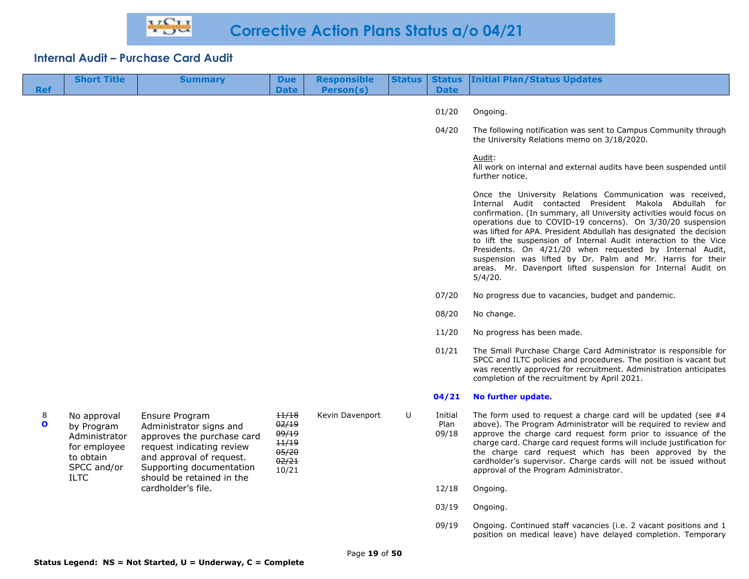| <b>Ref</b>        | <b>Short Title</b>                                                                                    | <b>Summary</b>                                                                                                                                                                            | <b>Due</b><br><b>Date</b>                                   | <b>Responsible</b><br>Person(s) | <b>Status</b> | <b>Date</b>              | <b>Status Initial Plan/Status Updates</b>                                                                                                                                                                                                                                                                                                                                                                                                                                                                                                                                                                |
|-------------------|-------------------------------------------------------------------------------------------------------|-------------------------------------------------------------------------------------------------------------------------------------------------------------------------------------------|-------------------------------------------------------------|---------------------------------|---------------|--------------------------|----------------------------------------------------------------------------------------------------------------------------------------------------------------------------------------------------------------------------------------------------------------------------------------------------------------------------------------------------------------------------------------------------------------------------------------------------------------------------------------------------------------------------------------------------------------------------------------------------------|
|                   |                                                                                                       |                                                                                                                                                                                           |                                                             |                                 |               | 01/20                    | Ongoing.                                                                                                                                                                                                                                                                                                                                                                                                                                                                                                                                                                                                 |
|                   |                                                                                                       |                                                                                                                                                                                           |                                                             |                                 |               | 04/20                    | The following notification was sent to Campus Community through<br>the University Relations memo on 3/18/2020.                                                                                                                                                                                                                                                                                                                                                                                                                                                                                           |
|                   |                                                                                                       |                                                                                                                                                                                           |                                                             |                                 |               |                          | Audit:<br>All work on internal and external audits have been suspended until<br>further notice.                                                                                                                                                                                                                                                                                                                                                                                                                                                                                                          |
|                   |                                                                                                       |                                                                                                                                                                                           |                                                             |                                 |               |                          | Once the University Relations Communication was received,<br>Internal Audit contacted President Makola Abdullah for<br>confirmation. (In summary, all University activities would focus on<br>operations due to COVID-19 concerns). On 3/30/20 suspension<br>was lifted for APA. President Abdullah has designated the decision<br>to lift the suspension of Internal Audit interaction to the Vice<br>Presidents. On 4/21/20 when requested by Internal Audit,<br>suspension was lifted by Dr. Palm and Mr. Harris for their<br>areas. Mr. Davenport lifted suspension for Internal Audit on<br>5/4/20. |
|                   |                                                                                                       |                                                                                                                                                                                           |                                                             |                                 |               | 07/20                    | No progress due to vacancies, budget and pandemic.                                                                                                                                                                                                                                                                                                                                                                                                                                                                                                                                                       |
|                   |                                                                                                       |                                                                                                                                                                                           |                                                             |                                 |               | 08/20                    | No change.                                                                                                                                                                                                                                                                                                                                                                                                                                                                                                                                                                                               |
|                   |                                                                                                       |                                                                                                                                                                                           |                                                             |                                 |               | 11/20                    | No progress has been made.                                                                                                                                                                                                                                                                                                                                                                                                                                                                                                                                                                               |
|                   |                                                                                                       |                                                                                                                                                                                           |                                                             |                                 |               | 01/21                    | The Small Purchase Charge Card Administrator is responsible for<br>SPCC and ILTC policies and procedures. The position is vacant but<br>was recently approved for recruitment. Administration anticipates<br>completion of the recruitment by April 2021.                                                                                                                                                                                                                                                                                                                                                |
|                   |                                                                                                       |                                                                                                                                                                                           |                                                             |                                 |               | 04/21                    | No further update.                                                                                                                                                                                                                                                                                                                                                                                                                                                                                                                                                                                       |
| 8<br>$\mathbf{o}$ | No approval<br>by Program<br>Administrator<br>for employee<br>to obtain<br>SPCC and/or<br><b>ILTC</b> | Ensure Program<br>Administrator signs and<br>approves the purchase card<br>request indicating review<br>and approval of request.<br>Supporting documentation<br>should be retained in the | 11/18<br>02/19<br>09/19<br>11/19<br>05/20<br>02/21<br>10/21 | Kevin Davenport                 | U             | Initial<br>Plan<br>09/18 | The form used to request a charge card will be updated (see $#4$<br>above). The Program Administrator will be required to review and<br>approve the charge card request form prior to issuance of the<br>charge card. Charge card request forms will include justification for<br>the charge card request which has been approved by the<br>cardholder's supervisor. Charge cards will not be issued without<br>approval of the Program Administrator.                                                                                                                                                   |
|                   |                                                                                                       | cardholder's file.                                                                                                                                                                        |                                                             |                                 |               | 12/18                    | Ongoing.                                                                                                                                                                                                                                                                                                                                                                                                                                                                                                                                                                                                 |
|                   |                                                                                                       |                                                                                                                                                                                           |                                                             |                                 |               | 03/19                    | Ongoing.                                                                                                                                                                                                                                                                                                                                                                                                                                                                                                                                                                                                 |
|                   |                                                                                                       |                                                                                                                                                                                           |                                                             |                                 |               | 09/19                    | Ongoing. Continued staff vacancies (i.e. 2 vacant positions and 1                                                                                                                                                                                                                                                                                                                                                                                                                                                                                                                                        |

position on medical leave) have delayed completion. Temporary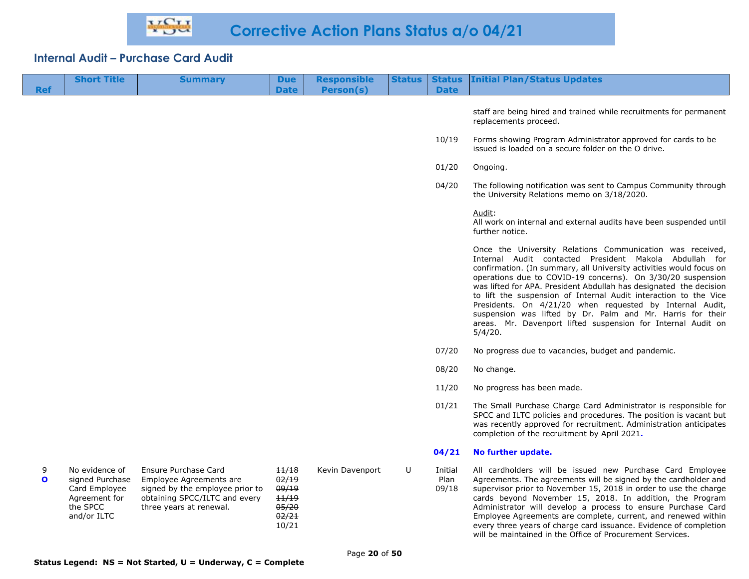| <b>Ref</b>        | <b>Short Title</b>                                                                             | <b>Summary</b>                                                                                                                                 | <b>Due</b><br><b>Date</b>                                   | <b>Responsible</b><br>Person(s) | <b>Status</b> | <b>Status</b><br><b>Date</b> | <b>Initial Plan/Status Updates</b>                                                                                                                                                                                                                                                                                                                                                                                                                                                                                                                                                                       |
|-------------------|------------------------------------------------------------------------------------------------|------------------------------------------------------------------------------------------------------------------------------------------------|-------------------------------------------------------------|---------------------------------|---------------|------------------------------|----------------------------------------------------------------------------------------------------------------------------------------------------------------------------------------------------------------------------------------------------------------------------------------------------------------------------------------------------------------------------------------------------------------------------------------------------------------------------------------------------------------------------------------------------------------------------------------------------------|
|                   |                                                                                                |                                                                                                                                                |                                                             |                                 |               |                              |                                                                                                                                                                                                                                                                                                                                                                                                                                                                                                                                                                                                          |
|                   |                                                                                                |                                                                                                                                                |                                                             |                                 |               |                              | staff are being hired and trained while recruitments for permanent<br>replacements proceed.                                                                                                                                                                                                                                                                                                                                                                                                                                                                                                              |
|                   |                                                                                                |                                                                                                                                                |                                                             |                                 |               | 10/19                        | Forms showing Program Administrator approved for cards to be<br>issued is loaded on a secure folder on the O drive.                                                                                                                                                                                                                                                                                                                                                                                                                                                                                      |
|                   |                                                                                                |                                                                                                                                                |                                                             |                                 |               | 01/20                        | Ongoing.                                                                                                                                                                                                                                                                                                                                                                                                                                                                                                                                                                                                 |
|                   |                                                                                                |                                                                                                                                                |                                                             |                                 |               | 04/20                        | The following notification was sent to Campus Community through<br>the University Relations memo on 3/18/2020.                                                                                                                                                                                                                                                                                                                                                                                                                                                                                           |
|                   |                                                                                                |                                                                                                                                                |                                                             |                                 |               |                              | Audit:<br>All work on internal and external audits have been suspended until<br>further notice.                                                                                                                                                                                                                                                                                                                                                                                                                                                                                                          |
|                   |                                                                                                |                                                                                                                                                |                                                             |                                 |               |                              | Once the University Relations Communication was received,<br>Internal Audit contacted President Makola Abdullah for<br>confirmation. (In summary, all University activities would focus on<br>operations due to COVID-19 concerns). On 3/30/20 suspension<br>was lifted for APA. President Abdullah has designated the decision<br>to lift the suspension of Internal Audit interaction to the Vice<br>Presidents. On 4/21/20 when requested by Internal Audit,<br>suspension was lifted by Dr. Palm and Mr. Harris for their<br>areas. Mr. Davenport lifted suspension for Internal Audit on<br>5/4/20. |
|                   |                                                                                                |                                                                                                                                                |                                                             |                                 |               | 07/20                        | No progress due to vacancies, budget and pandemic.                                                                                                                                                                                                                                                                                                                                                                                                                                                                                                                                                       |
|                   |                                                                                                |                                                                                                                                                |                                                             |                                 |               | 08/20                        | No change.                                                                                                                                                                                                                                                                                                                                                                                                                                                                                                                                                                                               |
|                   |                                                                                                |                                                                                                                                                |                                                             |                                 |               | 11/20                        | No progress has been made.                                                                                                                                                                                                                                                                                                                                                                                                                                                                                                                                                                               |
|                   |                                                                                                |                                                                                                                                                |                                                             |                                 |               | 01/21                        | The Small Purchase Charge Card Administrator is responsible for<br>SPCC and ILTC policies and procedures. The position is vacant but<br>was recently approved for recruitment. Administration anticipates<br>completion of the recruitment by April 2021.                                                                                                                                                                                                                                                                                                                                                |
|                   |                                                                                                |                                                                                                                                                |                                                             |                                 |               | 04/21                        | No further update.                                                                                                                                                                                                                                                                                                                                                                                                                                                                                                                                                                                       |
| 9<br>$\mathbf{o}$ | No evidence of<br>signed Purchase<br>Card Employee<br>Agreement for<br>the SPCC<br>and/or ILTC | Ensure Purchase Card<br>Employee Agreements are<br>signed by the employee prior to<br>obtaining SPCC/ILTC and every<br>three years at renewal. | 11/18<br>02/19<br>09/19<br>11/19<br>05/20<br>02/21<br>10/21 | Kevin Davenport                 | U             | Initial<br>Plan<br>09/18     | All cardholders will be issued new Purchase Card Employee<br>Agreements. The agreements will be signed by the cardholder and<br>supervisor prior to November 15, 2018 in order to use the charge<br>cards beyond November 15, 2018. In addition, the Program<br>Administrator will develop a process to ensure Purchase Card<br>Employee Agreements are complete, current, and renewed within<br>every three years of charge card issuance. Evidence of completion<br>will be maintained in the Office of Procurement Services.                                                                          |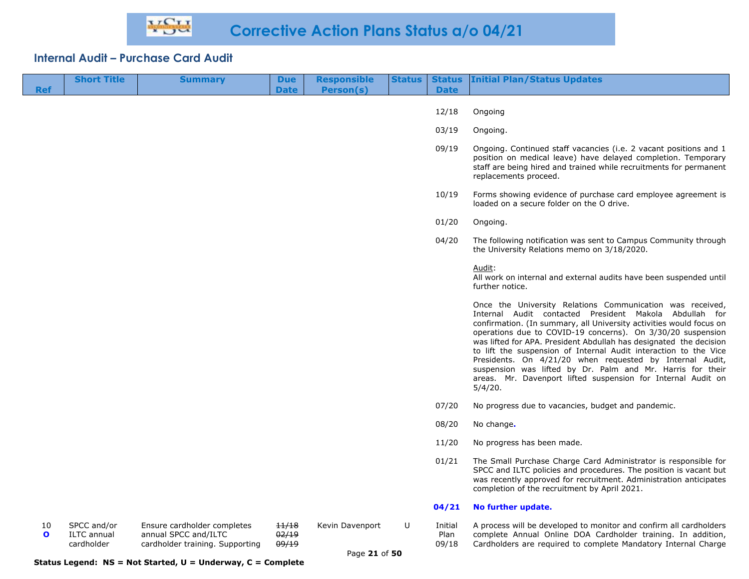| <b>Ref</b>         | <b>Short Title</b>                              | <b>Summary</b>                                                                         | <b>Due</b><br><b>Date</b> | <b>Responsible</b><br>Person(s)  | <b>Status</b> | <b>Date</b>              | <b>Status Initial Plan/Status Updates</b>                                                                                                                                                                                                                                                                                                                                                                                                                                                                                                                                                                |
|--------------------|-------------------------------------------------|----------------------------------------------------------------------------------------|---------------------------|----------------------------------|---------------|--------------------------|----------------------------------------------------------------------------------------------------------------------------------------------------------------------------------------------------------------------------------------------------------------------------------------------------------------------------------------------------------------------------------------------------------------------------------------------------------------------------------------------------------------------------------------------------------------------------------------------------------|
|                    |                                                 |                                                                                        |                           |                                  |               | 12/18                    | Ongoing                                                                                                                                                                                                                                                                                                                                                                                                                                                                                                                                                                                                  |
|                    |                                                 |                                                                                        |                           |                                  |               | 03/19                    | Ongoing.                                                                                                                                                                                                                                                                                                                                                                                                                                                                                                                                                                                                 |
|                    |                                                 |                                                                                        |                           |                                  |               | 09/19                    | Ongoing. Continued staff vacancies (i.e. 2 vacant positions and 1<br>position on medical leave) have delayed completion. Temporary<br>staff are being hired and trained while recruitments for permanent<br>replacements proceed.                                                                                                                                                                                                                                                                                                                                                                        |
|                    |                                                 |                                                                                        |                           |                                  |               | 10/19                    | Forms showing evidence of purchase card employee agreement is<br>loaded on a secure folder on the O drive.                                                                                                                                                                                                                                                                                                                                                                                                                                                                                               |
|                    |                                                 |                                                                                        |                           |                                  |               | 01/20                    | Ongoing.                                                                                                                                                                                                                                                                                                                                                                                                                                                                                                                                                                                                 |
|                    |                                                 |                                                                                        |                           |                                  |               | 04/20                    | The following notification was sent to Campus Community through<br>the University Relations memo on 3/18/2020.                                                                                                                                                                                                                                                                                                                                                                                                                                                                                           |
|                    |                                                 |                                                                                        |                           |                                  |               |                          | Audit:<br>All work on internal and external audits have been suspended until<br>further notice.                                                                                                                                                                                                                                                                                                                                                                                                                                                                                                          |
|                    |                                                 |                                                                                        |                           |                                  |               |                          | Once the University Relations Communication was received,<br>Internal Audit contacted President Makola Abdullah for<br>confirmation. (In summary, all University activities would focus on<br>operations due to COVID-19 concerns). On 3/30/20 suspension<br>was lifted for APA. President Abdullah has designated the decision<br>to lift the suspension of Internal Audit interaction to the Vice<br>Presidents. On 4/21/20 when requested by Internal Audit,<br>suspension was lifted by Dr. Palm and Mr. Harris for their<br>areas. Mr. Davenport lifted suspension for Internal Audit on<br>5/4/20. |
|                    |                                                 |                                                                                        |                           |                                  |               | 07/20                    | No progress due to vacancies, budget and pandemic.                                                                                                                                                                                                                                                                                                                                                                                                                                                                                                                                                       |
|                    |                                                 |                                                                                        |                           |                                  |               | 08/20                    | No change.                                                                                                                                                                                                                                                                                                                                                                                                                                                                                                                                                                                               |
|                    |                                                 |                                                                                        |                           |                                  |               | 11/20                    | No progress has been made.                                                                                                                                                                                                                                                                                                                                                                                                                                                                                                                                                                               |
|                    |                                                 |                                                                                        |                           |                                  |               | 01/21                    | The Small Purchase Charge Card Administrator is responsible for<br>SPCC and ILTC policies and procedures. The position is vacant but<br>was recently approved for recruitment. Administration anticipates<br>completion of the recruitment by April 2021.                                                                                                                                                                                                                                                                                                                                                |
|                    |                                                 |                                                                                        |                           |                                  |               | 04/21                    | No further update.                                                                                                                                                                                                                                                                                                                                                                                                                                                                                                                                                                                       |
| 10<br>$\mathbf{o}$ | SPCC and/or<br><b>ILTC</b> annual<br>cardholder | Ensure cardholder completes<br>annual SPCC and/ILTC<br>cardholder training. Supporting | 11/18<br>02/19<br>09/19   | Kevin Davenport<br>Page 21 of 50 | U             | Initial<br>Plan<br>09/18 | A process will be developed to monitor and confirm all cardholders<br>complete Annual Online DOA Cardholder training. In addition,<br>Cardholders are required to complete Mandatory Internal Charge                                                                                                                                                                                                                                                                                                                                                                                                     |

#### **Status Legend: NS = Not Started, U = Underway, C = Complete**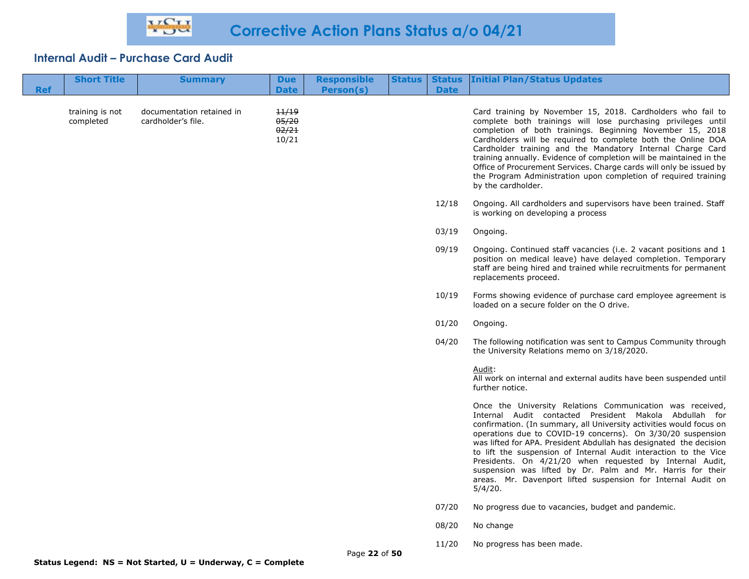| <b>Ref</b> | <b>Short Title</b>           | <b>Summary</b>                                  | <b>Due</b><br><b>Date</b>        | <b>Responsible</b><br>Person(s) | <b>Status</b> | <b>Status</b><br><b>Date</b> | <b>Initial Plan/Status Updates</b>                                                                                                                                                                                                                                                                                                                                                                                                                                                                                                                                                                       |
|------------|------------------------------|-------------------------------------------------|----------------------------------|---------------------------------|---------------|------------------------------|----------------------------------------------------------------------------------------------------------------------------------------------------------------------------------------------------------------------------------------------------------------------------------------------------------------------------------------------------------------------------------------------------------------------------------------------------------------------------------------------------------------------------------------------------------------------------------------------------------|
|            |                              |                                                 |                                  |                                 |               |                              |                                                                                                                                                                                                                                                                                                                                                                                                                                                                                                                                                                                                          |
|            | training is not<br>completed | documentation retained in<br>cardholder's file. | 11/19<br>05/20<br>02/21<br>10/21 |                                 |               |                              | Card training by November 15, 2018. Cardholders who fail to<br>complete both trainings will lose purchasing privileges until<br>completion of both trainings. Beginning November 15, 2018<br>Cardholders will be required to complete both the Online DOA<br>Cardholder training and the Mandatory Internal Charge Card<br>training annually. Evidence of completion will be maintained in the<br>Office of Procurement Services. Charge cards will only be issued by<br>the Program Administration upon completion of required training<br>by the cardholder.                                           |
|            |                              |                                                 |                                  |                                 |               | 12/18                        | Ongoing. All cardholders and supervisors have been trained. Staff<br>is working on developing a process                                                                                                                                                                                                                                                                                                                                                                                                                                                                                                  |
|            |                              |                                                 |                                  |                                 |               | 03/19                        | Ongoing.                                                                                                                                                                                                                                                                                                                                                                                                                                                                                                                                                                                                 |
|            |                              |                                                 |                                  |                                 |               | 09/19                        | Ongoing. Continued staff vacancies (i.e. 2 vacant positions and 1<br>position on medical leave) have delayed completion. Temporary<br>staff are being hired and trained while recruitments for permanent<br>replacements proceed.                                                                                                                                                                                                                                                                                                                                                                        |
|            |                              |                                                 |                                  |                                 |               | 10/19                        | Forms showing evidence of purchase card employee agreement is<br>loaded on a secure folder on the O drive.                                                                                                                                                                                                                                                                                                                                                                                                                                                                                               |
|            |                              |                                                 |                                  |                                 |               | 01/20                        | Ongoing.                                                                                                                                                                                                                                                                                                                                                                                                                                                                                                                                                                                                 |
|            |                              |                                                 |                                  |                                 |               | 04/20                        | The following notification was sent to Campus Community through<br>the University Relations memo on 3/18/2020.                                                                                                                                                                                                                                                                                                                                                                                                                                                                                           |
|            |                              |                                                 |                                  |                                 |               |                              | Audit:<br>All work on internal and external audits have been suspended until<br>further notice.                                                                                                                                                                                                                                                                                                                                                                                                                                                                                                          |
|            |                              |                                                 |                                  |                                 |               |                              | Once the University Relations Communication was received,<br>Internal Audit contacted President Makola Abdullah for<br>confirmation. (In summary, all University activities would focus on<br>operations due to COVID-19 concerns). On 3/30/20 suspension<br>was lifted for APA. President Abdullah has designated the decision<br>to lift the suspension of Internal Audit interaction to the Vice<br>Presidents. On 4/21/20 when requested by Internal Audit,<br>suspension was lifted by Dr. Palm and Mr. Harris for their<br>areas. Mr. Davenport lifted suspension for Internal Audit on<br>5/4/20. |
|            |                              |                                                 |                                  |                                 |               | 07/20                        | No progress due to vacancies, budget and pandemic.                                                                                                                                                                                                                                                                                                                                                                                                                                                                                                                                                       |
|            |                              |                                                 |                                  |                                 |               | 08/20                        | No change                                                                                                                                                                                                                                                                                                                                                                                                                                                                                                                                                                                                |
|            |                              |                                                 |                                  | Page 22 of 50                   |               | 11/20                        | No progress has been made.                                                                                                                                                                                                                                                                                                                                                                                                                                                                                                                                                                               |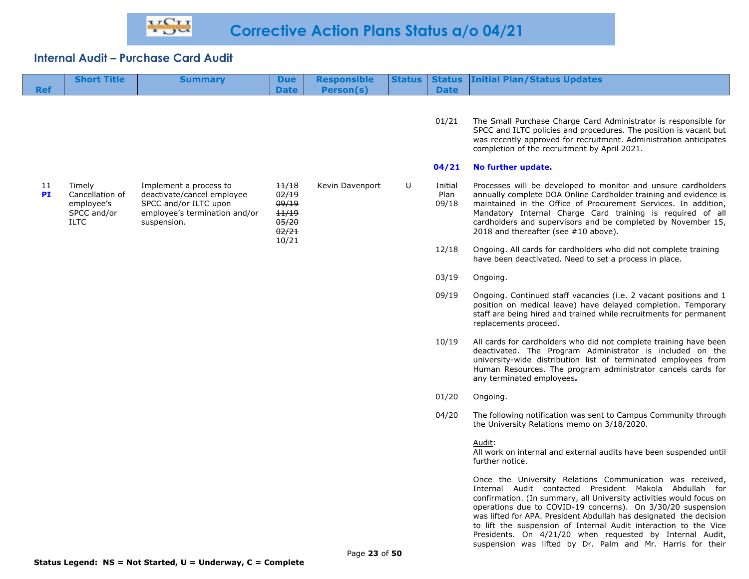| <b>Ref</b>      | <b>Short Title</b>                                                    | <b>Summary</b>                                                                                                                | <b>Due</b><br><b>Date</b>                                   | <b>Responsible</b><br>Person(s) | <b>Status</b> | <b>Status</b><br><b>Date</b> | <b>Initial Plan/Status Updates</b>                                                                                                                                                                                                                                                                                                                                                                                                                              |
|-----------------|-----------------------------------------------------------------------|-------------------------------------------------------------------------------------------------------------------------------|-------------------------------------------------------------|---------------------------------|---------------|------------------------------|-----------------------------------------------------------------------------------------------------------------------------------------------------------------------------------------------------------------------------------------------------------------------------------------------------------------------------------------------------------------------------------------------------------------------------------------------------------------|
|                 |                                                                       |                                                                                                                               |                                                             |                                 |               |                              |                                                                                                                                                                                                                                                                                                                                                                                                                                                                 |
|                 |                                                                       |                                                                                                                               |                                                             |                                 |               | 01/21                        | The Small Purchase Charge Card Administrator is responsible for<br>SPCC and ILTC policies and procedures. The position is vacant but<br>was recently approved for recruitment. Administration anticipates<br>completion of the recruitment by April 2021.                                                                                                                                                                                                       |
|                 |                                                                       |                                                                                                                               |                                                             |                                 |               | 04/21                        | No further update.                                                                                                                                                                                                                                                                                                                                                                                                                                              |
| 11<br><b>PI</b> | Timely<br>Cancellation of<br>employee's<br>SPCC and/or<br><b>ILTC</b> | Implement a process to<br>deactivate/cancel employee<br>SPCC and/or ILTC upon<br>employee's termination and/or<br>suspension. | 11/18<br>02/19<br>09/19<br>11/19<br>05/20<br>02/21<br>10/21 | Kevin Davenport                 | U             | Initial<br>Plan<br>09/18     | Processes will be developed to monitor and unsure cardholders<br>annually complete DOA Online Cardholder training and evidence is<br>maintained in the Office of Procurement Services. In addition,<br>Mandatory Internal Charge Card training is required of all<br>cardholders and supervisors and be completed by November 15,<br>2018 and thereafter (see #10 above).                                                                                       |
|                 |                                                                       |                                                                                                                               |                                                             |                                 |               | 12/18                        | Ongoing. All cards for cardholders who did not complete training<br>have been deactivated. Need to set a process in place.                                                                                                                                                                                                                                                                                                                                      |
|                 |                                                                       |                                                                                                                               |                                                             |                                 |               | 03/19                        | Ongoing.                                                                                                                                                                                                                                                                                                                                                                                                                                                        |
|                 |                                                                       |                                                                                                                               |                                                             |                                 |               | 09/19                        | Ongoing. Continued staff vacancies (i.e. 2 vacant positions and 1<br>position on medical leave) have delayed completion. Temporary<br>staff are being hired and trained while recruitments for permanent<br>replacements proceed.                                                                                                                                                                                                                               |
|                 |                                                                       |                                                                                                                               |                                                             |                                 |               | 10/19                        | All cards for cardholders who did not complete training have been<br>deactivated. The Program Administrator is included on the<br>university-wide distribution list of terminated employees from<br>Human Resources. The program administrator cancels cards for<br>any terminated employees.                                                                                                                                                                   |
|                 |                                                                       |                                                                                                                               |                                                             |                                 |               | 01/20                        | Ongoing.                                                                                                                                                                                                                                                                                                                                                                                                                                                        |
|                 |                                                                       |                                                                                                                               |                                                             |                                 |               | 04/20                        | The following notification was sent to Campus Community through<br>the University Relations memo on 3/18/2020.                                                                                                                                                                                                                                                                                                                                                  |
|                 |                                                                       |                                                                                                                               |                                                             |                                 |               |                              | Audit:<br>All work on internal and external audits have been suspended until<br>further notice.                                                                                                                                                                                                                                                                                                                                                                 |
|                 |                                                                       |                                                                                                                               |                                                             |                                 |               |                              | Once the University Relations Communication was received,<br>Internal Audit contacted President Makola Abdullah for<br>confirmation. (In summary, all University activities would focus on<br>operations due to COVID-19 concerns). On 3/30/20 suspension<br>was lifted for APA. President Abdullah has designated the decision<br>to lift the suspension of Internal Audit interaction to the Vice<br>Presidents. On 4/21/20 when requested by Internal Audit, |

suspension was lifted by Dr. Palm and Mr. Harris for their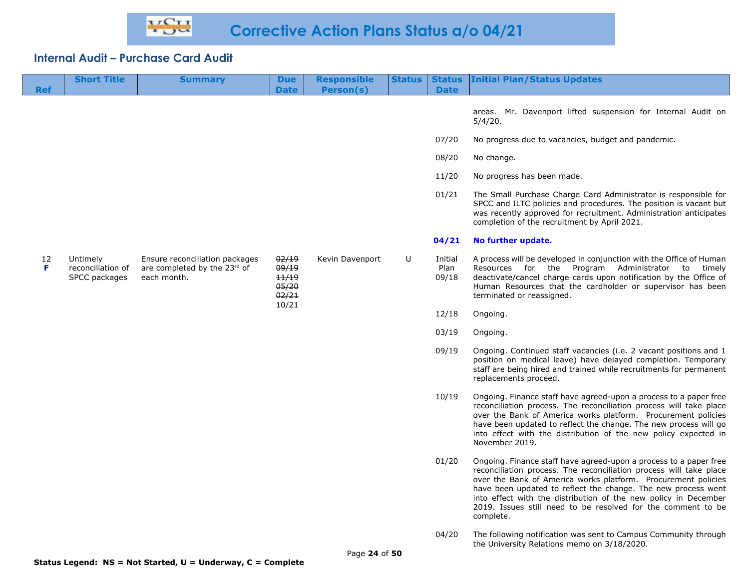| <b>Ref</b> | <b>Short Title</b>                             | <b>Summary</b>                                                                | <b>Due</b><br><b>Date</b>                          | <b>Responsible</b><br><b>Person(s)</b> | <b>Status</b> | <b>Status</b><br><b>Date</b> | <b>Initial Plan/Status Updates</b>                                                                                                                                                                                                                                                                                                                                                                                        |
|------------|------------------------------------------------|-------------------------------------------------------------------------------|----------------------------------------------------|----------------------------------------|---------------|------------------------------|---------------------------------------------------------------------------------------------------------------------------------------------------------------------------------------------------------------------------------------------------------------------------------------------------------------------------------------------------------------------------------------------------------------------------|
|            |                                                |                                                                               |                                                    |                                        |               |                              | areas. Mr. Davenport lifted suspension for Internal Audit on<br>5/4/20.                                                                                                                                                                                                                                                                                                                                                   |
|            |                                                |                                                                               |                                                    |                                        |               | 07/20                        | No progress due to vacancies, budget and pandemic.                                                                                                                                                                                                                                                                                                                                                                        |
|            |                                                |                                                                               |                                                    |                                        |               | 08/20                        | No change.                                                                                                                                                                                                                                                                                                                                                                                                                |
|            |                                                |                                                                               |                                                    |                                        |               | 11/20                        | No progress has been made.                                                                                                                                                                                                                                                                                                                                                                                                |
|            |                                                |                                                                               |                                                    |                                        |               | 01/21                        | The Small Purchase Charge Card Administrator is responsible for<br>SPCC and ILTC policies and procedures. The position is vacant but<br>was recently approved for recruitment. Administration anticipates<br>completion of the recruitment by April 2021.                                                                                                                                                                 |
|            |                                                |                                                                               |                                                    |                                        |               | 04/21                        | No further update.                                                                                                                                                                                                                                                                                                                                                                                                        |
| 12<br>F    | Untimely<br>reconciliation of<br>SPCC packages | Ensure reconciliation packages<br>are completed by the 23rd of<br>each month. | 02/19<br>09/19<br>11/19<br>05/20<br>02/21<br>10/21 | Kevin Davenport                        | U             | Initial<br>Plan<br>09/18     | A process will be developed in conjunction with the Office of Human<br>Resources for the Program Administrator to timely<br>deactivate/cancel charge cards upon notification by the Office of<br>Human Resources that the cardholder or supervisor has been<br>terminated or reassigned.                                                                                                                                  |
|            |                                                |                                                                               |                                                    |                                        |               | 12/18                        | Ongoing.                                                                                                                                                                                                                                                                                                                                                                                                                  |
|            |                                                |                                                                               |                                                    |                                        |               | 03/19                        | Ongoing.                                                                                                                                                                                                                                                                                                                                                                                                                  |
|            |                                                |                                                                               |                                                    |                                        |               | 09/19                        | Ongoing. Continued staff vacancies (i.e. 2 vacant positions and 1<br>position on medical leave) have delayed completion. Temporary<br>staff are being hired and trained while recruitments for permanent<br>replacements proceed.                                                                                                                                                                                         |
|            |                                                |                                                                               |                                                    |                                        |               | 10/19                        | Ongoing. Finance staff have agreed-upon a process to a paper free<br>reconciliation process. The reconciliation process will take place<br>over the Bank of America works platform. Procurement policies<br>have been updated to reflect the change. The new process will go<br>into effect with the distribution of the new policy expected in<br>November 2019.                                                         |
|            |                                                |                                                                               |                                                    |                                        |               | 01/20                        | Ongoing. Finance staff have agreed-upon a process to a paper free<br>reconciliation process. The reconciliation process will take place<br>over the Bank of America works platform. Procurement policies<br>have been updated to reflect the change. The new process went<br>into effect with the distribution of the new policy in December<br>2019. Issues still need to be resolved for the comment to be<br>complete. |
|            |                                                |                                                                               |                                                    |                                        |               |                              |                                                                                                                                                                                                                                                                                                                                                                                                                           |

04/20 The following notification was sent to Campus Community through the University Relations memo on 3/18/2020.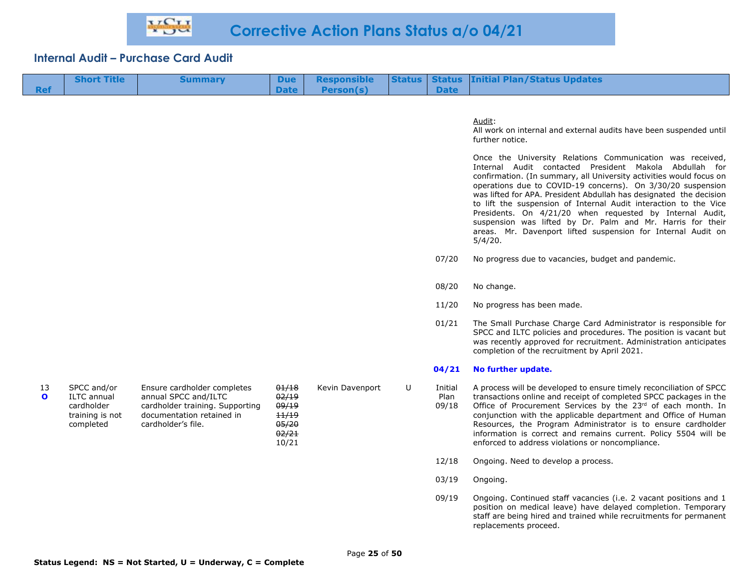| <b>Short Title</b> | <b>Summary</b> |               | Due Responsible  |             | <b>Status   Status   Initial Plan/Status Updates</b> |
|--------------------|----------------|---------------|------------------|-------------|------------------------------------------------------|
|                    |                | Date <b>N</b> | <b>Person(s)</b> | <b>Date</b> |                                                      |

#### Audit:

All work on internal and external audits have been suspended until further notice.

Once the University Relations Communication was received, Internal Audit contacted President Makola Abdullah for confirmation. (In summary, all University activities would focus on operations due to COVID-19 concerns). On 3/30/20 suspension was lifted for APA. President Abdullah has designated the decision to lift the suspension of Internal Audit interaction to the Vice Presidents. On 4/21/20 when requested by Internal Audit, suspension was lifted by Dr. Palm and Mr. Harris for their areas. Mr. Davenport lifted suspension for Internal Audit on 5/4/20.

- 07/20 No progress due to vacancies, budget and pandemic.
- 08/20 No change.
- 11/20 No progress has been made.
- 01/21 The Small Purchase Charge Card Administrator is responsible for SPCC and ILTC policies and procedures. The position is vacant but was recently approved for recruitment. Administration anticipates completion of the recruitment by April 2021.

#### **04/21 No further update.**

Kevin Davenport U Initial A process will be developed to ensure timely reconciliation of SPCC

> Plan 09/18 transactions online and receipt of completed SPCC packages in the Office of Procurement Services by the 23rd of each month. In conjunction with the applicable department and Office of Human Resources, the Program Administrator is to ensure cardholder information is correct and remains current. Policy 5504 will be enforced to address violations or noncompliance.

- 12/18 Ongoing. Need to develop a process.
- 03/19 Ongoing.
- 09/19 Ongoing. Continued staff vacancies (i.e. 2 vacant positions and 1 position on medical leave) have delayed completion. Temporary staff are being hired and trained while recruitments for permanent replacements proceed.

| 13 | SPCC and/or        | Ensure cardholder completes     | 01/18 |
|----|--------------------|---------------------------------|-------|
| O  | <b>ILTC</b> annual | annual SPCC and/ILTC            | 02/19 |
|    | cardholder         | cardholder training. Supporting | 09/19 |
|    | training is not    | documentation retained in       | 11/19 |
|    | completed          | cardholder's file.              | 05/20 |
|    |                    |                                 | 02/21 |
|    |                    |                                 | 10/21 |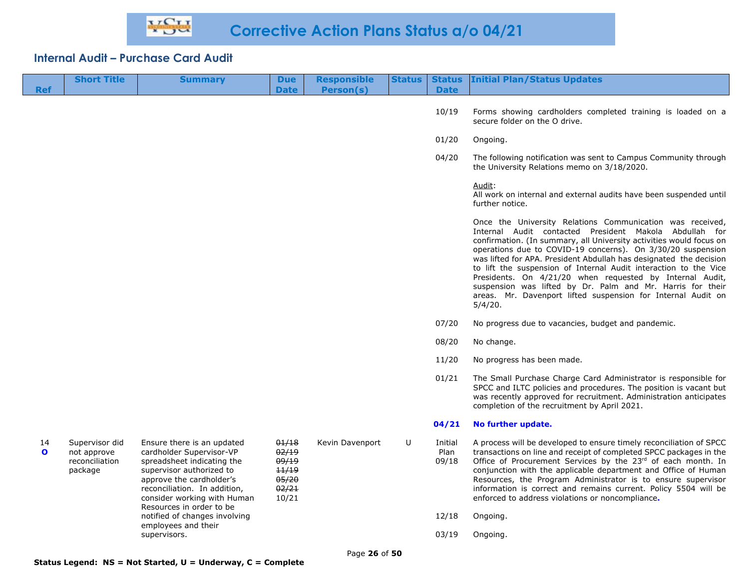| <b>Ref</b>         | <b>Short Title</b>                                         | <b>Summary</b>                                                                                                                                                                                                                          | <b>Due</b><br><b>Date</b>                                   | <b>Responsible</b><br>Person(s) | <b>Status</b> | <b>Date</b>              | <b>Status Initial Plan/Status Updates</b>                                                                                                                                                                                                                                                                                                                                                                                                                                                                                                                                                                |
|--------------------|------------------------------------------------------------|-----------------------------------------------------------------------------------------------------------------------------------------------------------------------------------------------------------------------------------------|-------------------------------------------------------------|---------------------------------|---------------|--------------------------|----------------------------------------------------------------------------------------------------------------------------------------------------------------------------------------------------------------------------------------------------------------------------------------------------------------------------------------------------------------------------------------------------------------------------------------------------------------------------------------------------------------------------------------------------------------------------------------------------------|
|                    |                                                            |                                                                                                                                                                                                                                         |                                                             |                                 |               | 10/19                    | Forms showing cardholders completed training is loaded on a<br>secure folder on the O drive.                                                                                                                                                                                                                                                                                                                                                                                                                                                                                                             |
|                    |                                                            |                                                                                                                                                                                                                                         |                                                             |                                 |               | 01/20                    | Ongoing.                                                                                                                                                                                                                                                                                                                                                                                                                                                                                                                                                                                                 |
|                    |                                                            |                                                                                                                                                                                                                                         |                                                             |                                 |               | 04/20                    | The following notification was sent to Campus Community through<br>the University Relations memo on 3/18/2020.                                                                                                                                                                                                                                                                                                                                                                                                                                                                                           |
|                    |                                                            |                                                                                                                                                                                                                                         |                                                             |                                 |               |                          | Audit:<br>All work on internal and external audits have been suspended until<br>further notice.                                                                                                                                                                                                                                                                                                                                                                                                                                                                                                          |
|                    |                                                            |                                                                                                                                                                                                                                         |                                                             |                                 |               |                          | Once the University Relations Communication was received,<br>Internal Audit contacted President Makola Abdullah for<br>confirmation. (In summary, all University activities would focus on<br>operations due to COVID-19 concerns). On 3/30/20 suspension<br>was lifted for APA. President Abdullah has designated the decision<br>to lift the suspension of Internal Audit interaction to the Vice<br>Presidents. On 4/21/20 when requested by Internal Audit,<br>suspension was lifted by Dr. Palm and Mr. Harris for their<br>areas. Mr. Davenport lifted suspension for Internal Audit on<br>5/4/20. |
|                    |                                                            |                                                                                                                                                                                                                                         |                                                             |                                 |               | 07/20                    | No progress due to vacancies, budget and pandemic.                                                                                                                                                                                                                                                                                                                                                                                                                                                                                                                                                       |
|                    |                                                            |                                                                                                                                                                                                                                         |                                                             |                                 |               | 08/20                    | No change.                                                                                                                                                                                                                                                                                                                                                                                                                                                                                                                                                                                               |
|                    |                                                            |                                                                                                                                                                                                                                         |                                                             |                                 |               | 11/20                    | No progress has been made.                                                                                                                                                                                                                                                                                                                                                                                                                                                                                                                                                                               |
|                    |                                                            |                                                                                                                                                                                                                                         |                                                             |                                 |               | 01/21                    | The Small Purchase Charge Card Administrator is responsible for<br>SPCC and ILTC policies and procedures. The position is vacant but<br>was recently approved for recruitment. Administration anticipates<br>completion of the recruitment by April 2021.                                                                                                                                                                                                                                                                                                                                                |
|                    |                                                            |                                                                                                                                                                                                                                         |                                                             |                                 |               | 04/21                    | No further update.                                                                                                                                                                                                                                                                                                                                                                                                                                                                                                                                                                                       |
| 14<br>$\mathbf{o}$ | Supervisor did<br>not approve<br>reconciliation<br>package | Ensure there is an updated<br>cardholder Supervisor-VP<br>spreadsheet indicating the<br>supervisor authorized to<br>approve the cardholder's<br>reconciliation. In addition,<br>consider working with Human<br>Resources in order to be | 01/18<br>02/19<br>09/19<br>11/19<br>05/20<br>02/21<br>10/21 | Kevin Davenport                 | U             | Initial<br>Plan<br>09/18 | A process will be developed to ensure timely reconciliation of SPCC<br>transactions on line and receipt of completed SPCC packages in the<br>Office of Procurement Services by the 23rd of each month. In<br>conjunction with the applicable department and Office of Human<br>Resources, the Program Administrator is to ensure supervisor<br>information is correct and remains current. Policy 5504 will be<br>enforced to address violations or noncompliance.                                                                                                                                       |
|                    |                                                            | notified of changes involving<br>employees and their                                                                                                                                                                                    |                                                             |                                 |               | 12/18                    | Ongoing.                                                                                                                                                                                                                                                                                                                                                                                                                                                                                                                                                                                                 |
|                    |                                                            | supervisors.                                                                                                                                                                                                                            |                                                             |                                 |               | 03/19                    | Ongoing.                                                                                                                                                                                                                                                                                                                                                                                                                                                                                                                                                                                                 |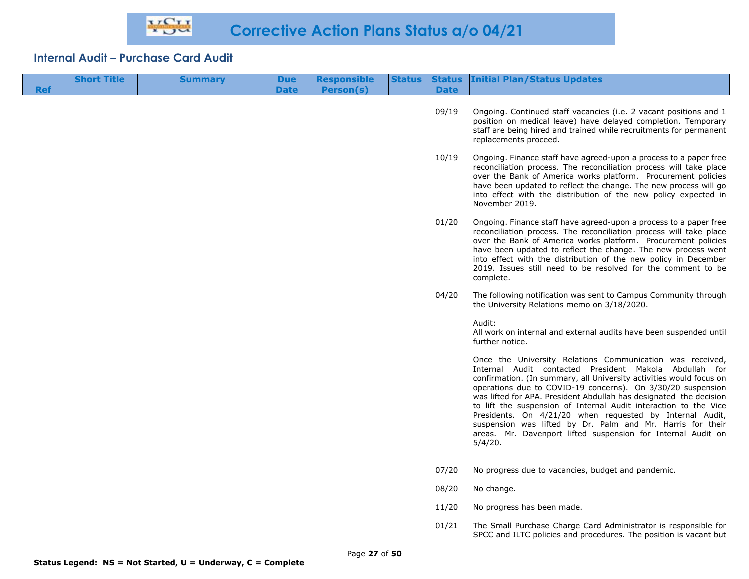| <b>Ref</b> | <b>Short Title</b> | <b>Summary</b> | <b>Due</b><br><b>Date</b> | <b>Responsible</b><br>Person(s) | <b>Status</b> | <b>Date</b> | Status Initial Plan/Status Updates                                                                                                                                                                                                                                                                                                                                                                                                                                                                                                                                                                       |
|------------|--------------------|----------------|---------------------------|---------------------------------|---------------|-------------|----------------------------------------------------------------------------------------------------------------------------------------------------------------------------------------------------------------------------------------------------------------------------------------------------------------------------------------------------------------------------------------------------------------------------------------------------------------------------------------------------------------------------------------------------------------------------------------------------------|
|            |                    |                |                           |                                 |               | 09/19       | Ongoing. Continued staff vacancies (i.e. 2 vacant positions and 1<br>position on medical leave) have delayed completion. Temporary<br>staff are being hired and trained while recruitments for permanent<br>replacements proceed.                                                                                                                                                                                                                                                                                                                                                                        |
|            |                    |                |                           |                                 |               | 10/19       | Ongoing. Finance staff have agreed-upon a process to a paper free<br>reconciliation process. The reconciliation process will take place<br>over the Bank of America works platform. Procurement policies<br>have been updated to reflect the change. The new process will go<br>into effect with the distribution of the new policy expected in<br>November 2019.                                                                                                                                                                                                                                        |
|            |                    |                |                           |                                 |               | 01/20       | Ongoing. Finance staff have agreed-upon a process to a paper free<br>reconciliation process. The reconciliation process will take place<br>over the Bank of America works platform. Procurement policies<br>have been updated to reflect the change. The new process went<br>into effect with the distribution of the new policy in December<br>2019. Issues still need to be resolved for the comment to be<br>complete.                                                                                                                                                                                |
|            |                    |                |                           |                                 |               | 04/20       | The following notification was sent to Campus Community through<br>the University Relations memo on 3/18/2020.                                                                                                                                                                                                                                                                                                                                                                                                                                                                                           |
|            |                    |                |                           |                                 |               |             | Audit:<br>All work on internal and external audits have been suspended until<br>further notice.                                                                                                                                                                                                                                                                                                                                                                                                                                                                                                          |
|            |                    |                |                           |                                 |               |             | Once the University Relations Communication was received,<br>Internal Audit contacted President Makola Abdullah for<br>confirmation. (In summary, all University activities would focus on<br>operations due to COVID-19 concerns). On 3/30/20 suspension<br>was lifted for APA. President Abdullah has designated the decision<br>to lift the suspension of Internal Audit interaction to the Vice<br>Presidents. On 4/21/20 when requested by Internal Audit,<br>suspension was lifted by Dr. Palm and Mr. Harris for their<br>areas. Mr. Davenport lifted suspension for Internal Audit on<br>5/4/20. |
|            |                    |                |                           |                                 |               | 07/20       | No progress due to vacancies, budget and pandemic.                                                                                                                                                                                                                                                                                                                                                                                                                                                                                                                                                       |
|            |                    |                |                           |                                 |               | 08/20       | No change.                                                                                                                                                                                                                                                                                                                                                                                                                                                                                                                                                                                               |
|            |                    |                |                           |                                 |               | 11/20       | No progress has been made.                                                                                                                                                                                                                                                                                                                                                                                                                                                                                                                                                                               |
|            |                    |                |                           |                                 |               | 01/21       | The Small Purchase Charge Card Administrator is responsible for<br>SPCC and ILTC policies and procedures. The position is vacant but                                                                                                                                                                                                                                                                                                                                                                                                                                                                     |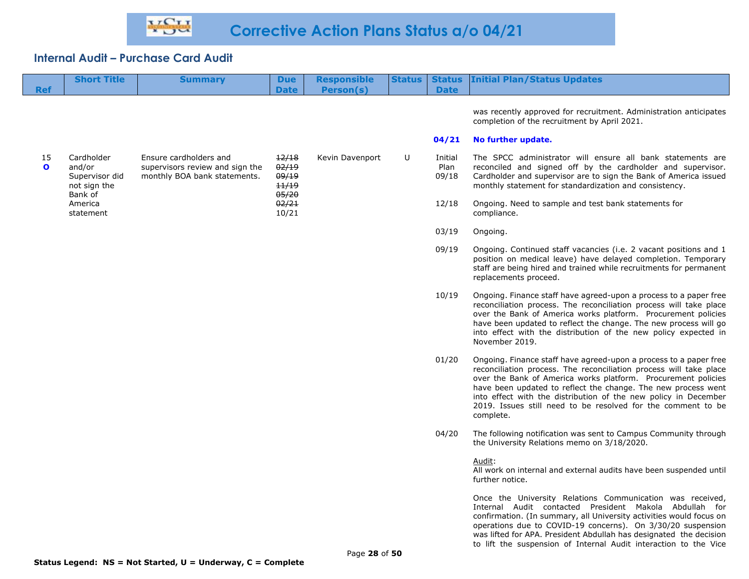|                    | <b>Short Title</b>                                     | <b>Summary</b>                                                                            | <b>Due</b>                       | <b>Responsible</b> | <b>Status</b> | <b>Status</b>            | <b>Initial Plan/Status Updates</b>                                                                                                                                                                                                                                                                                                                                                                                        |
|--------------------|--------------------------------------------------------|-------------------------------------------------------------------------------------------|----------------------------------|--------------------|---------------|--------------------------|---------------------------------------------------------------------------------------------------------------------------------------------------------------------------------------------------------------------------------------------------------------------------------------------------------------------------------------------------------------------------------------------------------------------------|
| <b>Ref</b>         |                                                        |                                                                                           | <b>Date</b>                      | Person(s)          |               | <b>Date</b>              |                                                                                                                                                                                                                                                                                                                                                                                                                           |
|                    |                                                        |                                                                                           |                                  |                    |               |                          | was recently approved for recruitment. Administration anticipates<br>completion of the recruitment by April 2021.                                                                                                                                                                                                                                                                                                         |
|                    |                                                        |                                                                                           |                                  |                    |               | 04/21                    | No further update.                                                                                                                                                                                                                                                                                                                                                                                                        |
| 15<br>$\mathbf{o}$ | Cardholder<br>and/or<br>Supervisor did<br>not sign the | Ensure cardholders and<br>supervisors review and sign the<br>monthly BOA bank statements. | 12/18<br>02/19<br>09/19<br>11/19 | Kevin Davenport    | U             | Initial<br>Plan<br>09/18 | The SPCC administrator will ensure all bank statements are<br>reconciled and signed off by the cardholder and supervisor.<br>Cardholder and supervisor are to sign the Bank of America issued<br>monthly statement for standardization and consistency.                                                                                                                                                                   |
|                    | Bank of<br>America<br>statement                        |                                                                                           | 05/20<br>02/21<br>10/21          |                    |               | 12/18                    | Ongoing. Need to sample and test bank statements for<br>compliance.                                                                                                                                                                                                                                                                                                                                                       |
|                    |                                                        |                                                                                           |                                  |                    |               | 03/19                    | Ongoing.                                                                                                                                                                                                                                                                                                                                                                                                                  |
|                    |                                                        |                                                                                           |                                  |                    |               | 09/19                    | Ongoing. Continued staff vacancies (i.e. 2 vacant positions and 1<br>position on medical leave) have delayed completion. Temporary<br>staff are being hired and trained while recruitments for permanent<br>replacements proceed.                                                                                                                                                                                         |
|                    |                                                        |                                                                                           |                                  |                    |               | 10/19                    | Ongoing. Finance staff have agreed-upon a process to a paper free<br>reconciliation process. The reconciliation process will take place<br>over the Bank of America works platform. Procurement policies<br>have been updated to reflect the change. The new process will go<br>into effect with the distribution of the new policy expected in<br>November 2019.                                                         |
|                    |                                                        |                                                                                           |                                  |                    |               | 01/20                    | Ongoing. Finance staff have agreed-upon a process to a paper free<br>reconciliation process. The reconciliation process will take place<br>over the Bank of America works platform. Procurement policies<br>have been updated to reflect the change. The new process went<br>into effect with the distribution of the new policy in December<br>2019. Issues still need to be resolved for the comment to be<br>complete. |
|                    |                                                        |                                                                                           |                                  |                    |               | 04/20                    | The following notification was sent to Campus Community through<br>the University Relations memo on 3/18/2020.                                                                                                                                                                                                                                                                                                            |
|                    |                                                        |                                                                                           |                                  |                    |               |                          | Audit:<br>All work on internal and external audits have been suspended until<br>further notice.                                                                                                                                                                                                                                                                                                                           |

Once the University Relations Communication was received, Internal Audit contacted President Makola Abdullah for confirmation. (In summary, all University activities would focus on operations due to COVID-19 concerns). On 3/30/20 suspension was lifted for APA. President Abdullah has designated the decision to lift the suspension of Internal Audit interaction to the Vice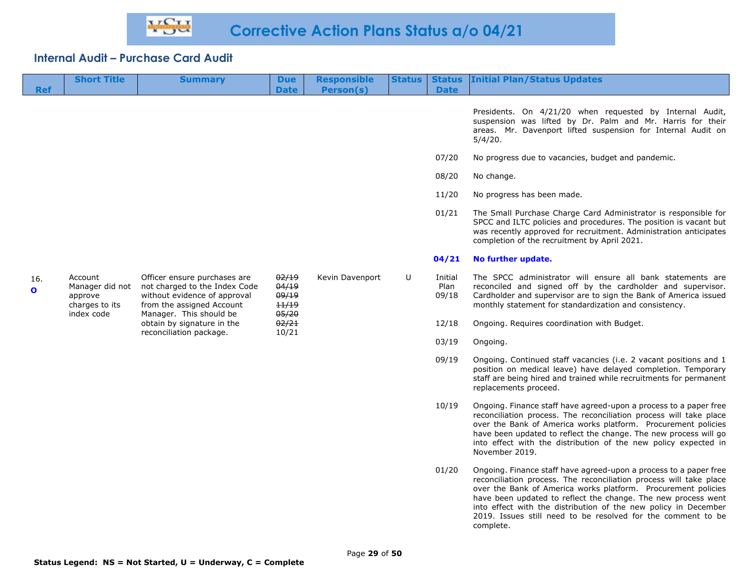| <b>Ref</b>          | <b>Short Title</b>                                                    | <b>Summary</b>                                                                                                                                        | <b>Due</b><br><b>Date</b>                 | <b>Responsible</b><br>Person(s) | <b>Status</b> | <b>Status</b><br><b>Date</b> | <b>Initial Plan/Status Updates</b>                                                                                                                                                                                                                                                                                                                                                                                        |
|---------------------|-----------------------------------------------------------------------|-------------------------------------------------------------------------------------------------------------------------------------------------------|-------------------------------------------|---------------------------------|---------------|------------------------------|---------------------------------------------------------------------------------------------------------------------------------------------------------------------------------------------------------------------------------------------------------------------------------------------------------------------------------------------------------------------------------------------------------------------------|
|                     |                                                                       |                                                                                                                                                       |                                           |                                 |               |                              | Presidents. On 4/21/20 when requested by Internal Audit,<br>suspension was lifted by Dr. Palm and Mr. Harris for their<br>areas. Mr. Davenport lifted suspension for Internal Audit on<br>5/4/20.                                                                                                                                                                                                                         |
|                     |                                                                       |                                                                                                                                                       |                                           |                                 |               | 07/20                        | No progress due to vacancies, budget and pandemic.                                                                                                                                                                                                                                                                                                                                                                        |
|                     |                                                                       |                                                                                                                                                       |                                           |                                 |               | 08/20                        | No change.                                                                                                                                                                                                                                                                                                                                                                                                                |
|                     |                                                                       |                                                                                                                                                       |                                           |                                 |               | 11/20                        | No progress has been made.                                                                                                                                                                                                                                                                                                                                                                                                |
|                     |                                                                       |                                                                                                                                                       |                                           |                                 |               | 01/21                        | The Small Purchase Charge Card Administrator is responsible for<br>SPCC and ILTC policies and procedures. The position is vacant but<br>was recently approved for recruitment. Administration anticipates<br>completion of the recruitment by April 2021.                                                                                                                                                                 |
|                     |                                                                       |                                                                                                                                                       |                                           |                                 |               | 04/21                        | No further update.                                                                                                                                                                                                                                                                                                                                                                                                        |
| 16.<br>$\mathbf{o}$ | Account<br>Manager did not<br>approve<br>charges to its<br>index code | Officer ensure purchases are<br>not charged to the Index Code<br>without evidence of approval<br>from the assigned Account<br>Manager. This should be | 02/19<br>04/19<br>09/19<br>11/19<br>05/20 | Kevin Davenport                 | U             | Initial<br>Plan<br>09/18     | The SPCC administrator will ensure all bank statements are<br>reconciled and signed off by the cardholder and supervisor.<br>Cardholder and supervisor are to sign the Bank of America issued<br>monthly statement for standardization and consistency.                                                                                                                                                                   |
|                     |                                                                       | obtain by signature in the<br>reconciliation package.                                                                                                 | 02/21<br>10/21                            |                                 |               | 12/18                        | Ongoing. Requires coordination with Budget.                                                                                                                                                                                                                                                                                                                                                                               |
|                     |                                                                       |                                                                                                                                                       |                                           |                                 |               | 03/19                        | Ongoing.                                                                                                                                                                                                                                                                                                                                                                                                                  |
|                     |                                                                       |                                                                                                                                                       |                                           |                                 |               | 09/19                        | Ongoing. Continued staff vacancies (i.e. 2 vacant positions and 1<br>position on medical leave) have delayed completion. Temporary<br>staff are being hired and trained while recruitments for permanent<br>replacements proceed.                                                                                                                                                                                         |
|                     |                                                                       |                                                                                                                                                       |                                           |                                 |               | 10/19                        | Ongoing. Finance staff have agreed-upon a process to a paper free<br>reconciliation process. The reconciliation process will take place<br>over the Bank of America works platform. Procurement policies<br>have been updated to reflect the change. The new process will go<br>into effect with the distribution of the new policy expected in<br>November 2019.                                                         |
|                     |                                                                       |                                                                                                                                                       |                                           |                                 |               | 01/20                        | Ongoing. Finance staff have agreed-upon a process to a paper free<br>reconciliation process. The reconciliation process will take place<br>over the Bank of America works platform. Procurement policies<br>have been updated to reflect the change. The new process went<br>into effect with the distribution of the new policy in December<br>2019. Issues still need to be resolved for the comment to be<br>complete. |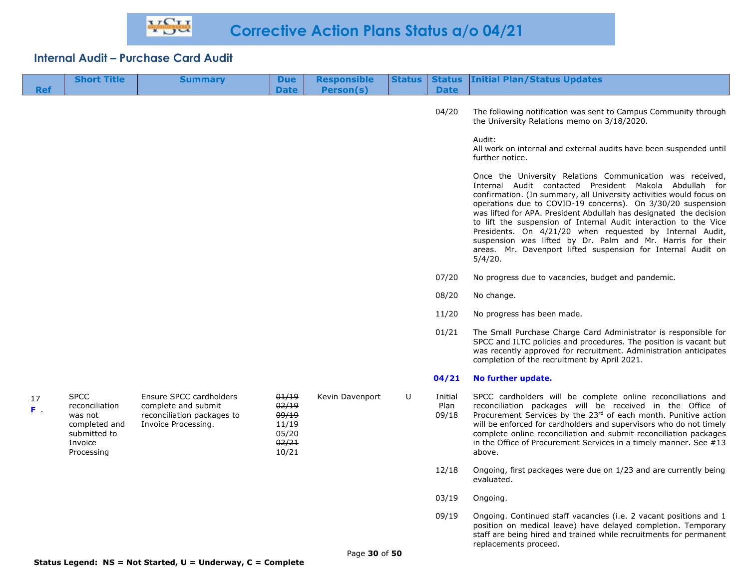| <b>Ref</b>  | <b>Short Title</b>                                                                                 | <b>Summary</b>                                                                                      | <b>Due</b><br><b>Date</b>                                   | <b>Responsible</b><br>Person(s) | <b>Status</b> | <b>Date</b>              | <b>Status Initial Plan/Status Updates</b>                                                                                                                                                                                                                                                                                                                                                                                                                                                                                                                                                                |
|-------------|----------------------------------------------------------------------------------------------------|-----------------------------------------------------------------------------------------------------|-------------------------------------------------------------|---------------------------------|---------------|--------------------------|----------------------------------------------------------------------------------------------------------------------------------------------------------------------------------------------------------------------------------------------------------------------------------------------------------------------------------------------------------------------------------------------------------------------------------------------------------------------------------------------------------------------------------------------------------------------------------------------------------|
|             |                                                                                                    |                                                                                                     |                                                             |                                 |               |                          |                                                                                                                                                                                                                                                                                                                                                                                                                                                                                                                                                                                                          |
|             |                                                                                                    |                                                                                                     |                                                             |                                 |               | 04/20                    | The following notification was sent to Campus Community through<br>the University Relations memo on 3/18/2020.                                                                                                                                                                                                                                                                                                                                                                                                                                                                                           |
|             |                                                                                                    |                                                                                                     |                                                             |                                 |               |                          | Audit:<br>All work on internal and external audits have been suspended until<br>further notice.                                                                                                                                                                                                                                                                                                                                                                                                                                                                                                          |
|             |                                                                                                    |                                                                                                     |                                                             |                                 |               |                          | Once the University Relations Communication was received,<br>Internal Audit contacted President Makola Abdullah for<br>confirmation. (In summary, all University activities would focus on<br>operations due to COVID-19 concerns). On 3/30/20 suspension<br>was lifted for APA. President Abdullah has designated the decision<br>to lift the suspension of Internal Audit interaction to the Vice<br>Presidents. On 4/21/20 when requested by Internal Audit,<br>suspension was lifted by Dr. Palm and Mr. Harris for their<br>areas. Mr. Davenport lifted suspension for Internal Audit on<br>5/4/20. |
|             |                                                                                                    |                                                                                                     |                                                             |                                 |               | 07/20                    | No progress due to vacancies, budget and pandemic.                                                                                                                                                                                                                                                                                                                                                                                                                                                                                                                                                       |
|             |                                                                                                    |                                                                                                     |                                                             |                                 |               | 08/20                    | No change.                                                                                                                                                                                                                                                                                                                                                                                                                                                                                                                                                                                               |
|             |                                                                                                    |                                                                                                     |                                                             |                                 |               | 11/20                    | No progress has been made.                                                                                                                                                                                                                                                                                                                                                                                                                                                                                                                                                                               |
|             |                                                                                                    |                                                                                                     |                                                             |                                 |               | 01/21                    | The Small Purchase Charge Card Administrator is responsible for<br>SPCC and ILTC policies and procedures. The position is vacant but<br>was recently approved for recruitment. Administration anticipates<br>completion of the recruitment by April 2021.                                                                                                                                                                                                                                                                                                                                                |
|             |                                                                                                    |                                                                                                     |                                                             |                                 |               | 04/21                    | No further update.                                                                                                                                                                                                                                                                                                                                                                                                                                                                                                                                                                                       |
| 17<br>$F =$ | <b>SPCC</b><br>reconciliation<br>was not<br>completed and<br>submitted to<br>Invoice<br>Processing | Ensure SPCC cardholders<br>complete and submit<br>reconciliation packages to<br>Invoice Processing. | 01/19<br>02/19<br>09/19<br>11/19<br>05/20<br>02/21<br>10/21 | Kevin Davenport                 | U             | Initial<br>Plan<br>09/18 | SPCC cardholders will be complete online reconciliations and<br>reconciliation packages will be received in the Office of<br>Procurement Services by the 23rd of each month. Punitive action<br>will be enforced for cardholders and supervisors who do not timely<br>complete online reconciliation and submit reconciliation packages<br>in the Office of Procurement Services in a timely manner. See $#13$<br>above.                                                                                                                                                                                 |
|             |                                                                                                    |                                                                                                     |                                                             |                                 |               | 12/18                    | Ongoing, first packages were due on 1/23 and are currently being<br>evaluated.                                                                                                                                                                                                                                                                                                                                                                                                                                                                                                                           |
|             |                                                                                                    |                                                                                                     |                                                             |                                 |               | 03/19                    | Ongoing.                                                                                                                                                                                                                                                                                                                                                                                                                                                                                                                                                                                                 |
|             |                                                                                                    |                                                                                                     |                                                             |                                 |               | 09/19                    | Ongoing. Continued staff vacancies (i.e. 2 vacant positions and 1<br>position on medical leave) have delayed completion. Temporary<br>staff are being hired and trained while recruitments for permanent                                                                                                                                                                                                                                                                                                                                                                                                 |

replacements proceed.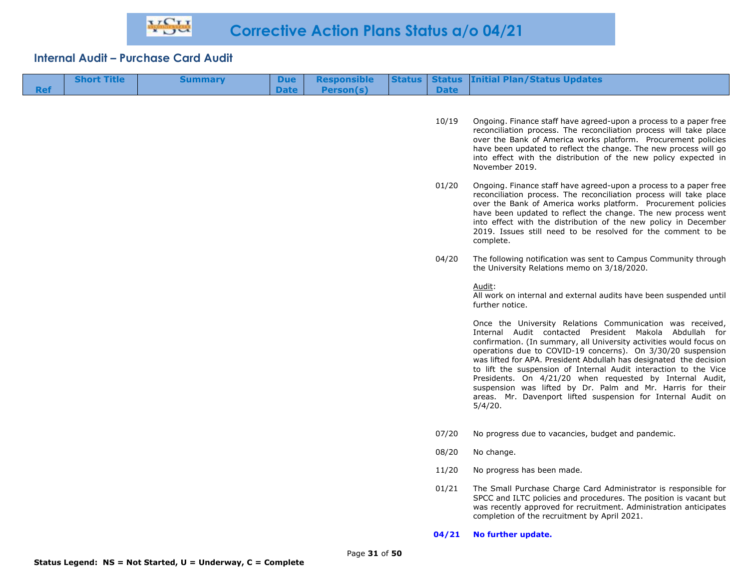| <b>Ref</b> | <b>Short Title</b> | <b>Summary</b> | <b>Due</b><br><b>Date</b> | Responsible<br>Person(s) | <b>Date</b> | <b>Status   Status   Initial Plan/Status Updates</b>                                                                                    |
|------------|--------------------|----------------|---------------------------|--------------------------|-------------|-----------------------------------------------------------------------------------------------------------------------------------------|
|            |                    |                |                           |                          | 10/19       | Ongoing. Finance staff have agreed-upon a process to a paper free<br>reconciliation process. The reconciliation process will take place |

- over the Bank of America works platform. Procurement policies have been updated to reflect the change. The new process will go into effect with the distribution of the new policy expected in November 2019.
- 01/20 Ongoing. Finance staff have agreed-upon a process to a paper free reconciliation process. The reconciliation process will take place over the Bank of America works platform. Procurement policies have been updated to reflect the change. The new process went into effect with the distribution of the new policy in December 2019. Issues still need to be resolved for the comment to be complete.
- 04/20 The following notification was sent to Campus Community through the University Relations memo on 3/18/2020.

Audit:

All work on internal and external audits have been suspended until further notice.

Once the University Relations Communication was received, Internal Audit contacted President Makola Abdullah for confirmation. (In summary, all University activities would focus on operations due to COVID-19 concerns). On 3/30/20 suspension was lifted for APA. President Abdullah has designated the decision to lift the suspension of Internal Audit interaction to the Vice Presidents. On 4/21/20 when requested by Internal Audit, suspension was lifted by Dr. Palm and Mr. Harris for their areas. Mr. Davenport lifted suspension for Internal Audit on 5/4/20.

- 07/20 No progress due to vacancies, budget and pandemic.
- 08/20 No change.
- 11/20 No progress has been made.
- 01/21 The Small Purchase Charge Card Administrator is responsible for SPCC and ILTC policies and procedures. The position is vacant but was recently approved for recruitment. Administration anticipates completion of the recruitment by April 2021.

#### **04/21 No further update.**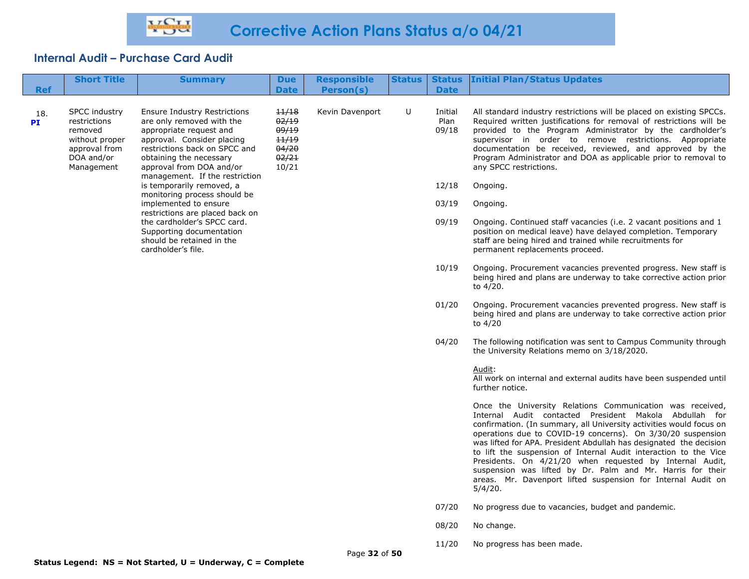| <b>Ref</b> | <b>Short Title</b>                                                                                                                                                                                                                                                                                                                  | <b>Summary</b>                                                                              | <b>Due</b><br><b>Date</b> | <b>Responsible</b><br>Person(s) | <b>Status</b>            | <b>Date</b>                                                                                                                                                                                                                                                                                                                                                                                                                  | <b>Status Initial Plan/Status Updates</b>                                                                                                                                                                                                                                                                                                                                                                                                                                                                                                                                                                |
|------------|-------------------------------------------------------------------------------------------------------------------------------------------------------------------------------------------------------------------------------------------------------------------------------------------------------------------------------------|---------------------------------------------------------------------------------------------|---------------------------|---------------------------------|--------------------------|------------------------------------------------------------------------------------------------------------------------------------------------------------------------------------------------------------------------------------------------------------------------------------------------------------------------------------------------------------------------------------------------------------------------------|----------------------------------------------------------------------------------------------------------------------------------------------------------------------------------------------------------------------------------------------------------------------------------------------------------------------------------------------------------------------------------------------------------------------------------------------------------------------------------------------------------------------------------------------------------------------------------------------------------|
| 18.<br>PI  | <b>SPCC industry</b><br><b>Ensure Industry Restrictions</b><br>are only removed with the<br>restrictions<br>removed<br>appropriate request and<br>approval. Consider placing<br>without proper<br>approval from<br>restrictions back on SPCC and<br>DOA and/or<br>obtaining the necessary<br>approval from DOA and/or<br>Management | 11/18<br>02/19<br>09/19<br>11/19<br>04/20<br>02/21<br>10/21                                 | Kevin Davenport           | U                               | Initial<br>Plan<br>09/18 | All standard industry restrictions will be placed on existing SPCCs.<br>Required written justifications for removal of restrictions will be<br>provided to the Program Administrator by the cardholder's<br>supervisor in order to remove restrictions. Appropriate<br>documentation be received, reviewed, and approved by the<br>Program Administrator and DOA as applicable prior to removal to<br>any SPCC restrictions. |                                                                                                                                                                                                                                                                                                                                                                                                                                                                                                                                                                                                          |
|            |                                                                                                                                                                                                                                                                                                                                     | management. If the restriction<br>is temporarily removed, a<br>monitoring process should be |                           |                                 |                          | 12/18                                                                                                                                                                                                                                                                                                                                                                                                                        | Ongoing.                                                                                                                                                                                                                                                                                                                                                                                                                                                                                                                                                                                                 |
|            |                                                                                                                                                                                                                                                                                                                                     | implemented to ensure                                                                       |                           |                                 |                          | 03/19                                                                                                                                                                                                                                                                                                                                                                                                                        | Ongoing.                                                                                                                                                                                                                                                                                                                                                                                                                                                                                                                                                                                                 |
|            | restrictions are placed back on<br>the cardholder's SPCC card.<br>Supporting documentation<br>should be retained in the<br>cardholder's file.                                                                                                                                                                                       |                                                                                             |                           |                                 |                          | 09/19                                                                                                                                                                                                                                                                                                                                                                                                                        | Ongoing. Continued staff vacancies (i.e. 2 vacant positions and 1<br>position on medical leave) have delayed completion. Temporary<br>staff are being hired and trained while recruitments for<br>permanent replacements proceed.                                                                                                                                                                                                                                                                                                                                                                        |
|            |                                                                                                                                                                                                                                                                                                                                     |                                                                                             |                           |                                 |                          | 10/19                                                                                                                                                                                                                                                                                                                                                                                                                        | Ongoing. Procurement vacancies prevented progress. New staff is<br>being hired and plans are underway to take corrective action prior<br>to 4/20.                                                                                                                                                                                                                                                                                                                                                                                                                                                        |
|            |                                                                                                                                                                                                                                                                                                                                     |                                                                                             |                           |                                 |                          | 01/20                                                                                                                                                                                                                                                                                                                                                                                                                        | Ongoing. Procurement vacancies prevented progress. New staff is<br>being hired and plans are underway to take corrective action prior<br>to 4/20                                                                                                                                                                                                                                                                                                                                                                                                                                                         |
|            |                                                                                                                                                                                                                                                                                                                                     |                                                                                             |                           |                                 |                          | 04/20                                                                                                                                                                                                                                                                                                                                                                                                                        | The following notification was sent to Campus Community through<br>the University Relations memo on 3/18/2020.                                                                                                                                                                                                                                                                                                                                                                                                                                                                                           |
|            |                                                                                                                                                                                                                                                                                                                                     |                                                                                             |                           |                                 |                          |                                                                                                                                                                                                                                                                                                                                                                                                                              | Audit:<br>All work on internal and external audits have been suspended until<br>further notice.                                                                                                                                                                                                                                                                                                                                                                                                                                                                                                          |
|            |                                                                                                                                                                                                                                                                                                                                     |                                                                                             |                           |                                 |                          |                                                                                                                                                                                                                                                                                                                                                                                                                              | Once the University Relations Communication was received,<br>Internal Audit contacted President Makola Abdullah for<br>confirmation. (In summary, all University activities would focus on<br>operations due to COVID-19 concerns). On 3/30/20 suspension<br>was lifted for APA. President Abdullah has designated the decision<br>to lift the suspension of Internal Audit interaction to the Vice<br>Presidents. On 4/21/20 when requested by Internal Audit,<br>suspension was lifted by Dr. Palm and Mr. Harris for their<br>areas. Mr. Davenport lifted suspension for Internal Audit on<br>5/4/20. |
|            |                                                                                                                                                                                                                                                                                                                                     |                                                                                             |                           |                                 |                          | 07/20                                                                                                                                                                                                                                                                                                                                                                                                                        | No progress due to vacancies, budget and pandemic.                                                                                                                                                                                                                                                                                                                                                                                                                                                                                                                                                       |
|            |                                                                                                                                                                                                                                                                                                                                     |                                                                                             |                           |                                 |                          | 08/20                                                                                                                                                                                                                                                                                                                                                                                                                        | No change.                                                                                                                                                                                                                                                                                                                                                                                                                                                                                                                                                                                               |
|            |                                                                                                                                                                                                                                                                                                                                     |                                                                                             |                           | Page 32 of 50                   |                          | 11/20                                                                                                                                                                                                                                                                                                                                                                                                                        | No progress has been made.                                                                                                                                                                                                                                                                                                                                                                                                                                                                                                                                                                               |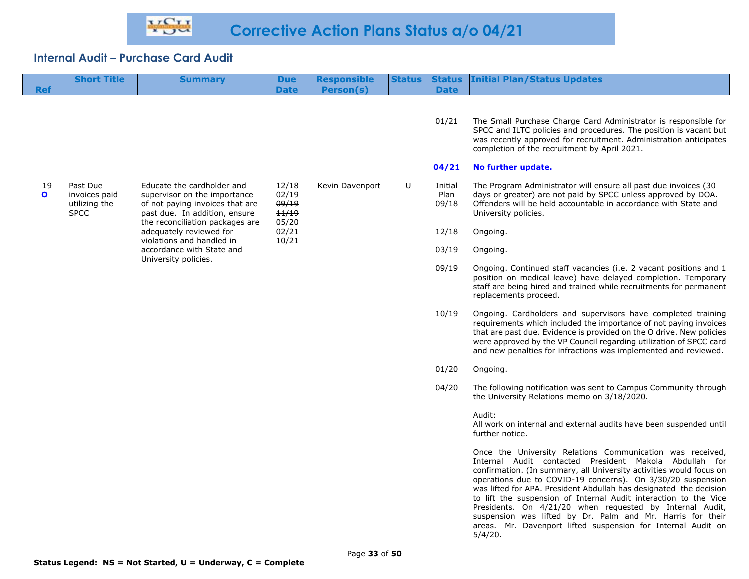|                    | <b>Short Title</b>                                        | <b>Summary</b>                                                                                                                               | <b>Due</b>                       | <b>Responsible</b> | <b>Status</b> | <b>Status</b>            | <b>Initial Plan/Status Updates</b>                                                                                                                                                                                                                                                                                                                 |
|--------------------|-----------------------------------------------------------|----------------------------------------------------------------------------------------------------------------------------------------------|----------------------------------|--------------------|---------------|--------------------------|----------------------------------------------------------------------------------------------------------------------------------------------------------------------------------------------------------------------------------------------------------------------------------------------------------------------------------------------------|
| <b>Ref</b>         |                                                           |                                                                                                                                              | <b>Date</b>                      | Person(s)          |               | <b>Date</b>              |                                                                                                                                                                                                                                                                                                                                                    |
|                    |                                                           |                                                                                                                                              |                                  |                    |               |                          |                                                                                                                                                                                                                                                                                                                                                    |
|                    |                                                           |                                                                                                                                              |                                  |                    |               | 01/21                    | The Small Purchase Charge Card Administrator is responsible for<br>SPCC and ILTC policies and procedures. The position is vacant but<br>was recently approved for recruitment. Administration anticipates<br>completion of the recruitment by April 2021.                                                                                          |
|                    |                                                           |                                                                                                                                              |                                  |                    |               | 04/21                    | No further update.                                                                                                                                                                                                                                                                                                                                 |
| 19<br>$\mathbf{o}$ | Past Due<br>invoices paid<br>utilizing the<br><b>SPCC</b> | Educate the cardholder and<br>supervisor on the importance<br>of not paying invoices that are<br>past due. In addition, ensure               | 12/18<br>02/19<br>09/19<br>11/19 | Kevin Davenport    | U             | Initial<br>Plan<br>09/18 | The Program Administrator will ensure all past due invoices (30<br>days or greater) are not paid by SPCC unless approved by DOA.<br>Offenders will be held accountable in accordance with State and<br>University policies.                                                                                                                        |
|                    |                                                           | the reconciliation packages are<br>adequately reviewed for<br>violations and handled in<br>accordance with State and<br>University policies. | 05/20<br>02/21<br>10/21          |                    |               | 12/18                    | Ongoing.                                                                                                                                                                                                                                                                                                                                           |
|                    |                                                           |                                                                                                                                              |                                  |                    |               | 03/19                    | Ongoing.                                                                                                                                                                                                                                                                                                                                           |
|                    |                                                           |                                                                                                                                              |                                  |                    |               | 09/19                    | Ongoing. Continued staff vacancies (i.e. 2 vacant positions and 1<br>position on medical leave) have delayed completion. Temporary<br>staff are being hired and trained while recruitments for permanent<br>replacements proceed.                                                                                                                  |
|                    |                                                           |                                                                                                                                              |                                  |                    |               | 10/19                    | Ongoing. Cardholders and supervisors have completed training<br>requirements which included the importance of not paying invoices<br>that are past due. Evidence is provided on the O drive. New policies<br>were approved by the VP Council regarding utilization of SPCC card<br>and new penalties for infractions was implemented and reviewed. |
|                    |                                                           |                                                                                                                                              |                                  |                    |               | 01/20                    | Ongoing.                                                                                                                                                                                                                                                                                                                                           |
|                    |                                                           |                                                                                                                                              |                                  |                    |               | 04/20                    | The following notification was sent to Campus Community through                                                                                                                                                                                                                                                                                    |

04/20 The following notification was sent to Campus Community through the University Relations memo on 3/18/2020.

Audit:

All work on internal and external audits have been suspended until further notice.

Once the University Relations Communication was received, Internal Audit contacted President Makola Abdullah for confirmation. (In summary, all University activities would focus on operations due to COVID-19 concerns). On 3/30/20 suspension was lifted for APA. President Abdullah has designated the decision to lift the suspension of Internal Audit interaction to the Vice Presidents. On 4/21/20 when requested by Internal Audit, suspension was lifted by Dr. Palm and Mr. Harris for their areas. Mr. Davenport lifted suspension for Internal Audit on 5/4/20.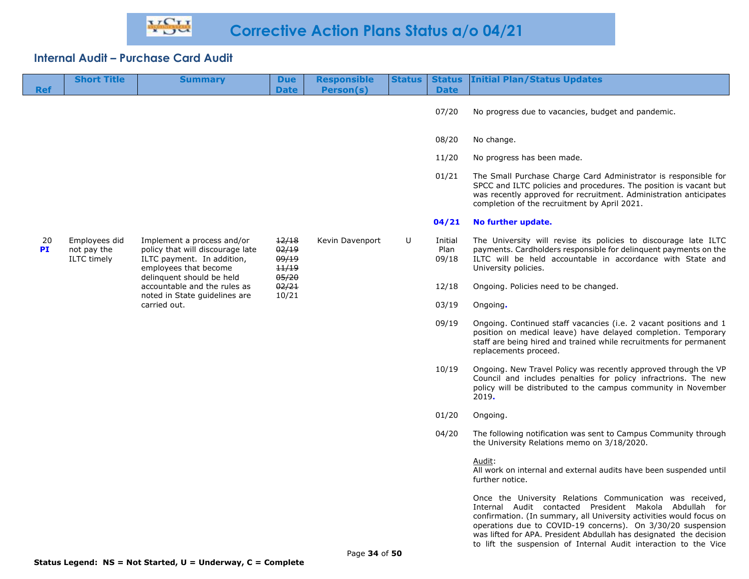| <b>Ref</b> | <b>Short Title</b>                                 | <b>Summary</b>                                                                                                        | <b>Due</b><br><b>Date</b>                 | <b>Responsible</b><br>Person(s) | <b>Status</b> | <b>Status</b><br><b>Date</b> | <b>Initial Plan/Status Updates</b>                                                                                                                                                                                                                        |
|------------|----------------------------------------------------|-----------------------------------------------------------------------------------------------------------------------|-------------------------------------------|---------------------------------|---------------|------------------------------|-----------------------------------------------------------------------------------------------------------------------------------------------------------------------------------------------------------------------------------------------------------|
|            |                                                    |                                                                                                                       |                                           |                                 |               |                              |                                                                                                                                                                                                                                                           |
|            |                                                    |                                                                                                                       |                                           |                                 |               | 07/20                        | No progress due to vacancies, budget and pandemic.                                                                                                                                                                                                        |
|            |                                                    |                                                                                                                       |                                           |                                 |               | 08/20                        | No change.                                                                                                                                                                                                                                                |
|            |                                                    |                                                                                                                       |                                           |                                 |               | 11/20                        | No progress has been made.                                                                                                                                                                                                                                |
|            |                                                    |                                                                                                                       |                                           |                                 |               | 01/21                        | The Small Purchase Charge Card Administrator is responsible for<br>SPCC and ILTC policies and procedures. The position is vacant but<br>was recently approved for recruitment. Administration anticipates<br>completion of the recruitment by April 2021. |
|            |                                                    |                                                                                                                       |                                           |                                 |               | 04/21                        | No further update.                                                                                                                                                                                                                                        |
| 20<br>PI   | Employees did<br>not pay the<br><b>ILTC</b> timely | Implement a process and/or<br>policy that will discourage late<br>ILTC payment. In addition,<br>employees that become | 12/18<br>02/19<br>09/19<br>11/19<br>05/20 | Kevin Davenport                 | U             | Initial<br>Plan<br>09/18     | The University will revise its policies to discourage late ILTC<br>payments. Cardholders responsible for delinquent payments on the<br>ILTC will be held accountable in accordance with State and<br>University policies.                                 |
|            |                                                    | delinquent should be held<br>accountable and the rules as<br>noted in State guidelines are                            | 02/21<br>10/21                            |                                 |               | 12/18                        | Ongoing. Policies need to be changed.                                                                                                                                                                                                                     |
|            |                                                    | carried out.                                                                                                          |                                           |                                 |               | 03/19                        | Ongoing.                                                                                                                                                                                                                                                  |
|            |                                                    |                                                                                                                       |                                           |                                 |               | 09/19                        | Ongoing. Continued staff vacancies (i.e. 2 vacant positions and 1<br>position on medical leave) have delayed completion. Temporary<br>staff are being hired and trained while recruitments for permanent<br>replacements proceed.                         |
|            |                                                    |                                                                                                                       |                                           |                                 |               | 10/19                        | Ongoing. New Travel Policy was recently approved through the VP<br>Council and includes penalties for policy infractrions. The new<br>policy will be distributed to the campus community in November<br>2019.                                             |
|            |                                                    |                                                                                                                       |                                           |                                 |               | 01/20                        | Ongoing.                                                                                                                                                                                                                                                  |
|            |                                                    |                                                                                                                       |                                           |                                 |               | 04/20                        | The following notification was sent to Campus Community through<br>the University Relations memo on 3/18/2020.                                                                                                                                            |
|            |                                                    |                                                                                                                       |                                           |                                 |               |                              | Audit:<br>All work on internal and external audits have been suspended until<br>further notice.                                                                                                                                                           |
|            |                                                    |                                                                                                                       |                                           |                                 |               |                              | Once the University Relations Communication was received,<br>Internal Audit contacted President Makola Abdullah for<br>confirmation. (In summary, all University activities would focus on                                                                |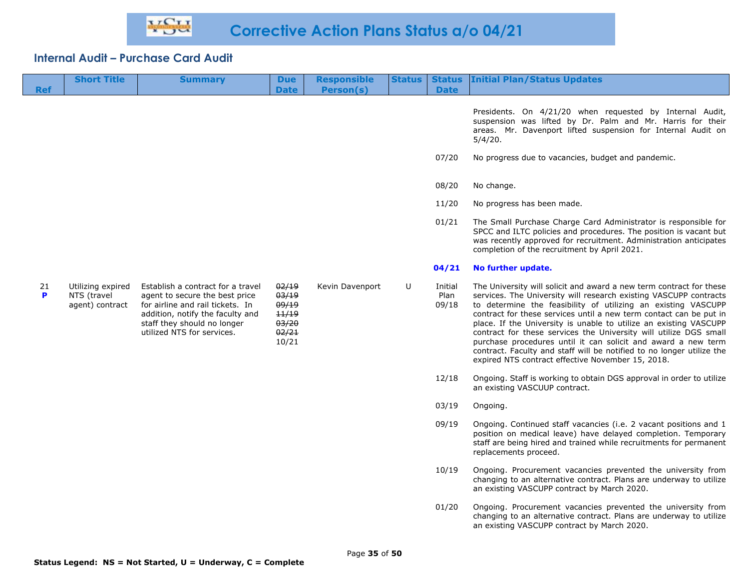|            | <b>Short Title</b>                                  | <b>Summary</b>                                                                                                                                                                                           | <b>Due</b>                                                  | <b>Responsible</b> | <b>Status</b> | <b>Status</b>            | <b>Initial Plan/Status Updates</b>                                                                                                                                                                                                                                                                                                                                                                                                                                                                                                                                                                                       |
|------------|-----------------------------------------------------|----------------------------------------------------------------------------------------------------------------------------------------------------------------------------------------------------------|-------------------------------------------------------------|--------------------|---------------|--------------------------|--------------------------------------------------------------------------------------------------------------------------------------------------------------------------------------------------------------------------------------------------------------------------------------------------------------------------------------------------------------------------------------------------------------------------------------------------------------------------------------------------------------------------------------------------------------------------------------------------------------------------|
| <b>Ref</b> |                                                     |                                                                                                                                                                                                          | <b>Date</b>                                                 | Person(s)          |               | <b>Date</b>              |                                                                                                                                                                                                                                                                                                                                                                                                                                                                                                                                                                                                                          |
|            |                                                     |                                                                                                                                                                                                          |                                                             |                    |               |                          | Presidents. On 4/21/20 when requested by Internal Audit,<br>suspension was lifted by Dr. Palm and Mr. Harris for their<br>areas. Mr. Davenport lifted suspension for Internal Audit on<br>5/4/20.                                                                                                                                                                                                                                                                                                                                                                                                                        |
|            |                                                     |                                                                                                                                                                                                          |                                                             |                    |               | 07/20                    | No progress due to vacancies, budget and pandemic.                                                                                                                                                                                                                                                                                                                                                                                                                                                                                                                                                                       |
|            |                                                     |                                                                                                                                                                                                          |                                                             |                    |               | 08/20                    | No change.                                                                                                                                                                                                                                                                                                                                                                                                                                                                                                                                                                                                               |
|            |                                                     |                                                                                                                                                                                                          |                                                             |                    |               | 11/20                    | No progress has been made.                                                                                                                                                                                                                                                                                                                                                                                                                                                                                                                                                                                               |
|            |                                                     |                                                                                                                                                                                                          |                                                             |                    |               | 01/21                    | The Small Purchase Charge Card Administrator is responsible for<br>SPCC and ILTC policies and procedures. The position is vacant but<br>was recently approved for recruitment. Administration anticipates<br>completion of the recruitment by April 2021.                                                                                                                                                                                                                                                                                                                                                                |
|            |                                                     |                                                                                                                                                                                                          |                                                             |                    |               | 04/21                    | No further update.                                                                                                                                                                                                                                                                                                                                                                                                                                                                                                                                                                                                       |
| 21<br>P    | Utilizing expired<br>NTS (travel<br>agent) contract | Establish a contract for a travel<br>agent to secure the best price<br>for airline and rail tickets. In<br>addition, notify the faculty and<br>staff they should no longer<br>utilized NTS for services. | 02/19<br>03/19<br>09/19<br>11/19<br>03/20<br>02/21<br>10/21 | Kevin Davenport    | U             | Initial<br>Plan<br>09/18 | The University will solicit and award a new term contract for these<br>services. The University will research existing VASCUPP contracts<br>to determine the feasibility of utilizing an existing VASCUPP<br>contract for these services until a new term contact can be put in<br>place. If the University is unable to utilize an existing VASCUPP<br>contract for these services the University will utilize DGS small<br>purchase procedures until it can solicit and award a new term<br>contract. Faculty and staff will be notified to no longer utilize the<br>expired NTS contract effective November 15, 2018. |
|            |                                                     |                                                                                                                                                                                                          |                                                             |                    |               | 12/18                    | Ongoing. Staff is working to obtain DGS approval in order to utilize<br>an existing VASCUUP contract.                                                                                                                                                                                                                                                                                                                                                                                                                                                                                                                    |
|            |                                                     |                                                                                                                                                                                                          |                                                             |                    |               | 03/19                    | Ongoing.                                                                                                                                                                                                                                                                                                                                                                                                                                                                                                                                                                                                                 |
|            |                                                     |                                                                                                                                                                                                          |                                                             |                    |               | 09/19                    | Ongoing. Continued staff vacancies (i.e. 2 vacant positions and 1<br>position on medical leave) have delayed completion. Temporary<br>staff are being hired and trained while recruitments for permanent<br>replacements proceed.                                                                                                                                                                                                                                                                                                                                                                                        |
|            |                                                     |                                                                                                                                                                                                          |                                                             |                    |               | 10/19                    | Ongoing. Procurement vacancies prevented the university from<br>changing to an alternative contract. Plans are underway to utilize<br>an existing VASCUPP contract by March 2020.                                                                                                                                                                                                                                                                                                                                                                                                                                        |
|            |                                                     |                                                                                                                                                                                                          |                                                             |                    |               | 01/20                    | Ongoing. Procurement vacancies prevented the university from<br>changing to an alternative contract. Plans are underway to utilize<br>an existing VASCUPP contract by March 2020.                                                                                                                                                                                                                                                                                                                                                                                                                                        |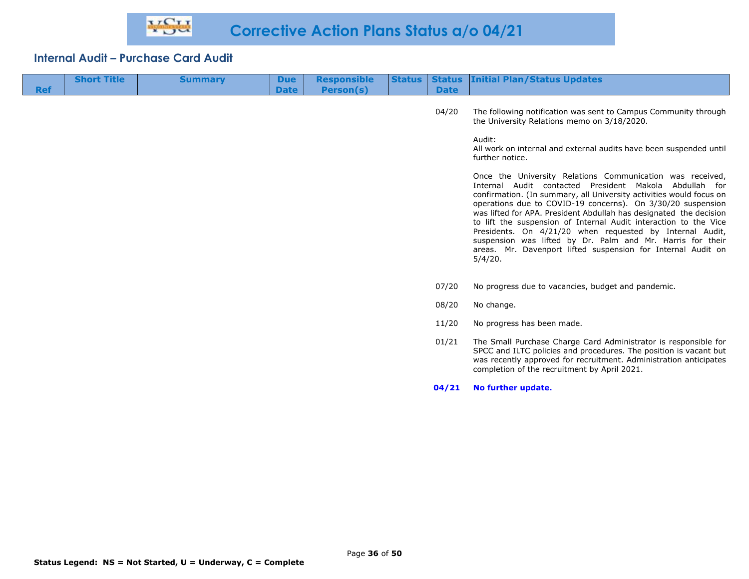| <b>Ref</b> | <b>Short Title</b> | <b>Summary</b> | <b>Due</b><br><b>Date</b> | <b>Responsible</b><br>Person(s) | <b>Status</b> | <b>Date</b> | <b>Status Initial Plan/Status Updates</b>                                                                                                                                                                                                                                                                                                                                                                                                                                                                                                                                                                |
|------------|--------------------|----------------|---------------------------|---------------------------------|---------------|-------------|----------------------------------------------------------------------------------------------------------------------------------------------------------------------------------------------------------------------------------------------------------------------------------------------------------------------------------------------------------------------------------------------------------------------------------------------------------------------------------------------------------------------------------------------------------------------------------------------------------|
|            |                    |                |                           |                                 |               | 04/20       | The following notification was sent to Campus Community through<br>the University Relations memo on 3/18/2020.                                                                                                                                                                                                                                                                                                                                                                                                                                                                                           |
|            |                    |                |                           |                                 |               |             | Audit:<br>All work on internal and external audits have been suspended until<br>further notice.                                                                                                                                                                                                                                                                                                                                                                                                                                                                                                          |
|            |                    |                |                           |                                 |               |             | Once the University Relations Communication was received,<br>Internal Audit contacted President Makola Abdullah for<br>confirmation. (In summary, all University activities would focus on<br>operations due to COVID-19 concerns). On 3/30/20 suspension<br>was lifted for APA. President Abdullah has designated the decision<br>to lift the suspension of Internal Audit interaction to the Vice<br>Presidents. On 4/21/20 when requested by Internal Audit,<br>suspension was lifted by Dr. Palm and Mr. Harris for their<br>areas. Mr. Davenport lifted suspension for Internal Audit on<br>5/4/20. |
|            |                    |                |                           |                                 |               | 07/20       | No progress due to vacancies, budget and pandemic.                                                                                                                                                                                                                                                                                                                                                                                                                                                                                                                                                       |
|            |                    |                |                           |                                 |               | 08/20       | No change.                                                                                                                                                                                                                                                                                                                                                                                                                                                                                                                                                                                               |
|            |                    |                |                           |                                 |               | 11/20       | No progress has been made.                                                                                                                                                                                                                                                                                                                                                                                                                                                                                                                                                                               |
|            |                    |                |                           |                                 |               | 01/21       | The Small Purchase Charge Card Administrator is responsible for<br>SPCC and ILTC policies and procedures. The position is vacant but<br>was recently approved for recruitment. Administration anticipates<br>completion of the recruitment by April 2021.                                                                                                                                                                                                                                                                                                                                                |
|            |                    |                |                           |                                 |               | 04/21       | No further update.                                                                                                                                                                                                                                                                                                                                                                                                                                                                                                                                                                                       |
|            |                    |                |                           |                                 |               |             |                                                                                                                                                                                                                                                                                                                                                                                                                                                                                                                                                                                                          |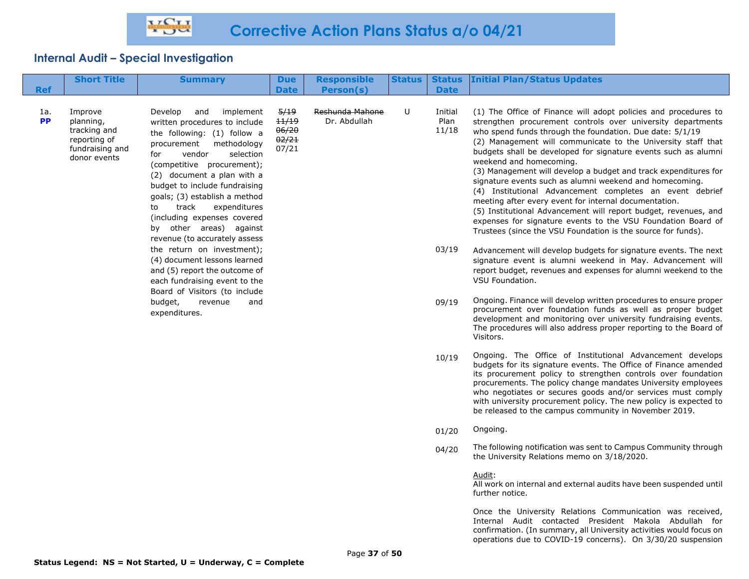| <b>Ref</b>       | <b>Short Title</b>                                                                      | <b>Summary</b>                                                                                                                                                                                                                                                                                                                                                                                                  | <b>Due</b><br><b>Date</b>                | <b>Responsible</b><br>Person(s) | <b>Status</b> | <b>Date</b>              | <b>Status Initial Plan/Status Updates</b>                                                                                                                                                                                                                                                                                                                                                                                                                                                                                                                                                                                                                                                                                                                                                                     |
|------------------|-----------------------------------------------------------------------------------------|-----------------------------------------------------------------------------------------------------------------------------------------------------------------------------------------------------------------------------------------------------------------------------------------------------------------------------------------------------------------------------------------------------------------|------------------------------------------|---------------------------------|---------------|--------------------------|---------------------------------------------------------------------------------------------------------------------------------------------------------------------------------------------------------------------------------------------------------------------------------------------------------------------------------------------------------------------------------------------------------------------------------------------------------------------------------------------------------------------------------------------------------------------------------------------------------------------------------------------------------------------------------------------------------------------------------------------------------------------------------------------------------------|
| 1a.<br><b>PP</b> | Improve<br>planning,<br>tracking and<br>reporting of<br>fundraising and<br>donor events | Develop<br>and<br>implement<br>written procedures to include<br>the following: (1) follow a<br>methodology<br>procurement<br>vendor<br>selection<br>for<br>(competitive procurement);<br>(2) document a plan with a<br>budget to include fundraising<br>goals; (3) establish a method<br>track<br>expenditures<br>to<br>(including expenses covered<br>by other areas) against<br>revenue (to accurately assess | 5/19<br>11/19<br>06/20<br>02/21<br>07/21 | Reshunda Mahone<br>Dr. Abdullah | U             | Initial<br>Plan<br>11/18 | (1) The Office of Finance will adopt policies and procedures to<br>strengthen procurement controls over university departments<br>who spend funds through the foundation. Due date: 5/1/19<br>(2) Management will communicate to the University staff that<br>budgets shall be developed for signature events such as alumni<br>weekend and homecoming.<br>(3) Management will develop a budget and track expenditures for<br>signature events such as alumni weekend and homecoming.<br>(4) Institutional Advancement completes an event debrief<br>meeting after every event for internal documentation.<br>(5) Institutional Advancement will report budget, revenues, and<br>expenses for signature events to the VSU Foundation Board of<br>Trustees (since the VSU Foundation is the source for funds). |
|                  |                                                                                         | the return on investment);<br>(4) document lessons learned<br>and (5) report the outcome of<br>each fundraising event to the<br>Board of Visitors (to include                                                                                                                                                                                                                                                   |                                          |                                 |               | 03/19                    | Advancement will develop budgets for signature events. The next<br>signature event is alumni weekend in May. Advancement will<br>report budget, revenues and expenses for alumni weekend to the<br>VSU Foundation.                                                                                                                                                                                                                                                                                                                                                                                                                                                                                                                                                                                            |
|                  |                                                                                         | budget,<br>revenue<br>and<br>expenditures.                                                                                                                                                                                                                                                                                                                                                                      |                                          |                                 |               | 09/19                    | Ongoing. Finance will develop written procedures to ensure proper<br>procurement over foundation funds as well as proper budget<br>development and monitoring over university fundraising events.<br>The procedures will also address proper reporting to the Board of<br>Visitors.                                                                                                                                                                                                                                                                                                                                                                                                                                                                                                                           |
|                  |                                                                                         |                                                                                                                                                                                                                                                                                                                                                                                                                 |                                          |                                 |               | 10/19                    | Ongoing. The Office of Institutional Advancement develops<br>budgets for its signature events. The Office of Finance amended<br>its procurement policy to strengthen controls over foundation<br>procurements. The policy change mandates University employees<br>who negotiates or secures goods and/or services must comply<br>with university procurement policy. The new policy is expected to<br>be released to the campus community in November 2019.                                                                                                                                                                                                                                                                                                                                                   |
|                  |                                                                                         |                                                                                                                                                                                                                                                                                                                                                                                                                 |                                          |                                 |               | 01/20                    | Ongoing.                                                                                                                                                                                                                                                                                                                                                                                                                                                                                                                                                                                                                                                                                                                                                                                                      |
|                  |                                                                                         |                                                                                                                                                                                                                                                                                                                                                                                                                 |                                          |                                 |               | 04/20                    | The following notification was sent to Campus Community through<br>the University Relations memo on 3/18/2020.                                                                                                                                                                                                                                                                                                                                                                                                                                                                                                                                                                                                                                                                                                |
|                  |                                                                                         |                                                                                                                                                                                                                                                                                                                                                                                                                 |                                          |                                 |               |                          | Audit:<br>All work on internal and external audits have been suspended until<br>further notice.                                                                                                                                                                                                                                                                                                                                                                                                                                                                                                                                                                                                                                                                                                               |
|                  |                                                                                         |                                                                                                                                                                                                                                                                                                                                                                                                                 |                                          |                                 |               |                          | Once the University Relations Communication was received,<br>Internal Audit contacted President Makola Abdullah for                                                                                                                                                                                                                                                                                                                                                                                                                                                                                                                                                                                                                                                                                           |

confirmation. (In summary, all University activities would focus on operations due to COVID-19 concerns). On 3/30/20 suspension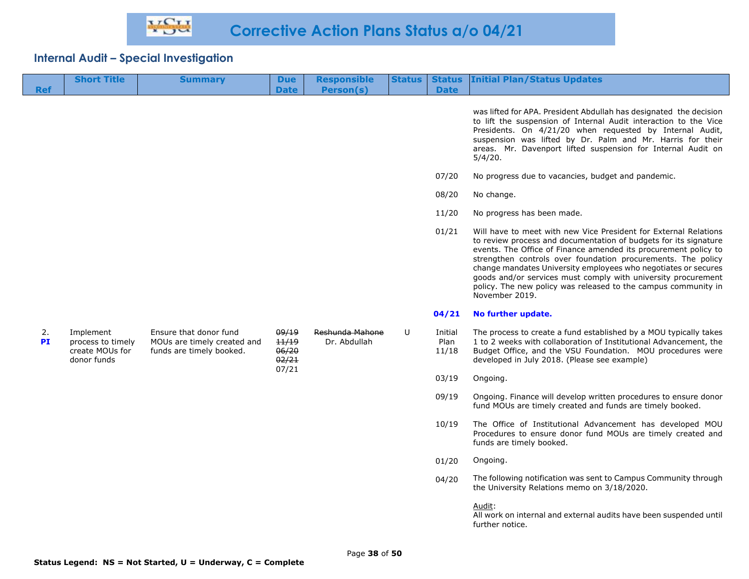|            | <b>Short Title</b>                                               | <b>Summary</b>                                                                    | <b>Due</b>                                | <b>Responsible</b>              | <b>Status</b> | <b>Status</b>            | <b>Initial Plan/Status Updates</b>                                                                                                                                                                                                                                                                                                                                                                                                                                                             |
|------------|------------------------------------------------------------------|-----------------------------------------------------------------------------------|-------------------------------------------|---------------------------------|---------------|--------------------------|------------------------------------------------------------------------------------------------------------------------------------------------------------------------------------------------------------------------------------------------------------------------------------------------------------------------------------------------------------------------------------------------------------------------------------------------------------------------------------------------|
| <b>Ref</b> |                                                                  |                                                                                   | <b>Date</b>                               | Person(s)                       |               | <b>Date</b>              |                                                                                                                                                                                                                                                                                                                                                                                                                                                                                                |
|            |                                                                  |                                                                                   |                                           |                                 |               |                          | was lifted for APA. President Abdullah has designated the decision<br>to lift the suspension of Internal Audit interaction to the Vice<br>Presidents. On 4/21/20 when requested by Internal Audit,<br>suspension was lifted by Dr. Palm and Mr. Harris for their<br>areas. Mr. Davenport lifted suspension for Internal Audit on<br>5/4/20.                                                                                                                                                    |
|            |                                                                  |                                                                                   |                                           |                                 |               | 07/20                    | No progress due to vacancies, budget and pandemic.                                                                                                                                                                                                                                                                                                                                                                                                                                             |
|            |                                                                  |                                                                                   |                                           |                                 |               | 08/20                    | No change.                                                                                                                                                                                                                                                                                                                                                                                                                                                                                     |
|            |                                                                  |                                                                                   |                                           |                                 |               | 11/20                    | No progress has been made.                                                                                                                                                                                                                                                                                                                                                                                                                                                                     |
|            |                                                                  |                                                                                   |                                           |                                 |               | 01/21                    | Will have to meet with new Vice President for External Relations<br>to review process and documentation of budgets for its signature<br>events. The Office of Finance amended its procurement policy to<br>strengthen controls over foundation procurements. The policy<br>change mandates University employees who negotiates or secures<br>goods and/or services must comply with university procurement<br>policy. The new policy was released to the campus community in<br>November 2019. |
|            |                                                                  |                                                                                   |                                           |                                 |               | 04/21                    | No further update.                                                                                                                                                                                                                                                                                                                                                                                                                                                                             |
| 2.<br>PI   | Implement<br>process to timely<br>create MOUs for<br>donor funds | Ensure that donor fund<br>MOUs are timely created and<br>funds are timely booked. | 09/19<br>11/19<br>06/20<br>02/21<br>07/21 | Reshunda Mahone<br>Dr. Abdullah | U             | Initial<br>Plan<br>11/18 | The process to create a fund established by a MOU typically takes<br>1 to 2 weeks with collaboration of Institutional Advancement, the<br>Budget Office, and the VSU Foundation. MOU procedures were<br>developed in July 2018. (Please see example)                                                                                                                                                                                                                                           |
|            |                                                                  |                                                                                   |                                           |                                 |               | 03/19                    | Ongoing.                                                                                                                                                                                                                                                                                                                                                                                                                                                                                       |
|            |                                                                  |                                                                                   |                                           |                                 |               | 09/19                    | Ongoing. Finance will develop written procedures to ensure donor<br>fund MOUs are timely created and funds are timely booked.                                                                                                                                                                                                                                                                                                                                                                  |
|            |                                                                  |                                                                                   |                                           |                                 |               | 10/19                    | The Office of Institutional Advancement has developed MOU<br>Procedures to ensure donor fund MOUs are timely created and<br>funds are timely booked.                                                                                                                                                                                                                                                                                                                                           |
|            |                                                                  |                                                                                   |                                           |                                 |               | 01/20                    | Ongoing.                                                                                                                                                                                                                                                                                                                                                                                                                                                                                       |
|            |                                                                  |                                                                                   |                                           |                                 |               | 04/20                    | The following notification was sent to Campus Community through<br>the University Relations memo on 3/18/2020.                                                                                                                                                                                                                                                                                                                                                                                 |
|            |                                                                  |                                                                                   |                                           |                                 |               |                          | Audit:<br>All work on internal and external audits have been suspended until                                                                                                                                                                                                                                                                                                                                                                                                                   |

further notice.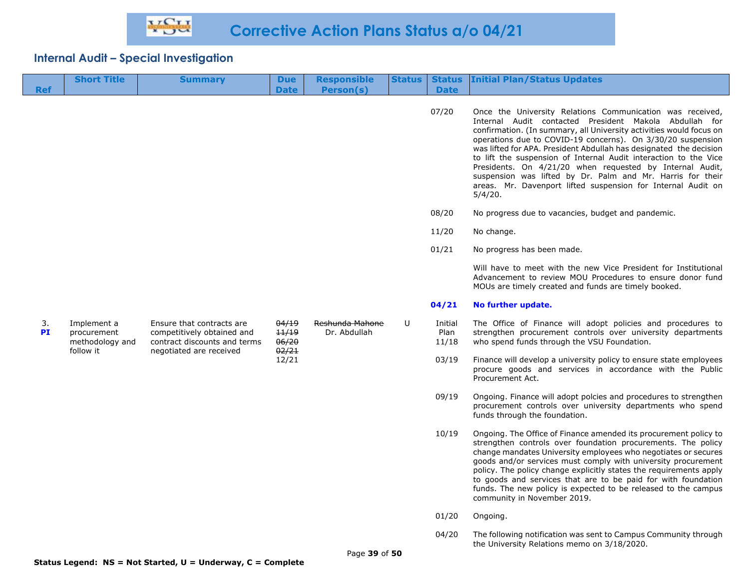| <b>Ref</b>      | <b>Short Title</b>                                         | <b>Summary</b>                                                                                                     | <b>Due</b><br><b>Date</b>                 | <b>Responsible</b><br>Person(s) | <b>Status</b> | <b>Status</b><br><b>Date</b> | <b>Initial Plan/Status Updates</b>                                                                                                                                                                                                                                                                                                                                                                                                                                                                                                                                                                       |
|-----------------|------------------------------------------------------------|--------------------------------------------------------------------------------------------------------------------|-------------------------------------------|---------------------------------|---------------|------------------------------|----------------------------------------------------------------------------------------------------------------------------------------------------------------------------------------------------------------------------------------------------------------------------------------------------------------------------------------------------------------------------------------------------------------------------------------------------------------------------------------------------------------------------------------------------------------------------------------------------------|
|                 |                                                            |                                                                                                                    |                                           |                                 |               | 07/20                        | Once the University Relations Communication was received,<br>Internal Audit contacted President Makola Abdullah for<br>confirmation. (In summary, all University activities would focus on<br>operations due to COVID-19 concerns). On 3/30/20 suspension<br>was lifted for APA. President Abdullah has designated the decision<br>to lift the suspension of Internal Audit interaction to the Vice<br>Presidents. On 4/21/20 when requested by Internal Audit,<br>suspension was lifted by Dr. Palm and Mr. Harris for their<br>areas. Mr. Davenport lifted suspension for Internal Audit on<br>5/4/20. |
|                 |                                                            |                                                                                                                    |                                           |                                 |               | 08/20                        | No progress due to vacancies, budget and pandemic.                                                                                                                                                                                                                                                                                                                                                                                                                                                                                                                                                       |
|                 |                                                            |                                                                                                                    |                                           |                                 |               | 11/20                        | No change.                                                                                                                                                                                                                                                                                                                                                                                                                                                                                                                                                                                               |
|                 |                                                            |                                                                                                                    |                                           |                                 |               | 01/21                        | No progress has been made.                                                                                                                                                                                                                                                                                                                                                                                                                                                                                                                                                                               |
|                 |                                                            |                                                                                                                    |                                           |                                 |               |                              | Will have to meet with the new Vice President for Institutional<br>Advancement to review MOU Procedures to ensure donor fund<br>MOUs are timely created and funds are timely booked.                                                                                                                                                                                                                                                                                                                                                                                                                     |
|                 |                                                            |                                                                                                                    |                                           |                                 |               | 04/21                        | No further update.                                                                                                                                                                                                                                                                                                                                                                                                                                                                                                                                                                                       |
| 3.<br><b>PI</b> | Implement a<br>procurement<br>methodology and<br>follow it | Ensure that contracts are<br>competitively obtained and<br>contract discounts and terms<br>negotiated are received | 04/19<br>11/19<br>06/20<br>02/21<br>12/21 | Reshunda Mahone<br>Dr. Abdullah | U             | Initial<br>Plan<br>11/18     | The Office of Finance will adopt policies and procedures to<br>strengthen procurement controls over university departments<br>who spend funds through the VSU Foundation.                                                                                                                                                                                                                                                                                                                                                                                                                                |
|                 |                                                            |                                                                                                                    |                                           |                                 |               | 03/19                        | Finance will develop a university policy to ensure state employees<br>procure goods and services in accordance with the Public<br>Procurement Act.                                                                                                                                                                                                                                                                                                                                                                                                                                                       |
|                 |                                                            |                                                                                                                    |                                           |                                 |               | 09/19                        | Ongoing. Finance will adopt polcies and procedures to strengthen<br>procurement controls over university departments who spend<br>funds through the foundation.                                                                                                                                                                                                                                                                                                                                                                                                                                          |
|                 |                                                            |                                                                                                                    |                                           |                                 |               | 10/19                        | Ongoing. The Office of Finance amended its procurement policy to<br>strengthen controls over foundation procurements. The policy<br>change mandates University employees who negotiates or secures<br>goods and/or services must comply with university procurement<br>policy. The policy change explicitly states the requirements apply<br>to goods and services that are to be paid for with foundation<br>funds. The new policy is expected to be released to the campus<br>community in November 2019.                                                                                              |
|                 |                                                            |                                                                                                                    |                                           |                                 |               | 01/20                        | Ongoing.                                                                                                                                                                                                                                                                                                                                                                                                                                                                                                                                                                                                 |
|                 |                                                            |                                                                                                                    |                                           |                                 |               |                              |                                                                                                                                                                                                                                                                                                                                                                                                                                                                                                                                                                                                          |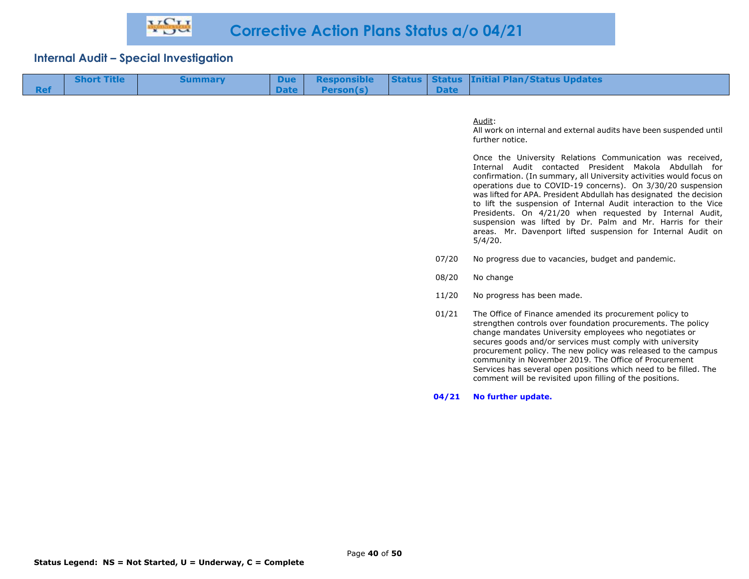| <b>Short Title</b> | <b>Summary</b> |                |  | Due Responsible Status Status Initial Plan/Status Updates |
|--------------------|----------------|----------------|--|-----------------------------------------------------------|
|                    |                | Date Person(s) |  |                                                           |

#### Audit:

All work on internal and external audits have been suspended until further notice.

Once the University Relations Communication was received, Internal Audit contacted President Makola Abdullah for confirmation. (In summary, all University activities would focus on operations due to COVID-19 concerns). On 3/30/20 suspension was lifted for APA. President Abdullah has designated the decision to lift the suspension of Internal Audit interaction to the Vice Presidents. On 4/21/20 when requested by Internal Audit, suspension was lifted by Dr. Palm and Mr. Harris for their areas. Mr. Davenport lifted suspension for Internal Audit on 5/4/20.

- 07/20 No progress due to vacancies, budget and pandemic.
- 08/20 No change
- 11/20 No progress has been made.
- 01/21 The Office of Finance amended its procurement policy to strengthen controls over foundation procurements. The policy change mandates University employees who negotiates or secures goods and/or services must comply with university procurement policy. The new policy was released to the campus community in November 2019. The Office of Procurement Services has several open positions which need to be filled. The comment will be revisited upon filling of the positions.

**04/21 No further update.**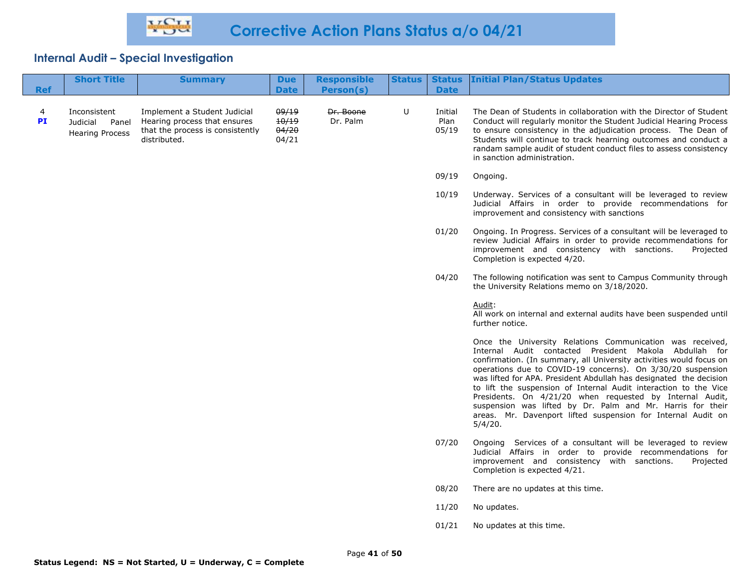| <b>Ref</b> | <b>Short Title</b>                                          | <b>Summary</b>                                                                                                   | <b>Due</b><br><b>Date</b>        | <b>Responsible</b><br>Person(s) | <b>Status</b> | <b>Date</b>              | <b>Status Initial Plan/Status Updates</b>                                                                                                                                                                                                                                                                                                                                                                                                                                                                                                                                                                |
|------------|-------------------------------------------------------------|------------------------------------------------------------------------------------------------------------------|----------------------------------|---------------------------------|---------------|--------------------------|----------------------------------------------------------------------------------------------------------------------------------------------------------------------------------------------------------------------------------------------------------------------------------------------------------------------------------------------------------------------------------------------------------------------------------------------------------------------------------------------------------------------------------------------------------------------------------------------------------|
| 4<br>PI    | Inconsistent<br>Judicial<br>Panel<br><b>Hearing Process</b> | Implement a Student Judicial<br>Hearing process that ensures<br>that the process is consistently<br>distributed. | 09/19<br>10/19<br>04/20<br>04/21 | Dr. Boone<br>Dr. Palm           | U             | Initial<br>Plan<br>05/19 | The Dean of Students in collaboration with the Director of Student<br>Conduct will regularly monitor the Student Judicial Hearing Process<br>to ensure consistency in the adjudication process. The Dean of<br>Students will continue to track hearning outcomes and conduct a<br>randam sample audit of student conduct files to assess consistency<br>in sanction administration.                                                                                                                                                                                                                      |
|            |                                                             |                                                                                                                  |                                  |                                 |               | 09/19                    | Ongoing.                                                                                                                                                                                                                                                                                                                                                                                                                                                                                                                                                                                                 |
|            |                                                             |                                                                                                                  |                                  |                                 |               | 10/19                    | Underway. Services of a consultant will be leveraged to review<br>Judicial Affairs in order to provide recommendations for<br>improvement and consistency with sanctions                                                                                                                                                                                                                                                                                                                                                                                                                                 |
|            |                                                             |                                                                                                                  |                                  |                                 |               | 01/20                    | Ongoing. In Progress. Services of a consultant will be leveraged to<br>review Judicial Affairs in order to provide recommendations for<br>improvement and consistency with sanctions.<br>Projected<br>Completion is expected 4/20.                                                                                                                                                                                                                                                                                                                                                                       |
|            |                                                             |                                                                                                                  |                                  |                                 |               | 04/20                    | The following notification was sent to Campus Community through<br>the University Relations memo on 3/18/2020.                                                                                                                                                                                                                                                                                                                                                                                                                                                                                           |
|            |                                                             |                                                                                                                  |                                  |                                 |               |                          | Audit:<br>All work on internal and external audits have been suspended until<br>further notice.                                                                                                                                                                                                                                                                                                                                                                                                                                                                                                          |
|            |                                                             |                                                                                                                  |                                  |                                 |               |                          | Once the University Relations Communication was received,<br>Internal Audit contacted President Makola Abdullah for<br>confirmation. (In summary, all University activities would focus on<br>operations due to COVID-19 concerns). On 3/30/20 suspension<br>was lifted for APA. President Abdullah has designated the decision<br>to lift the suspension of Internal Audit interaction to the Vice<br>Presidents. On 4/21/20 when requested by Internal Audit,<br>suspension was lifted by Dr. Palm and Mr. Harris for their<br>areas. Mr. Davenport lifted suspension for Internal Audit on<br>5/4/20. |
|            |                                                             |                                                                                                                  |                                  |                                 |               | 07/20                    | Ongoing Services of a consultant will be leveraged to review<br>Judicial Affairs in order to provide recommendations for<br>improvement and consistency with sanctions.<br>Projected<br>Completion is expected 4/21.                                                                                                                                                                                                                                                                                                                                                                                     |
|            |                                                             |                                                                                                                  |                                  |                                 |               | 08/20                    | There are no updates at this time.                                                                                                                                                                                                                                                                                                                                                                                                                                                                                                                                                                       |
|            |                                                             |                                                                                                                  |                                  |                                 |               | 11/20                    | No updates.                                                                                                                                                                                                                                                                                                                                                                                                                                                                                                                                                                                              |
|            |                                                             |                                                                                                                  |                                  |                                 |               | 01/21                    | No updates at this time.                                                                                                                                                                                                                                                                                                                                                                                                                                                                                                                                                                                 |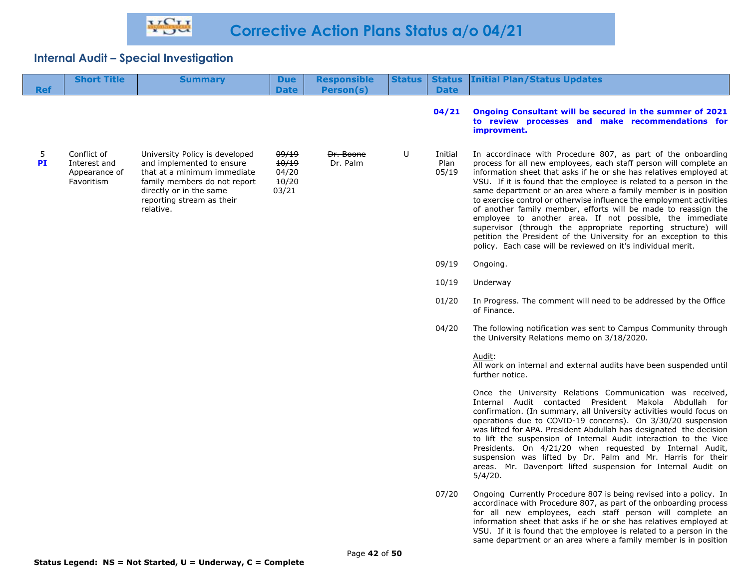| <b>Ref</b>     | <b>Short Title</b>                                         | <b>Summary</b>                                                                                                                                                                                  | <b>Due</b><br><b>Date</b>                 | <b>Responsible</b><br>Person(s) | <b>Status</b> | <b>Status</b><br><b>Date</b> | <b>Initial Plan/Status Updates</b>                                                                                                                                                                                                                                                                                                                                                                                                                                                                                                                                                                                                                                                                                                                            |
|----------------|------------------------------------------------------------|-------------------------------------------------------------------------------------------------------------------------------------------------------------------------------------------------|-------------------------------------------|---------------------------------|---------------|------------------------------|---------------------------------------------------------------------------------------------------------------------------------------------------------------------------------------------------------------------------------------------------------------------------------------------------------------------------------------------------------------------------------------------------------------------------------------------------------------------------------------------------------------------------------------------------------------------------------------------------------------------------------------------------------------------------------------------------------------------------------------------------------------|
|                |                                                            |                                                                                                                                                                                                 |                                           |                                 |               | 04/21                        | Ongoing Consultant will be secured in the summer of 2021<br>to review processes and make recommendations for<br>improvment.                                                                                                                                                                                                                                                                                                                                                                                                                                                                                                                                                                                                                                   |
| 5<br><b>PI</b> | Conflict of<br>Interest and<br>Appearance of<br>Favoritism | University Policy is developed<br>and implemented to ensure<br>that at a minimum immediate<br>family members do not report<br>directly or in the same<br>reporting stream as their<br>relative. | 09/19<br>10/19<br>04/20<br>10/20<br>03/21 | Dr. Boone<br>Dr. Palm           | U             | Initial<br>Plan<br>05/19     | In accordinace with Procedure 807, as part of the onboarding<br>process for all new employees, each staff person will complete an<br>information sheet that asks if he or she has relatives employed at<br>VSU. If it is found that the employee is related to a person in the<br>same department or an area where a family member is in position<br>to exercise control or otherwise influence the employment activities<br>of another family member, efforts will be made to reassign the<br>employee to another area. If not possible, the immediate<br>supervisor (through the appropriate reporting structure) will<br>petition the President of the University for an exception to this<br>policy. Each case will be reviewed on it's individual merit. |
|                |                                                            |                                                                                                                                                                                                 |                                           |                                 |               | 09/19                        | Ongoing.                                                                                                                                                                                                                                                                                                                                                                                                                                                                                                                                                                                                                                                                                                                                                      |
|                |                                                            |                                                                                                                                                                                                 |                                           |                                 |               | 10/19                        | Underway                                                                                                                                                                                                                                                                                                                                                                                                                                                                                                                                                                                                                                                                                                                                                      |
|                |                                                            |                                                                                                                                                                                                 |                                           |                                 |               | 01/20                        | In Progress. The comment will need to be addressed by the Office<br>of Finance.                                                                                                                                                                                                                                                                                                                                                                                                                                                                                                                                                                                                                                                                               |
|                |                                                            |                                                                                                                                                                                                 |                                           |                                 |               | 04/20                        | The following notification was sent to Campus Community through<br>the University Relations memo on 3/18/2020.                                                                                                                                                                                                                                                                                                                                                                                                                                                                                                                                                                                                                                                |
|                |                                                            |                                                                                                                                                                                                 |                                           |                                 |               |                              | Audit:<br>All work on internal and external audits have been suspended until<br>further notice.                                                                                                                                                                                                                                                                                                                                                                                                                                                                                                                                                                                                                                                               |
|                |                                                            |                                                                                                                                                                                                 |                                           |                                 |               |                              | Once the University Relations Communication was received,<br>Internal Audit contacted President Makola Abdullah for<br>confirmation. (In summary, all University activities would focus on<br>operations due to COVID-19 concerns). On 3/30/20 suspension<br>was lifted for APA. President Abdullah has designated the decision<br>to lift the suspension of Internal Audit interaction to the Vice<br>Presidents. On 4/21/20 when requested by Internal Audit,<br>suspension was lifted by Dr. Palm and Mr. Harris for their<br>areas. Mr. Davenport lifted suspension for Internal Audit on<br>5/4/20.                                                                                                                                                      |
|                |                                                            |                                                                                                                                                                                                 |                                           |                                 |               | 07/20                        | Ongoing Currently Procedure 807 is being revised into a policy. In<br>accordinace with Procedure 807, as part of the onboarding process<br>for all new employees, each staff person will complete an<br>information sheet that asks if he or she has relatives employed at<br>VSU. If it is found that the employee is related to a person in the                                                                                                                                                                                                                                                                                                                                                                                                             |

same department or an area where a family member is in position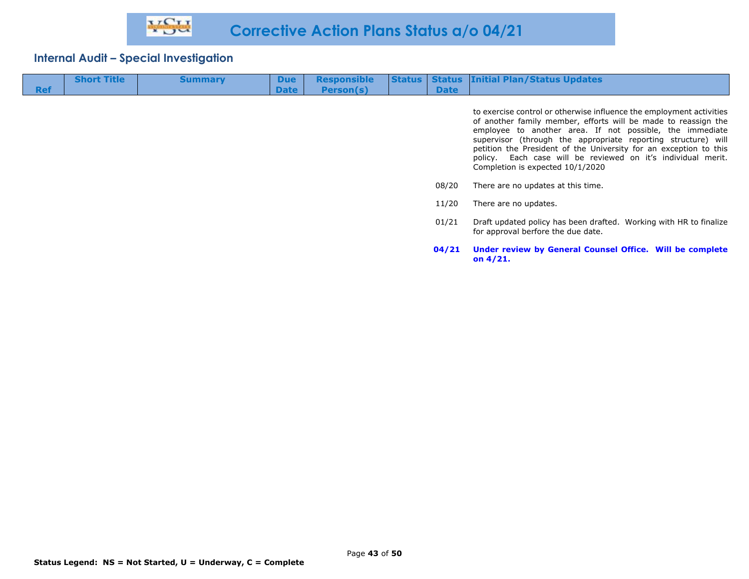| <b>Ref</b> | <b>Short Title</b> | <b>Summary</b> | <b>Due</b><br><b>Date</b> | <b>Responsible</b><br>Person(s) | <b>Status</b> | <b>Date</b> | <b>Status Initial Plan/Status Updates</b>                                                                                                                                                                                                                                                                                                                                                                                                    |
|------------|--------------------|----------------|---------------------------|---------------------------------|---------------|-------------|----------------------------------------------------------------------------------------------------------------------------------------------------------------------------------------------------------------------------------------------------------------------------------------------------------------------------------------------------------------------------------------------------------------------------------------------|
|            |                    |                |                           |                                 |               |             | to exercise control or otherwise influence the employment activities<br>of another family member, efforts will be made to reassign the<br>employee to another area. If not possible, the immediate<br>supervisor (through the appropriate reporting structure) will<br>petition the President of the University for an exception to this<br>policy. Each case will be reviewed on it's individual merit.<br>Completion is expected 10/1/2020 |
|            |                    |                |                           |                                 |               | 08/20       | There are no updates at this time.                                                                                                                                                                                                                                                                                                                                                                                                           |
|            |                    |                |                           |                                 |               | 11/20       | There are no updates.                                                                                                                                                                                                                                                                                                                                                                                                                        |
|            |                    |                |                           |                                 |               | 01/21       | Draft updated policy has been drafted. Working with HR to finalize<br>for approval berfore the due date.                                                                                                                                                                                                                                                                                                                                     |

**04/21 Under review by General Counsel Office. Will be complete** 

**on 4/21.**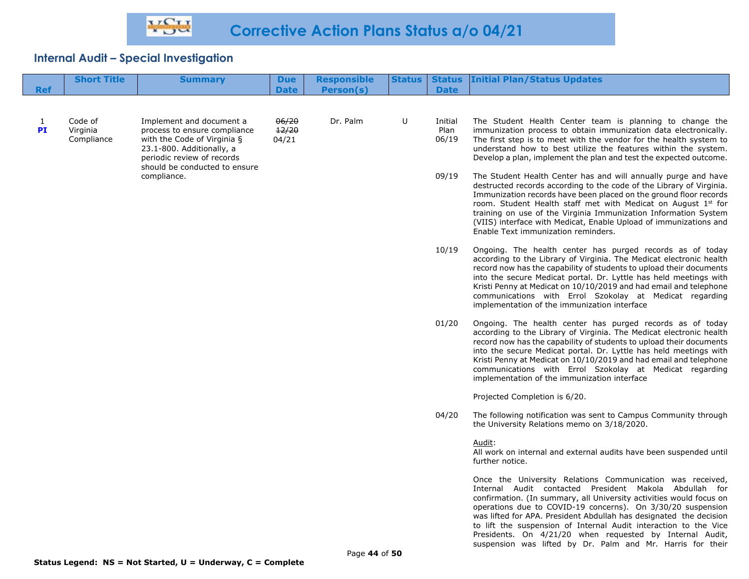| <b>Ref</b>         | <b>Short Title</b>                | <b>Summary</b>                                                                                                                                                                      | <b>Due</b><br><b>Date</b> | <b>Responsible</b><br>Person(s) |       | <b>Date</b>                                                                                                                                                                                                                                                                                                                                                                                                                                                 | <b>Status   Status   Initial Plan/Status Updates</b>                                                                                                                                                                                                                                                                                                                                                                                                                                                                          |
|--------------------|-----------------------------------|-------------------------------------------------------------------------------------------------------------------------------------------------------------------------------------|---------------------------|---------------------------------|-------|-------------------------------------------------------------------------------------------------------------------------------------------------------------------------------------------------------------------------------------------------------------------------------------------------------------------------------------------------------------------------------------------------------------------------------------------------------------|-------------------------------------------------------------------------------------------------------------------------------------------------------------------------------------------------------------------------------------------------------------------------------------------------------------------------------------------------------------------------------------------------------------------------------------------------------------------------------------------------------------------------------|
|                    |                                   |                                                                                                                                                                                     |                           |                                 |       |                                                                                                                                                                                                                                                                                                                                                                                                                                                             |                                                                                                                                                                                                                                                                                                                                                                                                                                                                                                                               |
| $\mathbf{1}$<br>PI | Code of<br>Virginia<br>Compliance | Implement and document a<br>process to ensure compliance<br>with the Code of Virginia §<br>23.1-800. Additionally, a<br>periodic review of records<br>should be conducted to ensure | 06/20<br>12/20<br>04/21   | Dr. Palm                        | U     | Initial<br>Plan<br>06/19                                                                                                                                                                                                                                                                                                                                                                                                                                    | The Student Health Center team is planning to change the<br>immunization process to obtain immunization data electronically.<br>The first step is to meet with the vendor for the health system to<br>understand how to best utilize the features within the system.<br>Develop a plan, implement the plan and test the expected outcome.                                                                                                                                                                                     |
|                    | compliance.                       |                                                                                                                                                                                     |                           |                                 | 09/19 | The Student Health Center has and will annually purge and have<br>destructed records according to the code of the Library of Virginia.<br>Immunization records have been placed on the ground floor records<br>room. Student Health staff met with Medicat on August 1st for<br>training on use of the Virginia Immunization Information System<br>(VIIS) interface with Medicat, Enable Upload of immunizations and<br>Enable Text immunization reminders. |                                                                                                                                                                                                                                                                                                                                                                                                                                                                                                                               |
|                    |                                   |                                                                                                                                                                                     |                           |                                 |       | 10/19                                                                                                                                                                                                                                                                                                                                                                                                                                                       | Ongoing. The health center has purged records as of today<br>according to the Library of Virginia. The Medicat electronic health<br>record now has the capability of students to upload their documents<br>into the secure Medicat portal. Dr. Lyttle has held meetings with<br>Kristi Penny at Medicat on 10/10/2019 and had email and telephone<br>communications with Errol Szokolay at Medicat regarding<br>implementation of the immunization interface                                                                  |
|                    |                                   |                                                                                                                                                                                     |                           |                                 |       | 01/20                                                                                                                                                                                                                                                                                                                                                                                                                                                       | Ongoing. The health center has purged records as of today<br>according to the Library of Virginia. The Medicat electronic health<br>record now has the capability of students to upload their documents<br>into the secure Medicat portal. Dr. Lyttle has held meetings with<br>Kristi Penny at Medicat on 10/10/2019 and had email and telephone<br>communications with Errol Szokolay at Medicat regarding<br>implementation of the immunization interface                                                                  |
|                    |                                   |                                                                                                                                                                                     |                           |                                 |       |                                                                                                                                                                                                                                                                                                                                                                                                                                                             | Projected Completion is 6/20.                                                                                                                                                                                                                                                                                                                                                                                                                                                                                                 |
|                    |                                   |                                                                                                                                                                                     |                           |                                 |       | 04/20                                                                                                                                                                                                                                                                                                                                                                                                                                                       | The following notification was sent to Campus Community through<br>the University Relations memo on 3/18/2020.                                                                                                                                                                                                                                                                                                                                                                                                                |
|                    |                                   |                                                                                                                                                                                     |                           |                                 |       |                                                                                                                                                                                                                                                                                                                                                                                                                                                             | Audit:<br>All work on internal and external audits have been suspended until<br>further notice.                                                                                                                                                                                                                                                                                                                                                                                                                               |
|                    |                                   |                                                                                                                                                                                     |                           |                                 |       |                                                                                                                                                                                                                                                                                                                                                                                                                                                             | Once the University Relations Communication was received,<br>Internal Audit contacted President Makola Abdullah for<br>confirmation. (In summary, all University activities would focus on<br>operations due to COVID-19 concerns). On 3/30/20 suspension<br>was lifted for APA. President Abdullah has designated the decision<br>to lift the suspension of Internal Audit interaction to the Vice<br>Presidents. On 4/21/20 when requested by Internal Audit,<br>suspension was lifted by Dr. Palm and Mr. Harris for their |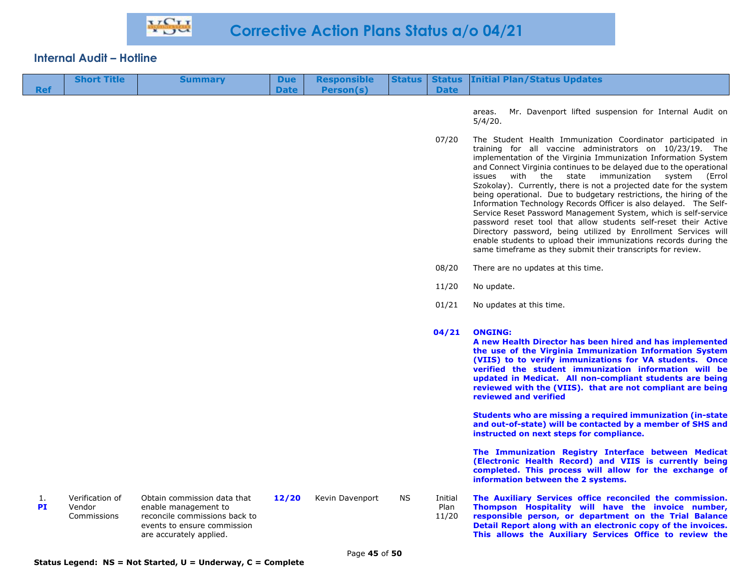# **Internal Audit – Hotline**

|                 | <b>Short Title</b>                       | <b>Summary</b>                                                                                                                                 | <b>Due</b>  | <b>Responsible</b> | <b>Status</b> | <b>Status</b>            | <b>Initial Plan/Status Updates</b>                                                                                                                                                                                                                                                                                                                                                                                                                                                                                                                                                                                                                                                                                                                                                                                                                                                   |
|-----------------|------------------------------------------|------------------------------------------------------------------------------------------------------------------------------------------------|-------------|--------------------|---------------|--------------------------|--------------------------------------------------------------------------------------------------------------------------------------------------------------------------------------------------------------------------------------------------------------------------------------------------------------------------------------------------------------------------------------------------------------------------------------------------------------------------------------------------------------------------------------------------------------------------------------------------------------------------------------------------------------------------------------------------------------------------------------------------------------------------------------------------------------------------------------------------------------------------------------|
| <b>Ref</b>      |                                          |                                                                                                                                                | <b>Date</b> | <b>Person(s)</b>   |               | <b>Date</b>              |                                                                                                                                                                                                                                                                                                                                                                                                                                                                                                                                                                                                                                                                                                                                                                                                                                                                                      |
|                 |                                          |                                                                                                                                                |             |                    |               |                          | Mr. Davenport lifted suspension for Internal Audit on<br>areas.<br>5/4/20.                                                                                                                                                                                                                                                                                                                                                                                                                                                                                                                                                                                                                                                                                                                                                                                                           |
|                 |                                          |                                                                                                                                                |             |                    |               | 07/20                    | The Student Health Immunization Coordinator participated in<br>training for all vaccine administrators on 10/23/19. The<br>implementation of the Virginia Immunization Information System<br>and Connect Virginia continues to be delayed due to the operational<br>issues with the state immunization system<br>(Errol<br>Szokolay). Currently, there is not a projected date for the system<br>being operational. Due to budgetary restrictions, the hiring of the<br>Information Technology Records Officer is also delayed. The Self-<br>Service Reset Password Management System, which is self-service<br>password reset tool that allow students self-reset their Active<br>Directory password, being utilized by Enrollment Services will<br>enable students to upload their immunizations records during the<br>same timeframe as they submit their transcripts for review. |
|                 |                                          |                                                                                                                                                |             |                    |               | 08/20                    | There are no updates at this time.                                                                                                                                                                                                                                                                                                                                                                                                                                                                                                                                                                                                                                                                                                                                                                                                                                                   |
|                 |                                          |                                                                                                                                                |             |                    |               | 11/20                    | No update.                                                                                                                                                                                                                                                                                                                                                                                                                                                                                                                                                                                                                                                                                                                                                                                                                                                                           |
|                 |                                          |                                                                                                                                                |             |                    |               | 01/21                    | No updates at this time.                                                                                                                                                                                                                                                                                                                                                                                                                                                                                                                                                                                                                                                                                                                                                                                                                                                             |
|                 |                                          |                                                                                                                                                |             |                    |               | 04/21                    | <b>ONGING:</b><br>A new Health Director has been hired and has implemented<br>the use of the Virginia Immunization Information System<br>(VIIS) to to verify immunizations for VA students. Once<br>verified the student immunization information will be<br>updated in Medicat. All non-compliant students are being<br>reviewed with the (VIIS). that are not compliant are being<br>reviewed and verified                                                                                                                                                                                                                                                                                                                                                                                                                                                                         |
|                 |                                          |                                                                                                                                                |             |                    |               |                          | Students who are missing a required immunization (in-state<br>and out-of-state) will be contacted by a member of SHS and<br>instructed on next steps for compliance.                                                                                                                                                                                                                                                                                                                                                                                                                                                                                                                                                                                                                                                                                                                 |
|                 |                                          |                                                                                                                                                |             |                    |               |                          | The Immunization Registry Interface between Medicat<br>(Electronic Health Record) and VIIS is currently being<br>completed. This process will allow for the exchange of<br>information between the 2 systems.                                                                                                                                                                                                                                                                                                                                                                                                                                                                                                                                                                                                                                                                        |
| 1.<br><b>PI</b> | Verification of<br>Vendor<br>Commissions | Obtain commission data that<br>enable management to<br>reconcile commissions back to<br>events to ensure commission<br>are accurately applied. | 12/20       | Kevin Davenport    | <b>NS</b>     | Initial<br>Plan<br>11/20 | The Auxiliary Services office reconciled the commission.<br>Thompson Hospitality will have the invoice number,<br>responsible person, or department on the Trial Balance<br>Detail Report along with an electronic copy of the invoices.<br>This allows the Auxiliary Services Office to review the                                                                                                                                                                                                                                                                                                                                                                                                                                                                                                                                                                                  |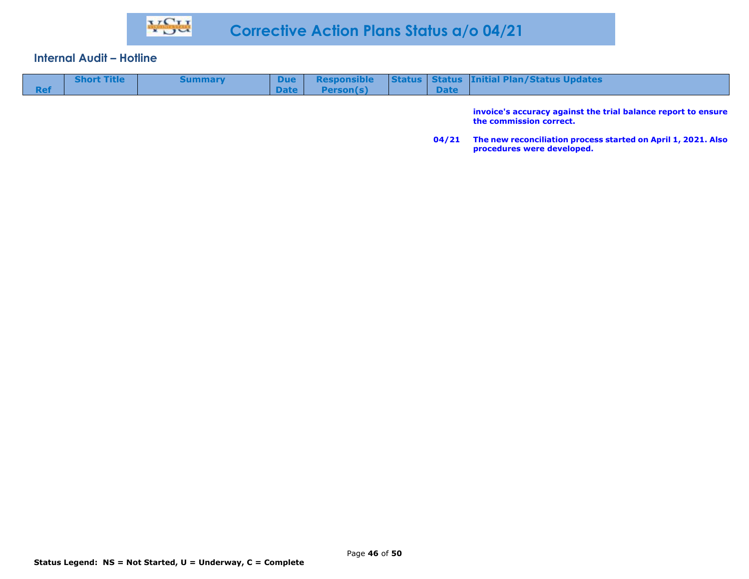#### **Internal Audit – Hotline**

| <b>Status   Status   Initial Plan/Status Updates  </b><br><b>Short Title</b><br><b>Responsible</b><br>Due l<br><b>Summary</b><br>Date l<br><b>Date</b><br>Person(s) |
|---------------------------------------------------------------------------------------------------------------------------------------------------------------------|
|---------------------------------------------------------------------------------------------------------------------------------------------------------------------|

**invoice's accuracy against the trial balance report to ensure the commission correct.** 

**04/21 The new reconciliation process started on April 1, 2021. Also procedures were developed.**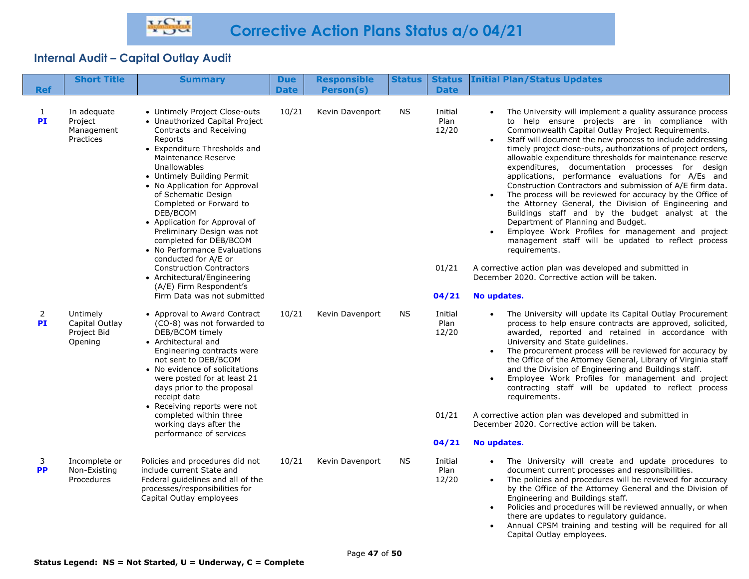| <b>Ref</b>                  | <b>Short Title</b>                                   | <b>Summary</b>                                                                                                                                                                                                                                                                                                                                                                                                                                                                                                                                                                         | <b>Due</b><br><b>Date</b> | <b>Responsible</b><br>Person(s) | <b>Status</b> | <b>Status</b><br><b>Date</b>               | <b>Initial Plan/Status Updates</b>                                                                                                                                                                                                                                                                                                                                                                                                                                                                                                                                                                                                                                                                                                                                                                                                                                                                                                                                                                          |
|-----------------------------|------------------------------------------------------|----------------------------------------------------------------------------------------------------------------------------------------------------------------------------------------------------------------------------------------------------------------------------------------------------------------------------------------------------------------------------------------------------------------------------------------------------------------------------------------------------------------------------------------------------------------------------------------|---------------------------|---------------------------------|---------------|--------------------------------------------|-------------------------------------------------------------------------------------------------------------------------------------------------------------------------------------------------------------------------------------------------------------------------------------------------------------------------------------------------------------------------------------------------------------------------------------------------------------------------------------------------------------------------------------------------------------------------------------------------------------------------------------------------------------------------------------------------------------------------------------------------------------------------------------------------------------------------------------------------------------------------------------------------------------------------------------------------------------------------------------------------------------|
| $\mathbf{1}$<br>PI          | In adequate<br>Project<br>Management<br>Practices    | • Untimely Project Close-outs<br>• Unauthorized Capital Project<br>Contracts and Receiving<br>Reports<br>• Expenditure Thresholds and<br>Maintenance Reserve<br>Unallowables<br>• Untimely Building Permit<br>• No Application for Approval<br>of Schematic Design<br>Completed or Forward to<br>DEB/BCOM<br>• Application for Approval of<br>Preliminary Design was not<br>completed for DEB/BCOM<br>• No Performance Evaluations<br>conducted for A/E or<br><b>Construction Contractors</b><br>• Architectural/Engineering<br>(A/E) Firm Respondent's<br>Firm Data was not submitted | 10/21                     | Kevin Davenport                 | NS.           | Initial<br>Plan<br>12/20<br>01/21<br>04/21 | The University will implement a quality assurance process<br>to help ensure projects are in compliance with<br>Commonwealth Capital Outlay Project Requirements.<br>Staff will document the new process to include addressing<br>timely project close-outs, authorizations of project orders,<br>allowable expenditure thresholds for maintenance reserve<br>expenditures, documentation processes for design<br>applications, performance evaluations for A/Es and<br>Construction Contractors and submission of A/E firm data.<br>The process will be reviewed for accuracy by the Office of<br>the Attorney General, the Division of Engineering and<br>Buildings staff and by the budget analyst at the<br>Department of Planning and Budget.<br>Employee Work Profiles for management and project<br>management staff will be updated to reflect process<br>requirements.<br>A corrective action plan was developed and submitted in<br>December 2020. Corrective action will be taken.<br>No updates. |
| $\overline{2}$<br><b>PI</b> | Untimely<br>Capital Outlay<br>Project Bid<br>Opening | • Approval to Award Contract<br>(CO-8) was not forwarded to<br>DEB/BCOM timely<br>• Architectural and<br>Engineering contracts were<br>not sent to DEB/BCOM<br>• No evidence of solicitations<br>were posted for at least 21<br>days prior to the proposal<br>receipt date<br>• Receiving reports were not<br>completed within three<br>working days after the<br>performance of services                                                                                                                                                                                              | 10/21                     | Kevin Davenport                 | <b>NS</b>     | Initial<br>Plan<br>12/20<br>01/21<br>04/21 | The University will update its Capital Outlay Procurement<br>process to help ensure contracts are approved, solicited,<br>awarded, reported and retained in accordance with<br>University and State guidelines.<br>The procurement process will be reviewed for accuracy by<br>the Office of the Attorney General, Library of Virginia staff<br>and the Division of Engineering and Buildings staff.<br>Employee Work Profiles for management and project<br>contracting staff will be updated to reflect process<br>requirements.<br>A corrective action plan was developed and submitted in<br>December 2020. Corrective action will be taken.<br>No updates.                                                                                                                                                                                                                                                                                                                                             |
| 3<br><b>PP</b>              | Incomplete or<br>Non-Existing<br>Procedures          | Policies and procedures did not<br>include current State and<br>Federal guidelines and all of the<br>processes/responsibilities for<br>Capital Outlay employees                                                                                                                                                                                                                                                                                                                                                                                                                        | 10/21                     | Kevin Davenport                 | ΝS            | Initial<br>Plan<br>12/20                   | The University will create and update procedures to<br>document current processes and responsibilities.<br>The policies and procedures will be reviewed for accuracy<br>by the Office of the Attorney General and the Division of<br>Engineering and Buildings staff.<br>Policies and procedures will be reviewed annually, or when<br>there are updates to regulatory guidance.<br>Annual CPSM training and testing will be required for all<br>Capital Outlay employees.                                                                                                                                                                                                                                                                                                                                                                                                                                                                                                                                  |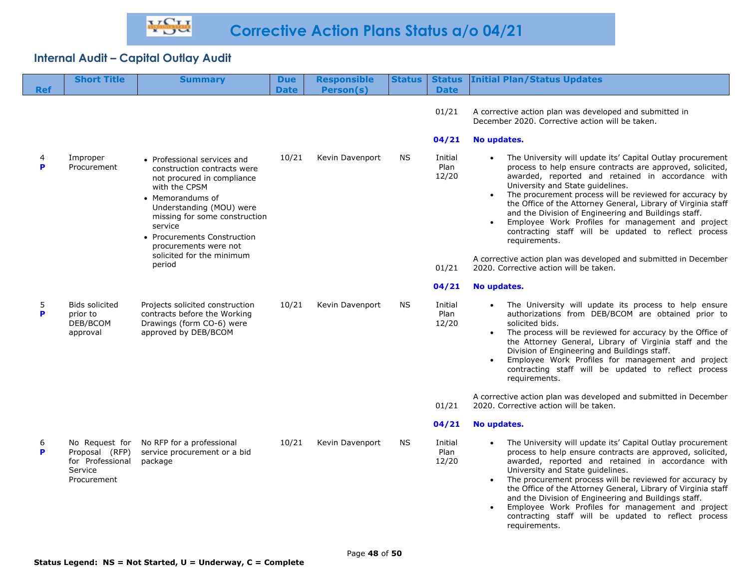| <b>Ref</b> | <b>Short Title</b>                                                             | <b>Summary</b>                                                                                                                                                                                                                                                                                       | <b>Due</b><br><b>Date</b> | <b>Responsible</b><br>Person(s) | <b>Status</b> | <b>Status</b><br><b>Date</b>               | <b>Initial Plan/Status Updates</b>                                                                                                                                                                                                                                                                                                                                                                                                                                                                                                                                                                                                                               |
|------------|--------------------------------------------------------------------------------|------------------------------------------------------------------------------------------------------------------------------------------------------------------------------------------------------------------------------------------------------------------------------------------------------|---------------------------|---------------------------------|---------------|--------------------------------------------|------------------------------------------------------------------------------------------------------------------------------------------------------------------------------------------------------------------------------------------------------------------------------------------------------------------------------------------------------------------------------------------------------------------------------------------------------------------------------------------------------------------------------------------------------------------------------------------------------------------------------------------------------------------|
|            |                                                                                |                                                                                                                                                                                                                                                                                                      |                           |                                 |               | 01/21<br>04/21                             | A corrective action plan was developed and submitted in<br>December 2020. Corrective action will be taken.<br>No updates.                                                                                                                                                                                                                                                                                                                                                                                                                                                                                                                                        |
| 4<br>P     | Improper<br>Procurement                                                        | • Professional services and<br>construction contracts were<br>not procured in compliance<br>with the CPSM<br>• Memorandums of<br>Understanding (MOU) were<br>missing for some construction<br>service<br>• Procurements Construction<br>procurements were not<br>solicited for the minimum<br>period | 10/21                     | Kevin Davenport                 | <b>NS</b>     | Initial<br>Plan<br>12/20<br>01/21<br>04/21 | The University will update its' Capital Outlay procurement<br>process to help ensure contracts are approved, solicited,<br>awarded, reported and retained in accordance with<br>University and State guidelines.<br>The procurement process will be reviewed for accuracy by<br>the Office of the Attorney General, Library of Virginia staff<br>and the Division of Engineering and Buildings staff.<br>Employee Work Profiles for management and project<br>contracting staff will be updated to reflect process<br>requirements.<br>A corrective action plan was developed and submitted in December<br>2020. Corrective action will be taken.<br>No updates. |
|            |                                                                                |                                                                                                                                                                                                                                                                                                      |                           |                                 |               |                                            |                                                                                                                                                                                                                                                                                                                                                                                                                                                                                                                                                                                                                                                                  |
| 5<br>P     | <b>Bids solicited</b><br>prior to<br>DEB/BCOM<br>approval                      | Projects solicited construction<br>contracts before the Working<br>Drawings (form CO-6) were<br>approved by DEB/BCOM                                                                                                                                                                                 | 10/21                     | Kevin Davenport                 | <b>NS</b>     | Initial<br>Plan<br>12/20                   | The University will update its process to help ensure<br>authorizations from DEB/BCOM are obtained prior to<br>solicited bids.<br>The process will be reviewed for accuracy by the Office of<br>the Attorney General, Library of Virginia staff and the<br>Division of Engineering and Buildings staff.<br>Employee Work Profiles for management and project<br>contracting staff will be updated to reflect process<br>requirements.                                                                                                                                                                                                                            |
|            |                                                                                |                                                                                                                                                                                                                                                                                                      |                           |                                 |               | 01/21                                      | A corrective action plan was developed and submitted in December<br>2020. Corrective action will be taken.                                                                                                                                                                                                                                                                                                                                                                                                                                                                                                                                                       |
|            |                                                                                |                                                                                                                                                                                                                                                                                                      |                           |                                 |               | 04/21                                      | No updates.                                                                                                                                                                                                                                                                                                                                                                                                                                                                                                                                                                                                                                                      |
| 6<br>P     | No Request for<br>Proposal (RFP)<br>for Professional<br>Service<br>Procurement | No RFP for a professional<br>service procurement or a bid<br>package                                                                                                                                                                                                                                 | 10/21                     | Kevin Davenport                 | <b>NS</b>     | Initial<br>Plan<br>12/20                   | The University will update its' Capital Outlay procurement<br>process to help ensure contracts are approved, solicited,<br>awarded, reported and retained in accordance with<br>University and State guidelines.<br>The procurement process will be reviewed for accuracy by<br>the Office of the Attorney General, Library of Virginia staff<br>and the Division of Engineering and Buildings staff.<br>Employee Work Profiles for management and project<br>contracting staff will be updated to reflect process<br>requirements.                                                                                                                              |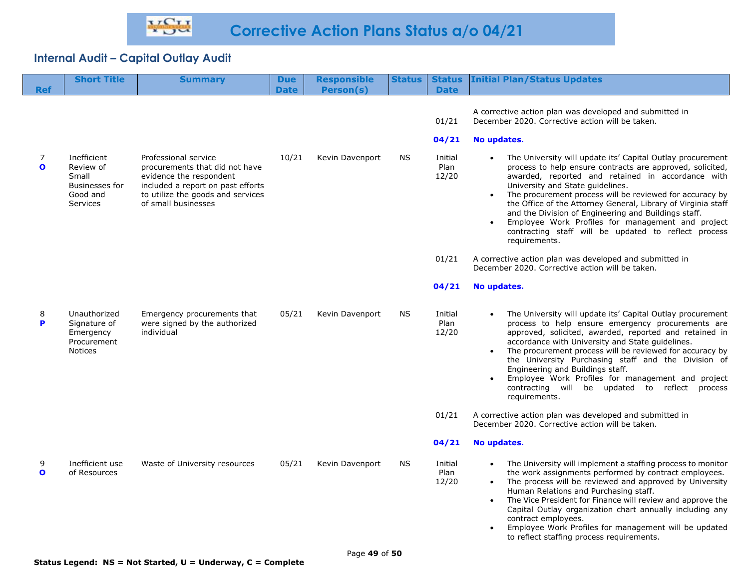| <b>Ref</b>        | <b>Short Title</b>                                                                 | <b>Summary</b>                                                                                                                                                                     | <b>Due</b><br><b>Date</b> | <b>Responsible</b><br>Person(s) | <b>Status</b> | <b>Status</b><br><b>Date</b> | <b>Initial Plan/Status Updates</b>                                                                                                                                                                                                                                                                                                                                                                                                                                                                                                  |
|-------------------|------------------------------------------------------------------------------------|------------------------------------------------------------------------------------------------------------------------------------------------------------------------------------|---------------------------|---------------------------------|---------------|------------------------------|-------------------------------------------------------------------------------------------------------------------------------------------------------------------------------------------------------------------------------------------------------------------------------------------------------------------------------------------------------------------------------------------------------------------------------------------------------------------------------------------------------------------------------------|
|                   |                                                                                    |                                                                                                                                                                                    |                           |                                 |               | 01/21                        | A corrective action plan was developed and submitted in<br>December 2020. Corrective action will be taken.                                                                                                                                                                                                                                                                                                                                                                                                                          |
|                   |                                                                                    |                                                                                                                                                                                    |                           |                                 |               | 04/21                        | No updates.                                                                                                                                                                                                                                                                                                                                                                                                                                                                                                                         |
| 7<br>$\mathbf{o}$ | Inefficient<br>Review of<br>Small<br><b>Businesses for</b><br>Good and<br>Services | Professional service<br>procurements that did not have<br>evidence the respondent<br>included a report on past efforts<br>to utilize the goods and services<br>of small businesses | 10/21                     | Kevin Davenport                 | <b>NS</b>     | Initial<br>Plan<br>12/20     | The University will update its' Capital Outlay procurement<br>process to help ensure contracts are approved, solicited,<br>awarded, reported and retained in accordance with<br>University and State guidelines.<br>The procurement process will be reviewed for accuracy by<br>the Office of the Attorney General, Library of Virginia staff<br>and the Division of Engineering and Buildings staff.<br>Employee Work Profiles for management and project<br>contracting staff will be updated to reflect process<br>requirements. |
|                   |                                                                                    |                                                                                                                                                                                    |                           |                                 |               | 01/21                        | A corrective action plan was developed and submitted in<br>December 2020. Corrective action will be taken.                                                                                                                                                                                                                                                                                                                                                                                                                          |
|                   |                                                                                    |                                                                                                                                                                                    |                           |                                 |               | 04/21                        | No updates.                                                                                                                                                                                                                                                                                                                                                                                                                                                                                                                         |
| 8<br>P            | Unauthorized<br>Signature of<br>Emergency<br>Procurement<br>Notices                | Emergency procurements that<br>were signed by the authorized<br>individual                                                                                                         | 05/21                     | Kevin Davenport                 | <b>NS</b>     | Initial<br>Plan<br>12/20     | The University will update its' Capital Outlay procurement<br>process to help ensure emergency procurements are<br>approved, solicited, awarded, reported and retained in<br>accordance with University and State guidelines.<br>The procurement process will be reviewed for accuracy by<br>$\bullet$<br>the University Purchasing staff and the Division of<br>Engineering and Buildings staff.<br>Employee Work Profiles for management and project<br>contracting will be updated to reflect process<br>requirements.           |
|                   |                                                                                    |                                                                                                                                                                                    |                           |                                 |               | 01/21                        | A corrective action plan was developed and submitted in<br>December 2020. Corrective action will be taken.                                                                                                                                                                                                                                                                                                                                                                                                                          |
|                   |                                                                                    |                                                                                                                                                                                    |                           |                                 |               | 04/21                        | No updates.                                                                                                                                                                                                                                                                                                                                                                                                                                                                                                                         |
| 9<br>$\mathbf{o}$ | Inefficient use<br>of Resources                                                    | Waste of University resources                                                                                                                                                      | 05/21                     | Kevin Davenport                 | ΝS            | Initial<br>Plan<br>12/20     | The University will implement a staffing process to monitor<br>the work assignments performed by contract employees.<br>The process will be reviewed and approved by University<br>$\bullet$<br>Human Relations and Purchasing staff.<br>The Vice President for Finance will review and approve the<br>$\bullet$<br>Capital Outlay organization chart annually including any<br>contract employees.<br>Employee Work Profiles for management will be updated<br>to reflect staffing process requirements.                           |